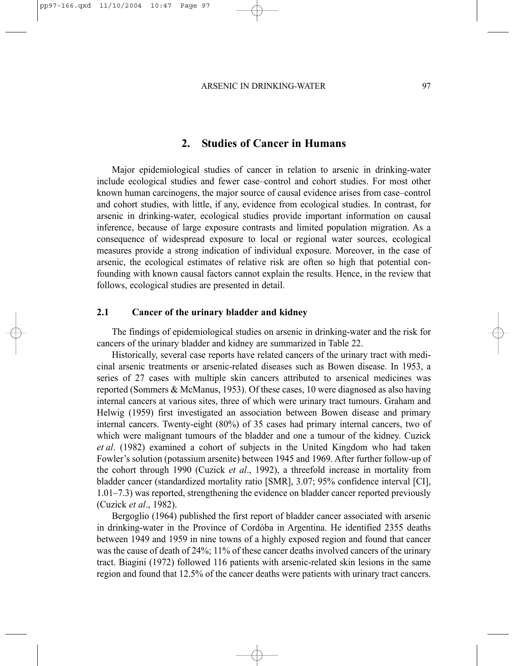# **2. Studies of Cancer in Humans**

Major epidemiological studies of cancer in relation to arsenic in drinking-water include ecological studies and fewer case–control and cohort studies. For most other known human carcinogens, the major source of causal evidence arises from case–control and cohort studies, with little, if any, evidence from ecological studies. In contrast, for arsenic in drinking-water, ecological studies provide important information on causal inference, because of large exposure contrasts and limited population migration. As a consequence of widespread exposure to local or regional water sources, ecological measures provide a strong indication of individual exposure. Moreover, in the case of arsenic, the ecological estimates of relative risk are often so high that potential confounding with known causal factors cannot explain the results. Hence, in the review that follows, ecological studies are presented in detail.

### **2.1 Cancer of the urinary bladder and kidney**

The findings of epidemiological studies on arsenic in drinking-water and the risk for cancers of the urinary bladder and kidney are summarized in Table 22.

Historically, several case reports have related cancers of the urinary tract with medicinal arsenic treatments or arsenic-related diseases such as Bowen disease. In 1953, a series of 27 cases with multiple skin cancers attributed to arsenical medicines was reported (Sommers & McManus, 1953). Of these cases, 10 were diagnosed as also having internal cancers at various sites, three of which were urinary tract tumours. Graham and Helwig (1959) first investigated an association between Bowen disease and primary internal cancers. Twenty-eight (80%) of 35 cases had primary internal cancers, two of which were malignant tumours of the bladder and one a tumour of the kidney. Cuzick *et al*. (1982) examined a cohort of subjects in the United Kingdom who had taken Fowler's solution (potassium arsenite) between 1945 and 1969. After further follow-up of the cohort through 1990 (Cuzick *et al*., 1992), a threefold increase in mortality from bladder cancer (standardized mortality ratio [SMR], 3.07; 95% confidence interval [CI], 1.01–7.3) was reported, strengthening the evidence on bladder cancer reported previously (Cuzick *et al*., 1982).

Bergoglio (1964) published the first report of bladder cancer associated with arsenic in drinking-water in the Province of Cordóba in Argentina. He identified 2355 deaths between 1949 and 1959 in nine towns of a highly exposed region and found that cancer was the cause of death of 24%; 11% of these cancer deaths involved cancers of the urinary tract. Biagini (1972) followed 116 patients with arsenic-related skin lesions in the same region and found that 12.5% of the cancer deaths were patients with urinary tract cancers.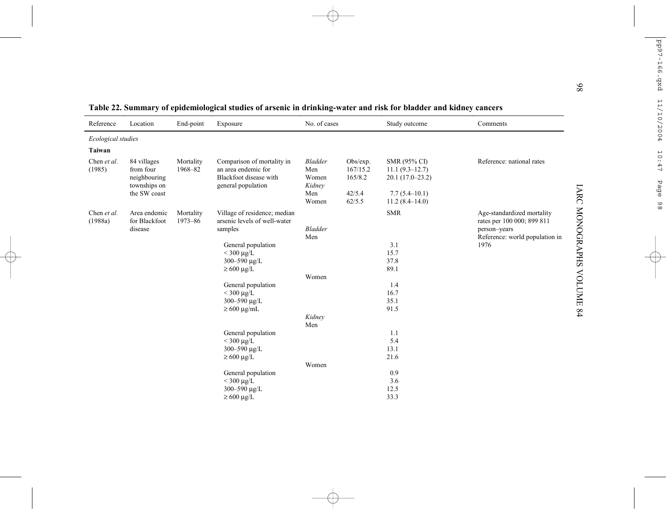| Reference              | Location                                                                 | End-point            | Exposure                                                                                          | No. of cases                                             |                                                     | Study outcome                                                                                  | Comments                                                                                                   |
|------------------------|--------------------------------------------------------------------------|----------------------|---------------------------------------------------------------------------------------------------|----------------------------------------------------------|-----------------------------------------------------|------------------------------------------------------------------------------------------------|------------------------------------------------------------------------------------------------------------|
| Ecological studies     |                                                                          |                      |                                                                                                   |                                                          |                                                     |                                                                                                |                                                                                                            |
| Taiwan                 |                                                                          |                      |                                                                                                   |                                                          |                                                     |                                                                                                |                                                                                                            |
| Chen et al.<br>(1985)  | 84 villages<br>from four<br>neighbouring<br>townships on<br>the SW coast | Mortality<br>1968-82 | Comparison of mortality in<br>an area endemic for<br>Blackfoot disease with<br>general population | <b>Bladder</b><br>Men<br>Women<br>Kidney<br>Men<br>Women | Obs/exp.<br>167/15.2<br>165/8.2<br>42/5.4<br>62/5.5 | SMR (95% CI)<br>$11.1(9.3-12.7)$<br>$20.1(17.0-23.2)$<br>$7.7(5.4 - 10.1)$<br>$11.2(8.4-14.0)$ | Reference: national rates                                                                                  |
| Chen et al.<br>(1988a) | Area endemic<br>for Blackfoot<br>disease                                 | Mortality<br>1973-86 | Village of residence; median<br>arsenic levels of well-water<br>samples                           | <b>Bladder</b><br>Men                                    |                                                     | <b>SMR</b><br>3.1                                                                              | Age-standardized mortality<br>rates per 100 000; 899 811<br>person-years<br>Reference: world population in |
|                        |                                                                          |                      | General population<br>$<$ 300 $\mu$ g/L<br>300-590 µg/L<br>$\geq 600 \text{ µg/L}$                |                                                          |                                                     | 15.7<br>37.8<br>89.1                                                                           | 1976                                                                                                       |
|                        |                                                                          |                      |                                                                                                   | Women                                                    |                                                     |                                                                                                |                                                                                                            |
|                        |                                                                          |                      | General population<br>$<$ 300 $\mu$ g/L<br>300-590 µg/L<br>$\geq 600 \text{ µg/mL}$               |                                                          |                                                     | 1.4<br>16.7<br>35.1<br>91.5                                                                    |                                                                                                            |
|                        |                                                                          |                      |                                                                                                   | Kidney<br>Men                                            |                                                     |                                                                                                |                                                                                                            |
|                        |                                                                          |                      | General population<br>$<$ 300 $\mu$ g/L<br>300-590 µg/L<br>$\geq 600 \text{ µg/L}$                |                                                          |                                                     | 1.1<br>5.4<br>13.1<br>21.6                                                                     |                                                                                                            |
|                        |                                                                          |                      |                                                                                                   | Women                                                    |                                                     |                                                                                                |                                                                                                            |
|                        |                                                                          |                      | General population<br>$<$ 300 $\mu$ g/L<br>300-590 µg/L<br>$\geq$ 600 μg/L                        |                                                          |                                                     | 0.9<br>3.6<br>12.5<br>33.3                                                                     |                                                                                                            |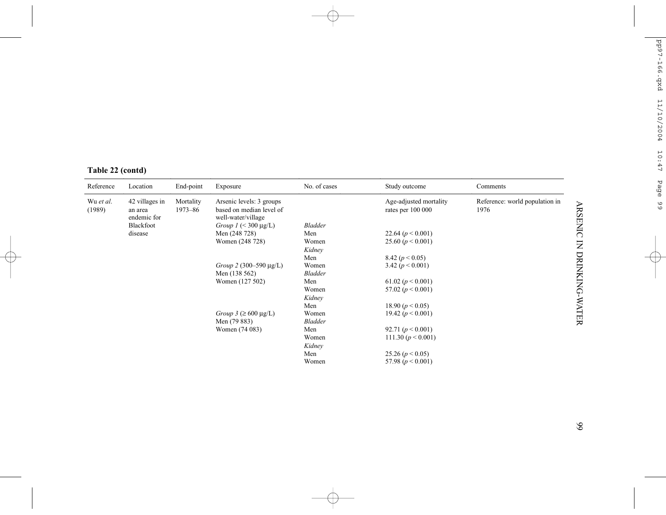|  | Table 22 (contd) |  |
|--|------------------|--|
|  |                  |  |

| Reference           | Location                                 | End-point                | Exposure                                                                   | No. of cases    | Study outcome                               | Comments                               |
|---------------------|------------------------------------------|--------------------------|----------------------------------------------------------------------------|-----------------|---------------------------------------------|----------------------------------------|
| Wu et al.<br>(1989) | 42 villages in<br>an area<br>endemic for | Mortality<br>$1973 - 86$ | Arsenic levels: 3 groups<br>based on median level of<br>well-water/village |                 | Age-adjusted mortality<br>rates per 100 000 | Reference: world population in<br>1976 |
|                     | Blackfoot                                |                          | Group $I \leq 300 \mu g/L$                                                 | <b>Bladder</b>  |                                             |                                        |
|                     | disease                                  |                          | Men (248 728)                                                              | Men             | 22.64 $(p < 0.001)$                         |                                        |
|                     |                                          |                          | Women (248 728)                                                            | Women<br>Kidney | 25.60 $(p < 0.001)$                         |                                        |
|                     |                                          |                          |                                                                            | Men             | 8.42 $(p < 0.05)$                           |                                        |
|                     |                                          |                          | Group 2 (300–590 $\mu$ g/L)                                                | Women           | 3.42 $(p < 0.001)$                          |                                        |
|                     |                                          | Men (138 562)            |                                                                            | <b>Bladder</b>  |                                             |                                        |
|                     |                                          |                          | Women (127 502)                                                            | Men             | 61.02 ( $p < 0.001$ )                       |                                        |
|                     |                                          |                          |                                                                            | Women           | 57.02 $(p < 0.001)$                         |                                        |
|                     |                                          |                          |                                                                            | Kidney          |                                             |                                        |
|                     |                                          |                          |                                                                            | Men             | 18.90 $(p < 0.05)$                          |                                        |
|                     |                                          |                          | Group $3 \geq 600 \mu g/L$                                                 | Women           | 19.42 $(p < 0.001)$                         |                                        |
|                     |                                          |                          | Men (79 883)                                                               | <b>Bladder</b>  |                                             |                                        |
|                     |                                          |                          | Women (74 083)                                                             | Men             | 92.71 $(p < 0.001)$                         |                                        |
|                     |                                          |                          |                                                                            | Women           | 111.30 $(p < 0.001)$                        |                                        |
|                     |                                          |                          |                                                                            | Kidney          |                                             |                                        |
|                     |                                          |                          |                                                                            | Men             | 25.26 $(p < 0.05)$                          |                                        |
|                     |                                          |                          |                                                                            | Women           | 57.98 $(p < 0.001)$                         |                                        |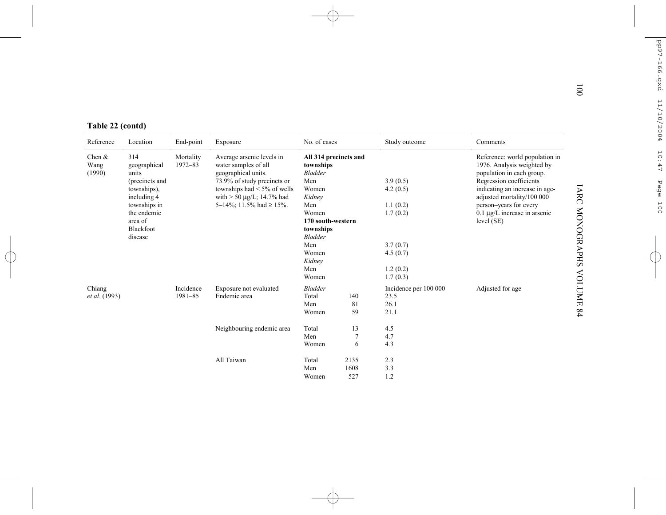| Table 22 (contd)<br>Reference | Location                                                               |                      |                                                                                                         |                                                             |             |                                       |                                                                                                                      |
|-------------------------------|------------------------------------------------------------------------|----------------------|---------------------------------------------------------------------------------------------------------|-------------------------------------------------------------|-------------|---------------------------------------|----------------------------------------------------------------------------------------------------------------------|
|                               |                                                                        | End-point            | Exposure                                                                                                | No. of cases                                                |             | Study outcome                         | Comments                                                                                                             |
| Chen $&$<br>Wang<br>(1990)    | 314<br>geographical<br>units<br>(precincts and                         | Mortality<br>1972-83 | Average arsenic levels in<br>water samples of all<br>geographical units.<br>73.9% of study precincts or | All 314 precincts and<br>townships<br><b>Bladder</b><br>Men |             | 3.9(0.5)                              | Reference: world population in<br>1976. Analysis weighted by<br>population in each group.<br>Regression coefficients |
|                               | townships),<br>including 4                                             |                      | townships had $\leq 5\%$ of wells<br>with $> 50 \mu g/L$ ; 14.7% had                                    | Women<br>Kidney                                             |             | 4.2(0.5)                              | indicating an increase in age-<br>adjusted mortality/100 000                                                         |
|                               | 5-14%; 11.5% had $\geq$ 15%.<br>townships in<br>the endemic<br>area of |                      |                                                                                                         | Men<br>Women<br>170 south-western                           |             | 1.1(0.2)<br>1.7(0.2)                  | person-years for every<br>$0.1 \mu g/L$ increase in arsenic<br>level (SE)                                            |
|                               | Blackfoot<br>disease                                                   |                      |                                                                                                         | townships<br><b>Bladder</b>                                 |             |                                       |                                                                                                                      |
|                               |                                                                        |                      |                                                                                                         | Men<br>Women<br>Kidney                                      |             | 3.7(0.7)<br>4.5(0.7)                  |                                                                                                                      |
|                               |                                                                        |                      |                                                                                                         | Men<br>Women                                                |             | 1.2(0.2)<br>1.7(0.3)                  |                                                                                                                      |
| Chiang<br>et al. (1993)       |                                                                        | Incidence<br>1981-85 | Exposure not evaluated<br>Endemic area                                                                  | <b>Bladder</b><br>Total<br>Men                              | 140<br>81   | Incidence per 100 000<br>23.5<br>26.1 | Adjusted for age                                                                                                     |
|                               |                                                                        |                      |                                                                                                         | Women                                                       | 59          | 21.1                                  |                                                                                                                      |
|                               |                                                                        |                      | Neighbouring endemic area                                                                               | Total<br>Men                                                | 13<br>7     | 4.5<br>4.7                            |                                                                                                                      |
|                               |                                                                        |                      |                                                                                                         | Women                                                       | 6           | 4.3                                   |                                                                                                                      |
|                               |                                                                        |                      | All Taiwan                                                                                              | Total                                                       | 2135        | 2.3                                   |                                                                                                                      |
|                               |                                                                        |                      |                                                                                                         | Men<br>Women                                                | 1608<br>527 | 3.3<br>1.2                            |                                                                                                                      |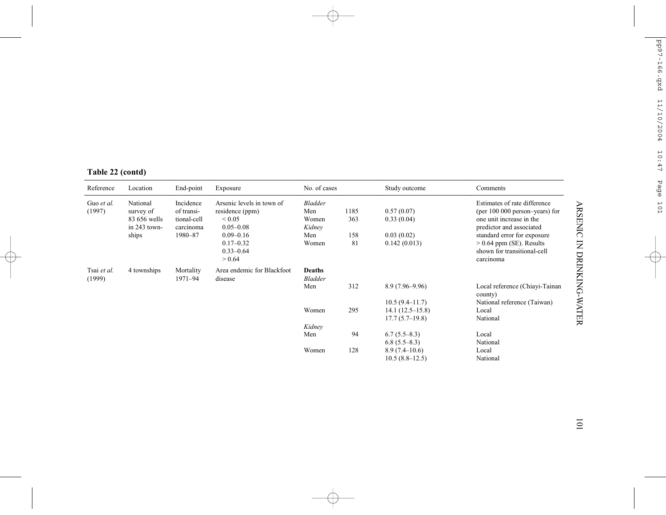|  | Table 22 (contd) |
|--|------------------|
|  |                  |

| Reference             | Location                                              | End-point<br>Incidence<br>of transi-<br>tional-cell<br>carcinoma | Exposure                                                                     | No. of cases                             |             | Study outcome                       | Comments                                                                                                               |
|-----------------------|-------------------------------------------------------|------------------------------------------------------------------|------------------------------------------------------------------------------|------------------------------------------|-------------|-------------------------------------|------------------------------------------------------------------------------------------------------------------------|
| Guo et al.<br>(1997)  | National<br>survey of<br>83 656 wells<br>in 243 town- |                                                                  | Arsenic levels in town of<br>residence (ppm)<br>${}_{0.05}$<br>$0.05 - 0.08$ | <b>Bladder</b><br>Men<br>Women<br>Kidney | 1185<br>363 | 0.57(0.07)<br>0.33(0.04)            | Estimates of rate difference<br>(per 100 000 person-years) for<br>one unit increase in the<br>predictor and associated |
|                       | ships                                                 | 1980-87                                                          | $0.09 - 0.16$<br>$0.17 - 0.32$<br>$0.33 - 0.64$<br>> 0.64                    | Men<br>Women                             | 158<br>81   | 0.03(0.02)<br>0.142(0.013)          | standard error for exposure<br>$> 0.64$ ppm (SE). Results<br>shown for transitional-cell<br>carcinoma                  |
| Tsai et al.<br>(1999) | 4 townships                                           | Mortality<br>1971-94                                             | Area endemic for Blackfoot<br>disease                                        | <b>Deaths</b><br><b>Bladder</b>          |             |                                     |                                                                                                                        |
|                       |                                                       |                                                                  |                                                                              | Men                                      | 312         | $8.9(7.96 - 9.96)$                  | Local reference (Chiavi-Tainan<br>county)                                                                              |
|                       |                                                       |                                                                  |                                                                              |                                          |             | $10.5(9.4 - 11.7)$                  | National reference (Taiwan)                                                                                            |
|                       |                                                       |                                                                  |                                                                              | Women                                    | 295         | $14.1(12.5-15.8)$                   | Local                                                                                                                  |
|                       |                                                       |                                                                  |                                                                              |                                          |             | $17.7(5.7-19.8)$                    | National                                                                                                               |
|                       |                                                       |                                                                  |                                                                              | Kidney                                   |             |                                     |                                                                                                                        |
|                       |                                                       |                                                                  |                                                                              | Men                                      | 94          | $6.7(5.5-8.3)$<br>$6.8(5.5-8.3)$    | Local<br>National                                                                                                      |
|                       |                                                       |                                                                  |                                                                              | Women                                    | 128         | $8.9(7.4-10.6)$<br>$10.5(8.8-12.5)$ | Local<br>National                                                                                                      |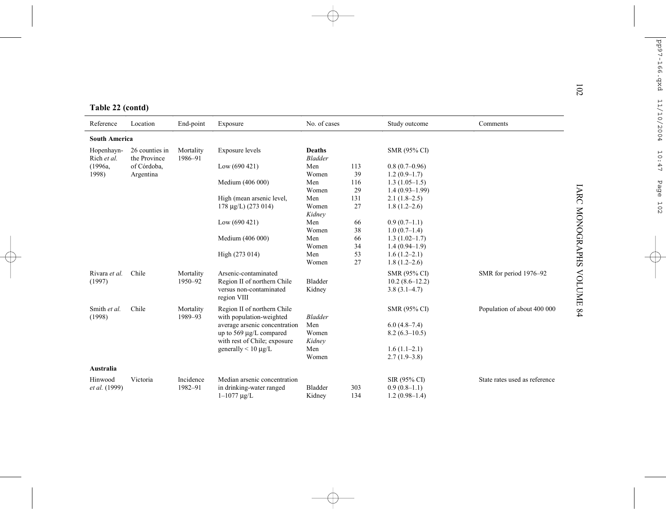|  | Table 22 (contd) |
|--|------------------|
|  |                  |

| Reference                 | Location                       | End-point            | Exposure                               | No. of cases                    |     | Study outcome       | Comments                      |
|---------------------------|--------------------------------|----------------------|----------------------------------------|---------------------------------|-----|---------------------|-------------------------------|
| <b>South America</b>      |                                |                      |                                        |                                 |     |                     |                               |
| Hopenhayn-<br>Rich et al. | 26 counties in<br>the Province | Mortality<br>1986-91 | Exposure levels                        | <b>Deaths</b><br><b>Bladder</b> |     | SMR (95% CI)        |                               |
| (1996a,                   | of Córdoba,                    |                      | Low $(690 421)$                        | Men                             | 113 | $0.8(0.7-0.96)$     |                               |
| 1998)                     | Argentina                      |                      |                                        | Women                           | 39  | $1.2(0.9-1.7)$      |                               |
|                           |                                |                      | Medium (406 000)                       | Men                             | 116 | $1.3(1.05-1.5)$     |                               |
|                           |                                |                      |                                        | Women                           | 29  | $1.4(0.93 - 1.99)$  |                               |
|                           |                                |                      | High (mean arsenic level,              | Men                             | 131 | $2.1(1.8-2.5)$      |                               |
|                           |                                |                      | $178 \mu g/L$ ) (273 014)              | Women                           | 27  | $1.8(1.2 - 2.6)$    |                               |
|                           |                                |                      |                                        | Kidney                          |     |                     |                               |
|                           |                                |                      | Low $(690 421)$                        | Men                             | 66  | $0.9(0.7-1.1)$      |                               |
|                           |                                |                      |                                        | Women                           | 38  | $1.0(0.7-1.4)$      |                               |
|                           |                                |                      | Medium (406 000)                       | Men                             | 66  | $1.3(1.02 - 1.7)$   |                               |
|                           |                                |                      |                                        | Women                           | 34  | $1.4(0.94-1.9)$     |                               |
|                           |                                |                      | High (273 014)                         | Men                             | 53  | $1.6(1.2-2.1)$      |                               |
|                           |                                |                      |                                        | Women                           | 27  | $1.8(1.2 - 2.6)$    |                               |
| Rivara et al.             | Chile                          | Mortality            | Arsenic-contaminated                   |                                 |     | <b>SMR (95% CI)</b> | SMR for period 1976-92        |
| (1997)                    |                                | 1950-92              | Region II of northern Chile            | Bladder                         |     | $10.2(8.6-12.2)$    |                               |
|                           |                                |                      | versus non-contaminated<br>region VIII | Kidney                          |     | $3.8(3.1-4.7)$      |                               |
| Smith et al.              | Chile                          | Mortality            | Region II of northern Chile            |                                 |     | <b>SMR (95% CI)</b> | Population of about 400 000   |
| (1998)                    |                                | 1989-93              | with population-weighted               | <b>Bladder</b>                  |     |                     |                               |
|                           |                                |                      | average arsenic concentration          | Men                             |     | $6.0(4.8-7.4)$      |                               |
|                           |                                |                      | up to 569 µg/L compared                | Women                           |     | $8.2(6.3-10.5)$     |                               |
|                           |                                |                      | with rest of Chile; exposure           | Kidney                          |     |                     |                               |
|                           |                                |                      | generally $< 10 \mu g/L$               | Men                             |     | $1.6(1.1-2.1)$      |                               |
|                           |                                |                      |                                        | Women                           |     | $2.7(1.9-3.8)$      |                               |
| Australia                 |                                |                      |                                        |                                 |     |                     |                               |
| Hinwood                   | Victoria                       | Incidence            | Median arsenic concentration           |                                 |     | SIR (95% CI)        | State rates used as reference |
| <i>et al.</i> (1999)      |                                | 1982-91              | in drinking-water ranged               | Bladder                         | 303 | $0.9(0.8-1.1)$      |                               |
|                           |                                |                      | $1 - 1077$ $\mu$ g/L                   | Kidney                          | 134 | $1.2(0.98-1.4)$     |                               |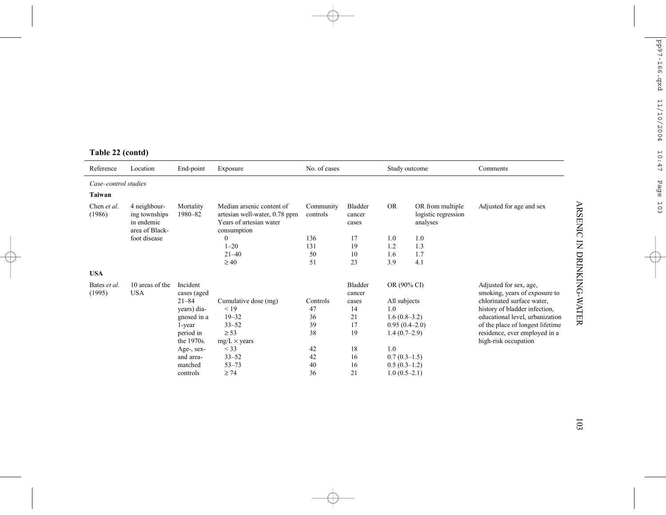| Reference              | Location                                                      | End-point               | Exposure                                                                                             | No. of cases          |                                   | Study outcome  |                                                     | Comments                                                |  |
|------------------------|---------------------------------------------------------------|-------------------------|------------------------------------------------------------------------------------------------------|-----------------------|-----------------------------------|----------------|-----------------------------------------------------|---------------------------------------------------------|--|
| Case-control studies   |                                                               |                         |                                                                                                      |                       |                                   |                |                                                     |                                                         |  |
| Taiwan                 |                                                               |                         |                                                                                                      |                       |                                   |                |                                                     |                                                         |  |
| Chen et al.<br>(1986)  | 4 neighbour-<br>ing townships<br>in endemic<br>area of Black- | Mortality<br>1980-82    | Median arsenic content of<br>artesian well-water, 0.78 ppm<br>Years of artesian water<br>consumption | Community<br>controls | <b>Bladder</b><br>cancer<br>cases | <b>OR</b>      | OR from multiple<br>logistic regression<br>analyses | Adjusted for age and sex                                |  |
|                        | foot disease                                                  |                         | $\Omega$                                                                                             | 136                   | 17                                | 1.0            | 1.0                                                 |                                                         |  |
|                        |                                                               |                         | $1 - 20$                                                                                             | 131                   | 19                                | 1.2            | 1.3                                                 |                                                         |  |
|                        |                                                               |                         | $21 - 40$                                                                                            | 50                    | 10                                | 1.6            | 1.7                                                 |                                                         |  |
|                        |                                                               |                         | $\geq 40$                                                                                            | 51                    | 23                                | 3.9            | 4.1                                                 |                                                         |  |
| <b>USA</b>             |                                                               |                         |                                                                                                      |                       |                                   |                |                                                     |                                                         |  |
| Bates et al.<br>(1995) | 10 areas of the<br><b>USA</b>                                 | Incident<br>cases (aged |                                                                                                      |                       | Bladder<br>cancer                 | OR (90% CI)    |                                                     | Adjusted for sex, age,<br>smoking, years of exposure to |  |
|                        |                                                               | $21 - 84$               | Cumulative dose (mg)                                                                                 | Controls              | cases                             | All subjects   |                                                     | chlorinated surface water,                              |  |
|                        |                                                               | years) dia-             | < 19                                                                                                 | 47                    | 14                                | 1.0            |                                                     | history of bladder infection,                           |  |
|                        |                                                               | gnosed in a             | $19 - 32$                                                                                            | 36                    | 21                                | $1.6(0.8-3.2)$ |                                                     | educational level, urbanization                         |  |
|                        |                                                               | 1-year                  | $33 - 52$                                                                                            | 39                    | 17                                |                | $0.95(0.4-2.0)$                                     | of the place of longest lifetime                        |  |
|                        |                                                               | period in               | $\geq$ 53                                                                                            | 38                    | 19                                | $1.4(0.7-2.9)$ |                                                     | residence, ever employed in a                           |  |
|                        |                                                               | the 1970s.              | $mg/L \times \text{years}$                                                                           |                       |                                   |                |                                                     | high-risk occupation                                    |  |
|                        |                                                               | Age-, sex-              | $<$ 33                                                                                               | 42                    | 18                                | 1.0            |                                                     |                                                         |  |
|                        |                                                               | and area-               | $33 - 52$                                                                                            | 42                    | 16                                | $0.7(0.3-1.5)$ |                                                     |                                                         |  |
|                        |                                                               | matched                 | $53 - 73$                                                                                            | 40                    | 16                                | $0.5(0.3-1.2)$ |                                                     |                                                         |  |
|                        |                                                               | controls                | $\geq 74$                                                                                            | 36                    | 21                                | $1.0(0.5-2.1)$ |                                                     |                                                         |  |

# **Table 22 (contd)**

103

ARSENIC IN DRINKING-WATER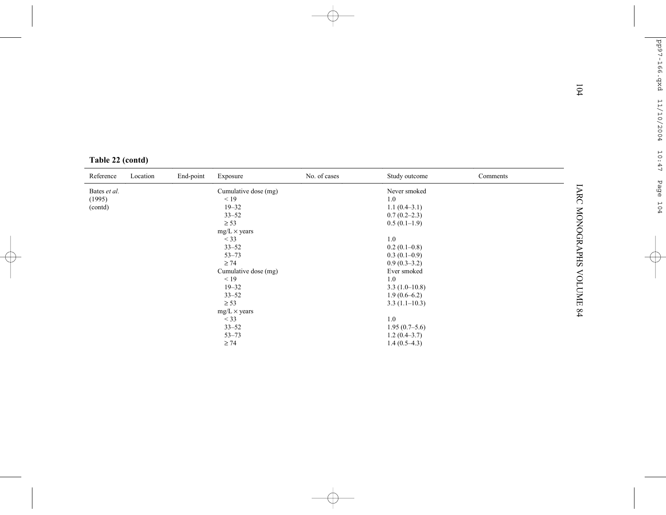|                  |          |           |                        |              |                               |          | 104                           |
|------------------|----------|-----------|------------------------|--------------|-------------------------------|----------|-------------------------------|
| Table 22 (contd) |          |           |                        |              |                               |          |                               |
| Reference        | Location | End-point | Exposure               | No. of cases | Study outcome                 | Comments |                               |
| Bates et al.     |          |           | Cumulative dose (mg)   |              | Never smoked                  |          | <b>IARC MONOGRAPHS VOLUME</b> |
| (1995)           |          |           | < 19                   |              | 1.0                           |          |                               |
| (contd)          |          |           | $19 - 32$              |              | $1.1(0.4-3.1)$                |          |                               |
|                  |          |           | $33 - 52$              |              | $0.7(0.2-2.3)$                |          |                               |
|                  |          |           | $\geq$ 53              |              | $0.5(0.1-1.9)$                |          |                               |
|                  |          |           | $mg/L \times years$    |              |                               |          |                               |
|                  |          |           | $<$ 33                 |              | 1.0                           |          |                               |
|                  |          |           | $33 - 52$              |              | $0.2(0.1-0.8)$                |          |                               |
|                  |          |           | $53 - 73$<br>$\geq 74$ |              | $0.3(0.1-0.9)$                |          |                               |
|                  |          |           | Cumulative dose (mg)   |              | $0.9(0.3-3.2)$<br>Ever smoked |          |                               |
|                  |          |           | < 19                   |              | 1.0                           |          |                               |
|                  |          |           | $19 - 32$              |              | $3.3(1.0-10.8)$               |          |                               |
|                  |          |           | $33 - 52$              |              | $1.9(0.6-6.2)$                |          |                               |
|                  |          |           | $\geq$ 53              |              | $3.3(1.1-10.3)$               |          |                               |
|                  |          |           | $mg/L \times years$    |              |                               |          | 64                            |
|                  |          |           | $<$ 33                 |              | 1.0                           |          |                               |
|                  |          |           | $33 - 52$              |              | $1.95(0.7-5.6)$               |          |                               |
|                  |          |           | $53 - 73$              |              | $1.2(0.4-3.7)$                |          |                               |
|                  |          |           | $\geq 74$              |              | $1.4(0.5-4.3)$                |          |                               |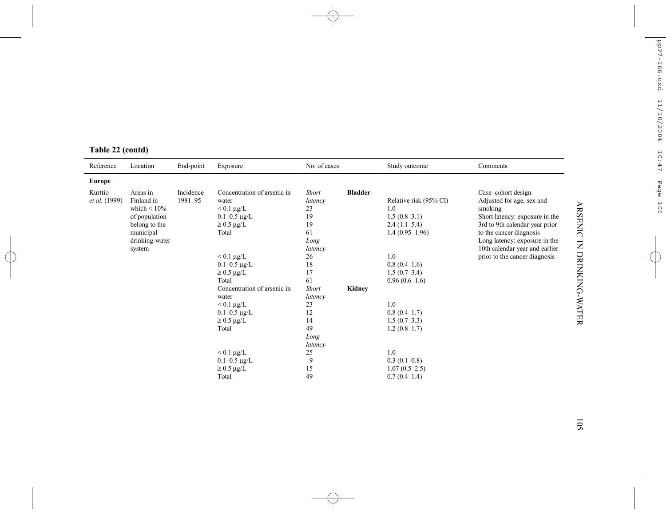| Reference                | Location                                                                                                               | End-point            | Exposure                                                                                                                                                                                      | No. of cases                                                                                    |                | Study outcome                                                                                                                              | Comments                                                                                                                                                                                                                                                      |
|--------------------------|------------------------------------------------------------------------------------------------------------------------|----------------------|-----------------------------------------------------------------------------------------------------------------------------------------------------------------------------------------------|-------------------------------------------------------------------------------------------------|----------------|--------------------------------------------------------------------------------------------------------------------------------------------|---------------------------------------------------------------------------------------------------------------------------------------------------------------------------------------------------------------------------------------------------------------|
| Europe                   |                                                                                                                        |                      |                                                                                                                                                                                               |                                                                                                 |                |                                                                                                                                            |                                                                                                                                                                                                                                                               |
| Kurttio<br>et al. (1999) | Areas in<br>Finland in<br>which $\leq 10\%$<br>of population<br>belong to the<br>municipal<br>drinking-water<br>system | Incidence<br>1981-95 | Concentration of arsenic in<br>water<br>$< 0.1 \ \mu g/L$<br>$0.1 - 0.5 \mu g/L$<br>$\geq$ 0.5 µg/L<br>Total<br>$< 0.1 \ \mu g/L$<br>$0.1 - 0.5 \mu g/L$<br>$\geq$ 0.5 µg/L                   | <b>Short</b><br>latency<br>23<br>19<br>19<br>61<br>Long<br>latency<br>26<br>18<br>17            | <b>Bladder</b> | Relative risk (95% CI)<br>1.0<br>$1.5(0.8-3.1)$<br>$2.4(1.1-5.4)$<br>$1.4(0.95-1.96)$<br>1.0<br>$0.8(0.4-1.6)$<br>$1.5(0.7-3.4)$           | Case-cohort design<br>Adjusted for age, sex and<br>smoking<br>Short latency: exposure in the<br>3rd to 9th calendar year prior<br>to the cancer diagnosis<br>Long latency: exposure in the<br>10th calendar year and earlier<br>prior to the cancer diagnosis |
|                          |                                                                                                                        |                      | Total<br>Concentration of arsenic in<br>water<br>$< 0.1 \ \mu g/L$<br>$0.1 - 0.5 \mu g/L$<br>$\geq$ 0.5 µg/L<br>Total<br>$< 0.1 \ \mu g/L$<br>$0.1 - 0.5 \mu g/L$<br>$\geq$ 0.5 µg/L<br>Total | 61<br><b>Short</b><br>latency<br>23<br>12<br>14<br>49<br>Long<br>latency<br>25<br>9<br>15<br>49 | Kidney         | $0.96(0.6-1.6)$<br>1.0<br>$0.8(0.4-1.7)$<br>$1.5(0.7-3.3)$<br>$1.2(0.8-1.7)$<br>1.0<br>$0.3(0.1-0.8)$<br>$1.07(0.5-2.5)$<br>$0.7(0.4-1.4)$ |                                                                                                                                                                                                                                                               |

# **Table 22 (contd)**

ARSENIC IN DRINKING-WATER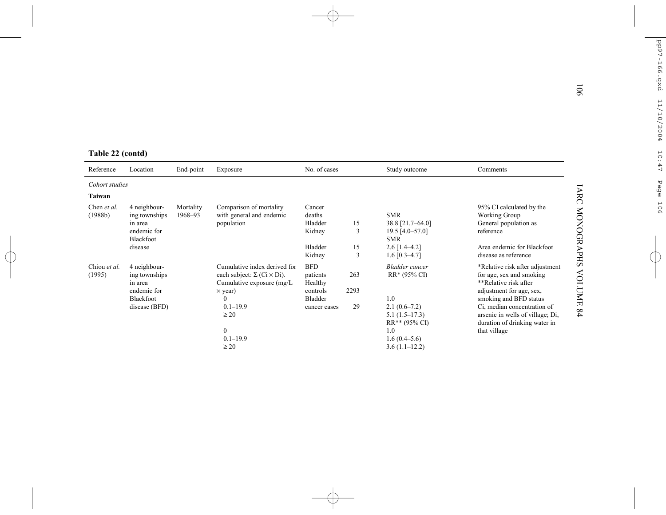| Table 22 (contd)         |                                                                                       |                      |                                                                                                                                                                       | No. of cases                                                                    |                    |                                                                                                           |                                                                                                                                                                                                               |
|--------------------------|---------------------------------------------------------------------------------------|----------------------|-----------------------------------------------------------------------------------------------------------------------------------------------------------------------|---------------------------------------------------------------------------------|--------------------|-----------------------------------------------------------------------------------------------------------|---------------------------------------------------------------------------------------------------------------------------------------------------------------------------------------------------------------|
| Reference                | Location                                                                              | End-point            | Exposure                                                                                                                                                              |                                                                                 |                    | Study outcome                                                                                             | Comments                                                                                                                                                                                                      |
| Cohort studies<br>Taiwan |                                                                                       |                      |                                                                                                                                                                       |                                                                                 |                    |                                                                                                           |                                                                                                                                                                                                               |
| Chen et al.<br>(1988b)   | 4 neighbour-<br>ing townships<br>in area<br>endemic for<br>Blackfoot<br>disease       | Mortality<br>1968-93 | Comparison of mortality<br>with general and endemic<br>population                                                                                                     | Cancer<br>deaths<br><b>Bladder</b><br>Kidney<br><b>Bladder</b><br>Kidney        | 15<br>3<br>15<br>3 | <b>SMR</b><br>38.8 [21.7-64.0]<br>19.5 $[4.0 - 57.0]$<br><b>SMR</b><br>$2.6$ [1.4–4.2]<br>$1.6$ [0.3-4.7] | 95% CI calculated by the<br>Working Group<br>General population as<br>reference<br>Area endemic for Blackfoot<br>disease as reference                                                                         |
| Chiou et al.<br>(1995)   | 4 neighbour-<br>ing townships<br>in area<br>endemic for<br>Blackfoot<br>disease (BFD) |                      | Cumulative index derived for<br>each subject: $\Sigma$ (Ci $\times$ Di).<br>Cumulative exposure (mg/L)<br>$\times$ year)<br>$\mathbf{0}$<br>$0.1 - 19.9$<br>$\geq 20$ | <b>BFD</b><br>patients<br>Healthy<br>controls<br><b>Bladder</b><br>cancer cases | 263<br>2293<br>29  | <b>Bladder</b> cancer<br>RR* (95% CI)<br>1.0<br>$2.1(0.6-7.2)$<br>$5.1(1.5-17.3)$                         | *Relative risk after adjustment<br>for age, sex and smoking<br>**Relative risk after<br>adjustment for age, sex,<br>smoking and BFD status<br>Ci, median concentration of<br>arsenic in wells of village; Di, |
|                          |                                                                                       |                      | $\mathbf{0}$<br>$0.1 - 19.9$<br>$\geq 20$                                                                                                                             |                                                                                 |                    | RR** (95% CI)<br>1.0<br>$1.6(0.4-5.6)$<br>$3.6(1.1-12.2)$                                                 | duration of drinking water in<br>that village                                                                                                                                                                 |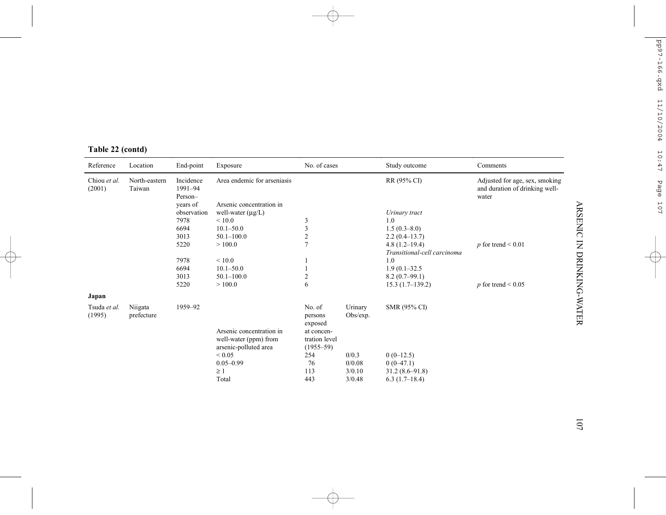| Reference              | Location                | End-point                       | Exposure                                          | No. of cases                                                |                     | Study outcome               | Comments                                                                  |
|------------------------|-------------------------|---------------------------------|---------------------------------------------------|-------------------------------------------------------------|---------------------|-----------------------------|---------------------------------------------------------------------------|
| Chiou et al.<br>(2001) | North-eastern<br>Taiwan | Incidence<br>1991-94<br>Person- | Area endemic for arseniasis                       |                                                             |                     | RR (95% CI)                 | Adjusted for age, sex, smoking<br>and duration of drinking well-<br>water |
|                        |                         | years of                        | Arsenic concentration in                          |                                                             |                     |                             |                                                                           |
|                        |                         | observation                     | well-water $(\mu g/L)$                            |                                                             |                     | Urinary tract               |                                                                           |
|                        |                         | 7978                            | ${}_{\leq 10.0}$                                  | 3                                                           |                     | 1.0                         |                                                                           |
|                        |                         | 6694                            | $10.1 - 50.0$                                     | 3                                                           |                     | $1.5(0.3-8.0)$              |                                                                           |
|                        |                         | 3013                            | $50.1 - 100.0$                                    | $\overline{c}$                                              |                     | $2.2(0.4-13.7)$             |                                                                           |
|                        |                         | 5220                            | >100.0                                            | $\overline{7}$                                              |                     | $4.8(1.2-19.4)$             | p for trend $\leq 0.01$                                                   |
|                        |                         |                                 |                                                   |                                                             |                     | Transitional-cell carcinoma |                                                                           |
|                        |                         | 7978                            | ${}< 10.0$                                        |                                                             |                     | 1.0                         |                                                                           |
|                        |                         | 6694                            | $10.1 - 50.0$                                     |                                                             |                     | $1.9(0.1 - 32.5)$           |                                                                           |
|                        |                         | 3013                            | $50.1 - 100.0$                                    | $\overline{\mathbf{c}}$                                     |                     | $8.2(0.7-99.1)$             |                                                                           |
|                        |                         | 5220                            | >100.0                                            | 6                                                           |                     | $15.3(1.7-139.2)$           | $p$ for trend < 0.05                                                      |
| Japan                  |                         |                                 |                                                   |                                                             |                     |                             |                                                                           |
| Tsuda et al.<br>(1995) | Niigata<br>prefecture   | 1959-92                         | Arsenic concentration in<br>well-water (ppm) from | No. of<br>persons<br>exposed<br>at concen-<br>tration level | Urinary<br>Obs/exp. | SMR (95% CI)                |                                                                           |
|                        |                         |                                 | arsenic-polluted area                             | $(1955 - 59)$                                               |                     |                             |                                                                           |
|                        |                         |                                 | ${}< 0.05$                                        | 254                                                         | 0/0.3               | $0(0-12.5)$                 |                                                                           |
|                        |                         |                                 | $0.05 - 0.99$                                     | 76                                                          | 0/0.08              | $0(0-47.1)$                 |                                                                           |
|                        |                         |                                 | $\geq 1$                                          | 113                                                         | 3/0.10              | $31.2(8.6 - 91.8)$          |                                                                           |
|                        |                         |                                 | Total                                             | 443                                                         | 3/0.48              | $6.3(1.7-18.4)$             |                                                                           |

# **Table 22 (contd)**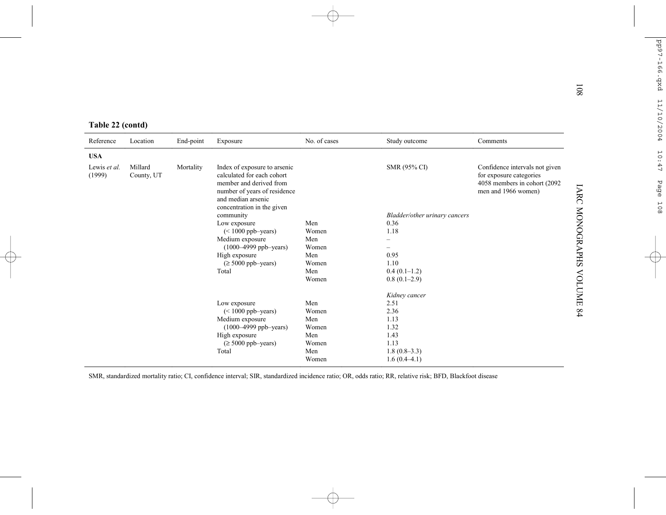| Table 22 (contd)       |                       |           |                                                                                                                                                                           |              |                               |                                                                                                                   |
|------------------------|-----------------------|-----------|---------------------------------------------------------------------------------------------------------------------------------------------------------------------------|--------------|-------------------------------|-------------------------------------------------------------------------------------------------------------------|
| Reference              | Location              | End-point | Exposure                                                                                                                                                                  | No. of cases | Study outcome                 | Comments                                                                                                          |
| <b>USA</b>             |                       |           |                                                                                                                                                                           |              |                               |                                                                                                                   |
| Lewis et al.<br>(1999) | Millard<br>County, UT | Mortality | Index of exposure to arsenic<br>calculated for each cohort<br>member and derived from<br>number of years of residence<br>and median arsenic<br>concentration in the given |              | SMR (95% CI)                  | Confidence intervals not given<br>for exposure categories<br>4058 members in cohort (2092)<br>men and 1966 women) |
|                        |                       |           | community                                                                                                                                                                 |              | Bladder/other urinary cancers |                                                                                                                   |
|                        |                       |           | Low exposure                                                                                                                                                              | Men<br>Women | 0.36<br>1.18                  |                                                                                                                   |
|                        |                       |           | $(< 1000$ ppb-years)<br>Medium exposure                                                                                                                                   | Men          |                               |                                                                                                                   |
|                        |                       |           | (1000-4999 ppb-years)                                                                                                                                                     | Women        |                               |                                                                                                                   |
|                        |                       |           | High exposure                                                                                                                                                             | Men          | 0.95                          |                                                                                                                   |
|                        |                       |           | $(\geq 5000$ ppb-years)                                                                                                                                                   | Women        | 1.10                          |                                                                                                                   |
|                        |                       |           | Total                                                                                                                                                                     | Men          | $0.4(0.1-1.2)$                |                                                                                                                   |
|                        |                       |           |                                                                                                                                                                           | Women        | $0.8(0.1-2.9)$                |                                                                                                                   |
|                        |                       |           |                                                                                                                                                                           |              | Kidney cancer                 |                                                                                                                   |
|                        |                       |           | Low exposure                                                                                                                                                              | Men          | 2.51                          |                                                                                                                   |
|                        |                       |           | $(< 1000$ ppb-years)                                                                                                                                                      | Women        | 2.36                          |                                                                                                                   |
|                        |                       |           | Medium exposure                                                                                                                                                           | Men          | 1.13                          |                                                                                                                   |
|                        |                       |           | $(1000 - 4999$ ppb-years)<br>High exposure                                                                                                                                | Women<br>Men | 1.32<br>1.43                  |                                                                                                                   |
|                        |                       |           | $(\geq 5000$ ppb-years)                                                                                                                                                   | Women        | 1.13                          |                                                                                                                   |
|                        |                       |           | Total                                                                                                                                                                     | Men          | $1.8(0.8-3.3)$                |                                                                                                                   |
|                        |                       |           |                                                                                                                                                                           | Women        | $1.6(0.4-4.1)$                |                                                                                                                   |

SMR, standardized mortality ratio; CI, confidence interval; SIR, standardized incidence ratio; OR, odds ratio; RR, relative risk; BFD, Blackfoot disease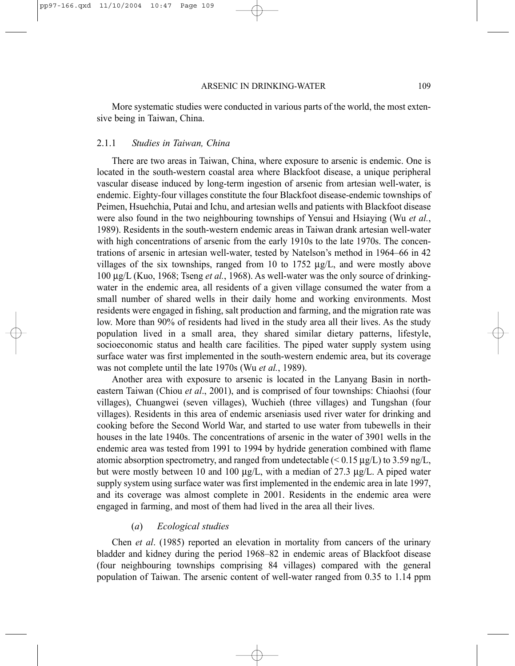More systematic studies were conducted in various parts of the world, the most extensive being in Taiwan, China.

#### 2.1.1 *Studies in Taiwan, China*

There are two areas in Taiwan, China, where exposure to arsenic is endemic. One is located in the south-western coastal area where Blackfoot disease, a unique peripheral vascular disease induced by long-term ingestion of arsenic from artesian well-water, is endemic. Eighty-four villages constitute the four Blackfoot disease-endemic townships of Peimen, Hsuehchia, Putai and Ichu, and artesian wells and patients with Blackfoot disease were also found in the two neighbouring townships of Yensui and Hsiaying (Wu *et al.*, 1989). Residents in the south-western endemic areas in Taiwan drank artesian well-water with high concentrations of arsenic from the early 1910s to the late 1970s. The concentrations of arsenic in artesian well-water, tested by Natelson's method in 1964–66 in 42 villages of the six townships, ranged from 10 to 1752  $\mu$ g/L, and were mostly above 100 µg/L (Kuo, 1968; Tseng *et al.*, 1968). As well-water was the only source of drinkingwater in the endemic area, all residents of a given village consumed the water from a small number of shared wells in their daily home and working environments. Most residents were engaged in fishing, salt production and farming, and the migration rate was low. More than 90% of residents had lived in the study area all their lives. As the study population lived in a small area, they shared similar dietary patterns, lifestyle, socioeconomic status and health care facilities. The piped water supply system using surface water was first implemented in the south-western endemic area, but its coverage was not complete until the late 1970s (Wu *et al.*, 1989).

Another area with exposure to arsenic is located in the Lanyang Basin in northeastern Taiwan (Chiou *et al*., 2001), and is comprised of four townships: Chiaohsi (four villages), Chuangwei (seven villages), Wuchieh (three villages) and Tungshan (four villages). Residents in this area of endemic arseniasis used river water for drinking and cooking before the Second World War, and started to use water from tubewells in their houses in the late 1940s. The concentrations of arsenic in the water of 3901 wells in the endemic area was tested from 1991 to 1994 by hydride generation combined with flame atomic absorption spectrometry, and ranged from undetectable  $(< 0.15 \mu g/L)$  to 3.59 ng/L, but were mostly between 10 and 100 µg/L, with a median of 27.3 µg/L. A piped water supply system using surface water was first implemented in the endemic area in late 1997, and its coverage was almost complete in 2001. Residents in the endemic area were engaged in farming, and most of them had lived in the area all their lives.

#### (*a*) *Ecological studies*

Chen *et al*. (1985) reported an elevation in mortality from cancers of the urinary bladder and kidney during the period 1968–82 in endemic areas of Blackfoot disease (four neighbouring townships comprising 84 villages) compared with the general population of Taiwan. The arsenic content of well-water ranged from 0.35 to 1.14 ppm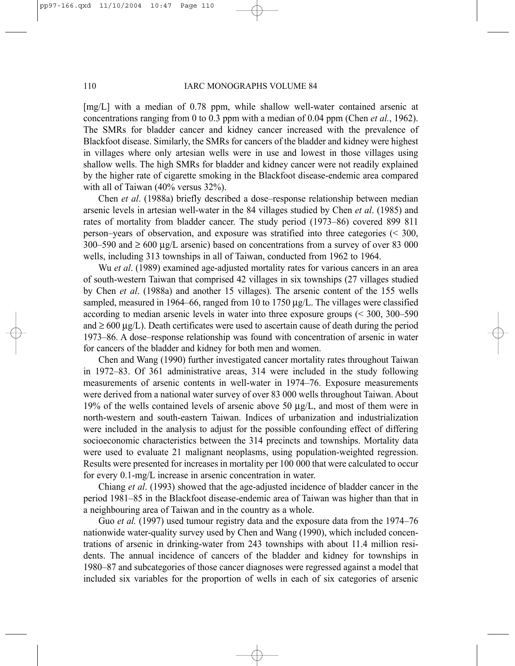[mg/L] with a median of 0.78 ppm, while shallow well-water contained arsenic at concentrations ranging from 0 to 0.3 ppm with a median of 0.04 ppm (Chen *et al.*, 1962). The SMRs for bladder cancer and kidney cancer increased with the prevalence of Blackfoot disease. Similarly, the SMRs for cancers of the bladder and kidney were highest in villages where only artesian wells were in use and lowest in those villages using shallow wells. The high SMRs for bladder and kidney cancer were not readily explained by the higher rate of cigarette smoking in the Blackfoot disease-endemic area compared with all of Taiwan (40% versus 32%).

Chen *et al*. (1988a) briefly described a dose–response relationship between median arsenic levels in artesian well-water in the 84 villages studied by Chen *et al*. (1985) and rates of mortality from bladder cancer. The study period (1973–86) covered 899 811 person–years of observation, and exposure was stratified into three categories (< 300, 300–590 and  $\geq 600 \mu g/L$  arsenic) based on concentrations from a survey of over 83 000 wells, including 313 townships in all of Taiwan, conducted from 1962 to 1964.

Wu *et al*. (1989) examined age-adjusted mortality rates for various cancers in an area of south-western Taiwan that comprised 42 villages in six townships (27 villages studied by Chen *et al*. (1988a) and another 15 villages). The arsenic content of the 155 wells sampled, measured in 1964–66, ranged from 10 to 1750  $\mu$ g/L. The villages were classified according to median arsenic levels in water into three exposure groups (< 300, 300–590 and  $\geq 600 \mu g/L$ ). Death certificates were used to ascertain cause of death during the period 1973–86. A dose–response relationship was found with concentration of arsenic in water for cancers of the bladder and kidney for both men and women.

Chen and Wang (1990) further investigated cancer mortality rates throughout Taiwan in 1972–83. Of 361 administrative areas, 314 were included in the study following measurements of arsenic contents in well-water in 1974–76. Exposure measurements were derived from a national water survey of over 83 000 wells throughout Taiwan. About 19% of the wells contained levels of arsenic above 50  $\mu$ g/L, and most of them were in north-western and south-eastern Taiwan. Indices of urbanization and industrialization were included in the analysis to adjust for the possible confounding effect of differing socioeconomic characteristics between the 314 precincts and townships. Mortality data were used to evaluate 21 malignant neoplasms, using population-weighted regression. Results were presented for increases in mortality per 100 000 that were calculated to occur for every 0.1-mg/L increase in arsenic concentration in water.

Chiang *et al*. (1993) showed that the age-adjusted incidence of bladder cancer in the period 1981–85 in the Blackfoot disease-endemic area of Taiwan was higher than that in a neighbouring area of Taiwan and in the country as a whole.

Guo *et al.* (1997) used tumour registry data and the exposure data from the 1974–76 nationwide water-quality survey used by Chen and Wang (1990), which included concentrations of arsenic in drinking-water from 243 townships with about 11.4 million residents. The annual incidence of cancers of the bladder and kidney for townships in 1980–87 and subcategories of those cancer diagnoses were regressed against a model that included six variables for the proportion of wells in each of six categories of arsenic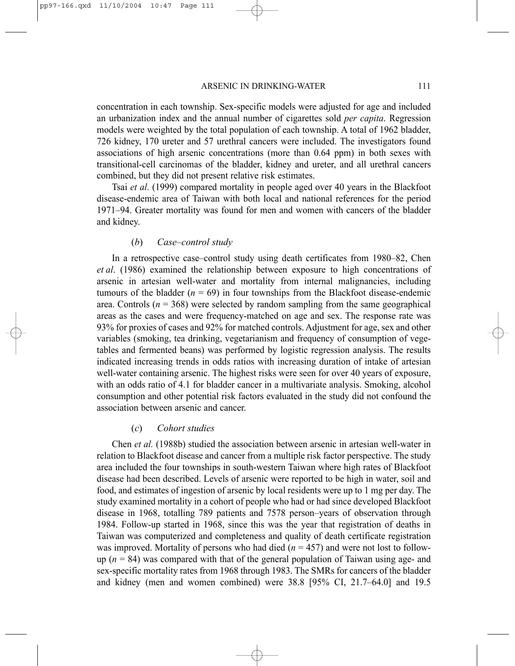concentration in each township. Sex-specific models were adjusted for age and included an urbanization index and the annual number of cigarettes sold *per capita*. Regression models were weighted by the total population of each township. A total of 1962 bladder, 726 kidney, 170 ureter and 57 urethral cancers were included. The investigators found associations of high arsenic concentrations (more than 0.64 ppm) in both sexes with transitional-cell carcinomas of the bladder, kidney and ureter, and all urethral cancers combined, but they did not present relative risk estimates.

Tsai *et al*. (1999) compared mortality in people aged over 40 years in the Blackfoot disease-endemic area of Taiwan with both local and national references for the period 1971–94. Greater mortality was found for men and women with cancers of the bladder and kidney.

#### (*b*) *Case–control study*

In a retrospective case–control study using death certificates from 1980–82, Chen *et al*. (1986) examined the relationship between exposure to high concentrations of arsenic in artesian well-water and mortality from internal malignancies, including tumours of the bladder  $(n = 69)$  in four townships from the Blackfoot disease-endemic area. Controls ( $n = 368$ ) were selected by random sampling from the same geographical areas as the cases and were frequency-matched on age and sex. The response rate was 93% for proxies of cases and 92% for matched controls. Adjustment for age, sex and other variables (smoking, tea drinking, vegetarianism and frequency of consumption of vegetables and fermented beans) was performed by logistic regression analysis. The results indicated increasing trends in odds ratios with increasing duration of intake of artesian well-water containing arsenic. The highest risks were seen for over 40 years of exposure, with an odds ratio of 4.1 for bladder cancer in a multivariate analysis. Smoking, alcohol consumption and other potential risk factors evaluated in the study did not confound the association between arsenic and cancer.

#### (*c*) *Cohort studies*

Chen *et al.* (1988b) studied the association between arsenic in artesian well-water in relation to Blackfoot disease and cancer from a multiple risk factor perspective. The study area included the four townships in south-western Taiwan where high rates of Blackfoot disease had been described. Levels of arsenic were reported to be high in water, soil and food, and estimates of ingestion of arsenic by local residents were up to 1 mg per day. The study examined mortality in a cohort of people who had or had since developed Blackfoot disease in 1968, totalling 789 patients and 7578 person–years of observation through 1984. Follow-up started in 1968, since this was the year that registration of deaths in Taiwan was computerized and completeness and quality of death certificate registration was improved. Mortality of persons who had died  $(n = 457)$  and were not lost to followup (*n* = 84) was compared with that of the general population of Taiwan using age- and sex-specific mortality rates from 1968 through 1983. The SMRs for cancers of the bladder and kidney (men and women combined) were 38.8 [95% CI, 21.7–64.0] and 19.5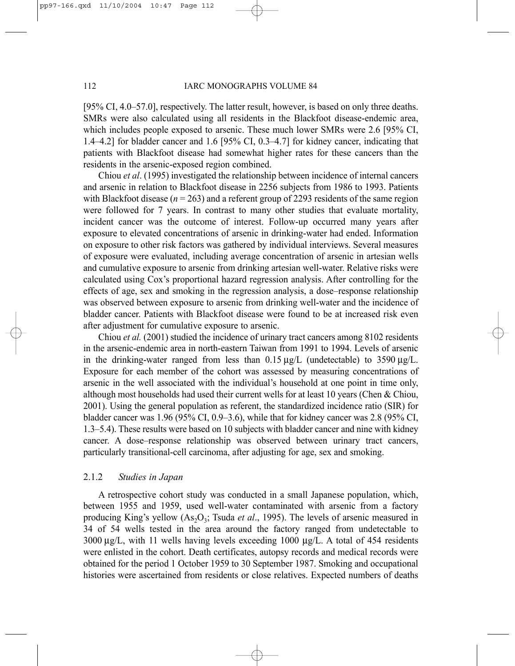[95% CI, 4.0–57.0], respectively. The latter result, however, is based on only three deaths. SMRs were also calculated using all residents in the Blackfoot disease-endemic area, which includes people exposed to arsenic. These much lower SMRs were 2.6 [95% CI, 1.4–4.2] for bladder cancer and 1.6 [95% CI, 0.3–4.7] for kidney cancer, indicating that patients with Blackfoot disease had somewhat higher rates for these cancers than the residents in the arsenic-exposed region combined.

Chiou *et al*. (1995) investigated the relationship between incidence of internal cancers and arsenic in relation to Blackfoot disease in 2256 subjects from 1986 to 1993. Patients with Blackfoot disease ( $n = 263$ ) and a referent group of 2293 residents of the same region were followed for 7 years. In contrast to many other studies that evaluate mortality, incident cancer was the outcome of interest. Follow-up occurred many years after exposure to elevated concentrations of arsenic in drinking-water had ended. Information on exposure to other risk factors was gathered by individual interviews. Several measures of exposure were evaluated, including average concentration of arsenic in artesian wells and cumulative exposure to arsenic from drinking artesian well-water. Relative risks were calculated using Cox's proportional hazard regression analysis. After controlling for the effects of age, sex and smoking in the regression analysis, a dose–response relationship was observed between exposure to arsenic from drinking well-water and the incidence of bladder cancer. Patients with Blackfoot disease were found to be at increased risk even after adjustment for cumulative exposure to arsenic.

Chiou *et al.* (2001) studied the incidence of urinary tract cancers among 8102 residents in the arsenic-endemic area in north-eastern Taiwan from 1991 to 1994. Levels of arsenic in the drinking-water ranged from less than  $0.15 \mu g/L$  (undetectable) to 3590  $\mu g/L$ . Exposure for each member of the cohort was assessed by measuring concentrations of arsenic in the well associated with the individual's household at one point in time only, although most households had used their current wells for at least 10 years (Chen & Chiou, 2001). Using the general population as referent, the standardized incidence ratio (SIR) for bladder cancer was 1.96 (95% CI, 0.9–3.6), while that for kidney cancer was 2.8 (95% CI, 1.3–5.4). These results were based on 10 subjects with bladder cancer and nine with kidney cancer. A dose–response relationship was observed between urinary tract cancers, particularly transitional-cell carcinoma, after adjusting for age, sex and smoking.

#### 2.1.2 *Studies in Japan*

A retrospective cohort study was conducted in a small Japanese population, which, between 1955 and 1959, used well-water contaminated with arsenic from a factory producing King's yellow (As<sub>2</sub>O<sub>3</sub>; Tsuda *et al.*, 1995). The levels of arsenic measured in 34 of 54 wells tested in the area around the factory ranged from undetectable to  $3000 \mu g/L$ , with 11 wells having levels exceeding 1000  $\mu g/L$ . A total of 454 residents were enlisted in the cohort. Death certificates, autopsy records and medical records were obtained for the period 1 October 1959 to 30 September 1987. Smoking and occupational histories were ascertained from residents or close relatives. Expected numbers of deaths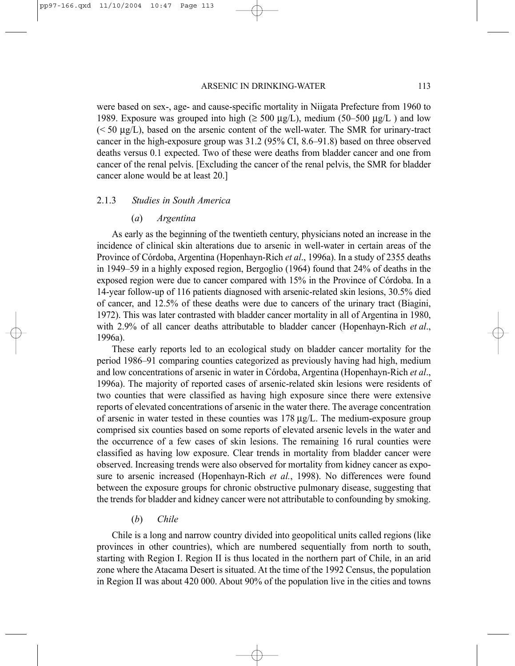were based on sex-, age- and cause-specific mortality in Niigata Prefecture from 1960 to 1989. Exposure was grouped into high ( $\geq 500 \mu g/L$ ), medium (50–500  $\mu g/L$ ) and low  $(< 50 \mu g/L)$ , based on the arsenic content of the well-water. The SMR for urinary-tract cancer in the high-exposure group was 31.2 (95% CI, 8.6–91.8) based on three observed deaths versus 0.1 expected. Two of these were deaths from bladder cancer and one from cancer of the renal pelvis. [Excluding the cancer of the renal pelvis, the SMR for bladder cancer alone would be at least 20.]

### 2.1.3 *Studies in South America*

#### (*a*) *Argentina*

As early as the beginning of the twentieth century, physicians noted an increase in the incidence of clinical skin alterations due to arsenic in well-water in certain areas of the Province of Córdoba, Argentina (Hopenhayn-Rich *et al*., 1996a). In a study of 2355 deaths in 1949–59 in a highly exposed region, Bergoglio (1964) found that 24% of deaths in the exposed region were due to cancer compared with 15% in the Province of Córdoba. In a 14-year follow-up of 116 patients diagnosed with arsenic-related skin lesions, 30.5% died of cancer, and 12.5% of these deaths were due to cancers of the urinary tract (Biagini, 1972). This was later contrasted with bladder cancer mortality in all of Argentina in 1980, with 2.9% of all cancer deaths attributable to bladder cancer (Hopenhayn-Rich *et al*., 1996a).

These early reports led to an ecological study on bladder cancer mortality for the period 1986–91 comparing counties categorized as previously having had high, medium and low concentrations of arsenic in water in Córdoba, Argentina (Hopenhayn-Rich *et al*., 1996a). The majority of reported cases of arsenic-related skin lesions were residents of two counties that were classified as having high exposure since there were extensive reports of elevated concentrations of arsenic in the water there. The average concentration of arsenic in water tested in these counties was  $178 \mu g/L$ . The medium-exposure group comprised six counties based on some reports of elevated arsenic levels in the water and the occurrence of a few cases of skin lesions. The remaining 16 rural counties were classified as having low exposure. Clear trends in mortality from bladder cancer were observed. Increasing trends were also observed for mortality from kidney cancer as exposure to arsenic increased (Hopenhayn-Rich *et al.*, 1998). No differences were found between the exposure groups for chronic obstructive pulmonary disease, suggesting that the trends for bladder and kidney cancer were not attributable to confounding by smoking.

#### (*b*) *Chile*

Chile is a long and narrow country divided into geopolitical units called regions (like provinces in other countries), which are numbered sequentially from north to south, starting with Region I. Region II is thus located in the northern part of Chile, in an arid zone where the Atacama Desert is situated. At the time of the 1992 Census, the population in Region II was about 420 000. About 90% of the population live in the cities and towns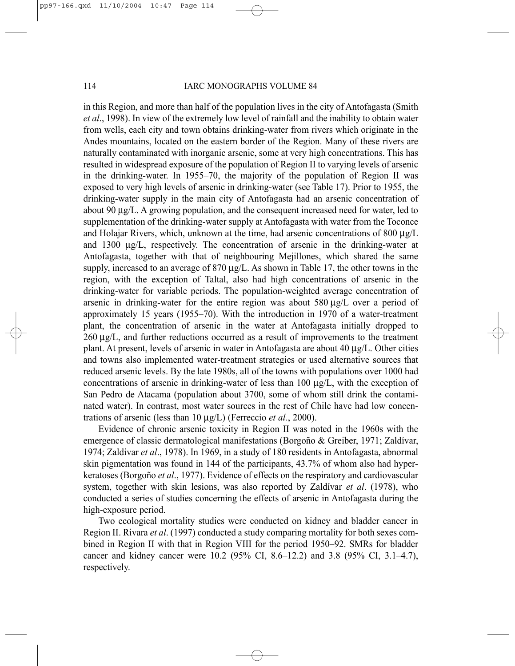114 **IARC MONOGRAPHS VOLUME 84** 

in this Region, and more than half of the population lives in the city of Antofagasta (Smith *et al*., 1998). In view of the extremely low level of rainfall and the inability to obtain water from wells, each city and town obtains drinking-water from rivers which originate in the Andes mountains, located on the eastern border of the Region. Many of these rivers are naturally contaminated with inorganic arsenic, some at very high concentrations. This has resulted in widespread exposure of the population of Region II to varying levels of arsenic in the drinking-water. In 1955–70, the majority of the population of Region II was exposed to very high levels of arsenic in drinking-water (see Table 17). Prior to 1955, the drinking-water supply in the main city of Antofagasta had an arsenic concentration of about 90  $\mu$ g/L. A growing population, and the consequent increased need for water, led to supplementation of the drinking-water supply at Antofagasta with water from the Toconce and Holajar Rivers, which, unknown at the time, had arsenic concentrations of 800 µg/L and 1300 µg/L, respectively. The concentration of arsenic in the drinking-water at Antofagasta, together with that of neighbouring Mejillones, which shared the same supply, increased to an average of 870  $\mu$ g/L. As shown in Table 17, the other towns in the region, with the exception of Taltal, also had high concentrations of arsenic in the drinking-water for variable periods. The population-weighted average concentration of arsenic in drinking-water for the entire region was about  $580 \mu g/L$  over a period of approximately 15 years (1955–70). With the introduction in 1970 of a water-treatment plant, the concentration of arsenic in the water at Antofagasta initially dropped to  $260 \mu g/L$ , and further reductions occurred as a result of improvements to the treatment plant. At present, levels of arsenic in water in Antofagasta are about 40 µg/L. Other cities and towns also implemented water-treatment strategies or used alternative sources that reduced arsenic levels. By the late 1980s, all of the towns with populations over 1000 had concentrations of arsenic in drinking-water of less than  $100 \mu g/L$ , with the exception of San Pedro de Atacama (population about 3700, some of whom still drink the contaminated water). In contrast, most water sources in the rest of Chile have had low concentrations of arsenic (less than 10 µg/L) (Ferreccio *et al.*, 2000).

Evidence of chronic arsenic toxicity in Region II was noted in the 1960s with the emergence of classic dermatological manifestations (Borgoño & Greiber, 1971; Zaldívar, 1974; Zaldívar *et al*., 1978). In 1969, in a study of 180 residents in Antofagasta, abnormal skin pigmentation was found in 144 of the participants, 43.7% of whom also had hyperkeratoses (Borgoño *et al*., 1977). Evidence of effects on the respiratory and cardiovascular system, together with skin lesions, was also reported by Zaldívar *et al*. (1978), who conducted a series of studies concerning the effects of arsenic in Antofagasta during the high-exposure period.

Two ecological mortality studies were conducted on kidney and bladder cancer in Region II. Rivara *et al*. (1997) conducted a study comparing mortality for both sexes combined in Region II with that in Region VIII for the period 1950–92. SMRs for bladder cancer and kidney cancer were 10.2 (95% CI, 8.6–12.2) and 3.8 (95% CI, 3.1–4.7), respectively.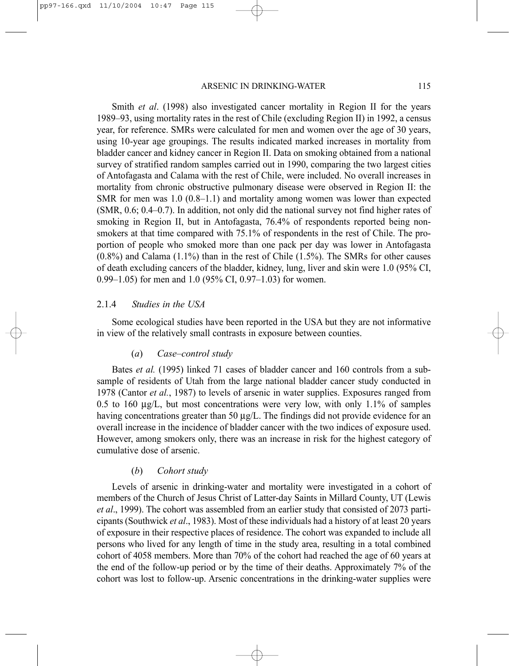Smith *et al*. (1998) also investigated cancer mortality in Region II for the years 1989–93, using mortality rates in the rest of Chile (excluding Region II) in 1992, a census year, for reference. SMRs were calculated for men and women over the age of 30 years, using 10-year age groupings. The results indicated marked increases in mortality from bladder cancer and kidney cancer in Region II. Data on smoking obtained from a national survey of stratified random samples carried out in 1990, comparing the two largest cities of Antofagasta and Calama with the rest of Chile, were included. No overall increases in mortality from chronic obstructive pulmonary disease were observed in Region II: the SMR for men was 1.0 (0.8–1.1) and mortality among women was lower than expected (SMR, 0.6; 0.4–0.7). In addition, not only did the national survey not find higher rates of smoking in Region II, but in Antofagasta, 76.4% of respondents reported being nonsmokers at that time compared with 75.1% of respondents in the rest of Chile. The proportion of people who smoked more than one pack per day was lower in Antofagasta  $(0.8\%)$  and Calama  $(1.1\%)$  than in the rest of Chile  $(1.5\%)$ . The SMRs for other causes of death excluding cancers of the bladder, kidney, lung, liver and skin were 1.0 (95% CI, 0.99–1.05) for men and 1.0 (95% CI, 0.97–1.03) for women.

#### 2.1.4 *Studies in the USA*

Some ecological studies have been reported in the USA but they are not informative in view of the relatively small contrasts in exposure between counties.

#### (*a*) *Case–control study*

Bates *et al.* (1995) linked 71 cases of bladder cancer and 160 controls from a subsample of residents of Utah from the large national bladder cancer study conducted in 1978 (Cantor *et al.*, 1987) to levels of arsenic in water supplies. Exposures ranged from 0.5 to 160  $\mu$ g/L, but most concentrations were very low, with only 1.1% of samples having concentrations greater than 50  $\mu$ g/L. The findings did not provide evidence for an overall increase in the incidence of bladder cancer with the two indices of exposure used. However, among smokers only, there was an increase in risk for the highest category of cumulative dose of arsenic.

#### (*b*) *Cohort study*

Levels of arsenic in drinking-water and mortality were investigated in a cohort of members of the Church of Jesus Christ of Latter-day Saints in Millard County, UT (Lewis *et al*., 1999). The cohort was assembled from an earlier study that consisted of 2073 participants (Southwick *et al*., 1983). Most of these individuals had a history of at least 20 years of exposure in their respective places of residence. The cohort was expanded to include all persons who lived for any length of time in the study area, resulting in a total combined cohort of 4058 members. More than 70% of the cohort had reached the age of 60 years at the end of the follow-up period or by the time of their deaths. Approximately 7% of the cohort was lost to follow-up. Arsenic concentrations in the drinking-water supplies were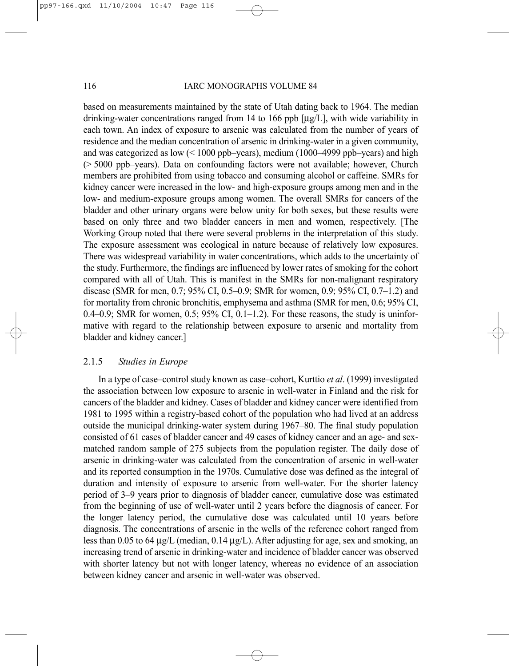#### 116 **IARC MONOGRAPHS VOLUME 84**

based on measurements maintained by the state of Utah dating back to 1964. The median drinking-water concentrations ranged from 14 to 166 ppb [µg/L], with wide variability in each town. An index of exposure to arsenic was calculated from the number of years of residence and the median concentration of arsenic in drinking-water in a given community, and was categorized as low  $(< 1000$  ppb-years), medium (1000–4999 ppb-years) and high (> 5000 ppb–years). Data on confounding factors were not available; however, Church members are prohibited from using tobacco and consuming alcohol or caffeine. SMRs for kidney cancer were increased in the low- and high-exposure groups among men and in the low- and medium-exposure groups among women. The overall SMRs for cancers of the bladder and other urinary organs were below unity for both sexes, but these results were based on only three and two bladder cancers in men and women, respectively. [The Working Group noted that there were several problems in the interpretation of this study. The exposure assessment was ecological in nature because of relatively low exposures. There was widespread variability in water concentrations, which adds to the uncertainty of the study. Furthermore, the findings are influenced by lower rates of smoking for the cohort compared with all of Utah. This is manifest in the SMRs for non-malignant respiratory disease (SMR for men, 0.7; 95% CI, 0.5–0.9; SMR for women, 0.9; 95% CI, 0.7–1.2) and for mortality from chronic bronchitis, emphysema and asthma (SMR for men, 0.6; 95% CI, 0.4–0.9; SMR for women, 0.5;  $95\%$  CI, 0.1–1.2). For these reasons, the study is uninformative with regard to the relationship between exposure to arsenic and mortality from bladder and kidney cancer.]

#### 2.1.5 *Studies in Europe*

In a type of case–control study known as case–cohort, Kurttio *et al*. (1999) investigated the association between low exposure to arsenic in well-water in Finland and the risk for cancers of the bladder and kidney. Cases of bladder and kidney cancer were identified from 1981 to 1995 within a registry-based cohort of the population who had lived at an address outside the municipal drinking-water system during 1967–80. The final study population consisted of 61 cases of bladder cancer and 49 cases of kidney cancer and an age- and sexmatched random sample of 275 subjects from the population register. The daily dose of arsenic in drinking-water was calculated from the concentration of arsenic in well-water and its reported consumption in the 1970s. Cumulative dose was defined as the integral of duration and intensity of exposure to arsenic from well-water. For the shorter latency period of 3–9 years prior to diagnosis of bladder cancer, cumulative dose was estimated from the beginning of use of well-water until 2 years before the diagnosis of cancer. For the longer latency period, the cumulative dose was calculated until 10 years before diagnosis. The concentrations of arsenic in the wells of the reference cohort ranged from less than 0.05 to 64  $\mu$ g/L (median, 0.14  $\mu$ g/L). After adjusting for age, sex and smoking, an increasing trend of arsenic in drinking-water and incidence of bladder cancer was observed with shorter latency but not with longer latency, whereas no evidence of an association between kidney cancer and arsenic in well-water was observed.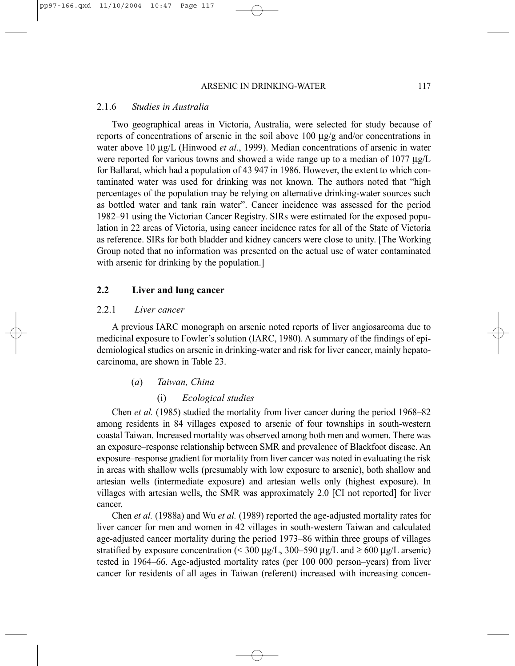#### 2.1.6 *Studies in Australia*

Two geographical areas in Victoria, Australia, were selected for study because of reports of concentrations of arsenic in the soil above 100  $\mu$ g/g and/or concentrations in water above 10  $\mu$ g/L (Hinwood *et al.*, 1999). Median concentrations of arsenic in water were reported for various towns and showed a wide range up to a median of 1077  $\mu$ g/L for Ballarat, which had a population of 43 947 in 1986. However, the extent to which contaminated water was used for drinking was not known. The authors noted that "high percentages of the population may be relying on alternative drinking-water sources such as bottled water and tank rain water". Cancer incidence was assessed for the period 1982–91 using the Victorian Cancer Registry. SIRs were estimated for the exposed population in 22 areas of Victoria, using cancer incidence rates for all of the State of Victoria as reference. SIRs for both bladder and kidney cancers were close to unity. [The Working Group noted that no information was presented on the actual use of water contaminated with arsenic for drinking by the population.]

#### **2.2 Liver and lung cancer**

#### 2.2.1 *Liver cancer*

A previous IARC monograph on arsenic noted reports of liver angiosarcoma due to medicinal exposure to Fowler's solution (IARC, 1980). A summary of the findings of epidemiological studies on arsenic in drinking-water and risk for liver cancer, mainly hepatocarcinoma, are shown in Table 23.

#### (*a*) *Taiwan, China*

#### (i) *Ecological studies*

Chen *et al.* (1985) studied the mortality from liver cancer during the period 1968–82 among residents in 84 villages exposed to arsenic of four townships in south-western coastal Taiwan. Increased mortality was observed among both men and women. There was an exposure–response relationship between SMR and prevalence of Blackfoot disease. An exposure–response gradient for mortality from liver cancer was noted in evaluating the risk in areas with shallow wells (presumably with low exposure to arsenic), both shallow and artesian wells (intermediate exposure) and artesian wells only (highest exposure). In villages with artesian wells, the SMR was approximately 2.0 [CI not reported] for liver cancer.

Chen *et al.* (1988a) and Wu *et al.* (1989) reported the age-adjusted mortality rates for liver cancer for men and women in 42 villages in south-western Taiwan and calculated age-adjusted cancer mortality during the period 1973–86 within three groups of villages stratified by exposure concentration (< 300  $\mu$ g/L, 300–590  $\mu$ g/L and  $\geq$  600  $\mu$ g/L arsenic) tested in 1964–66. Age-adjusted mortality rates (per 100 000 person–years) from liver cancer for residents of all ages in Taiwan (referent) increased with increasing concen-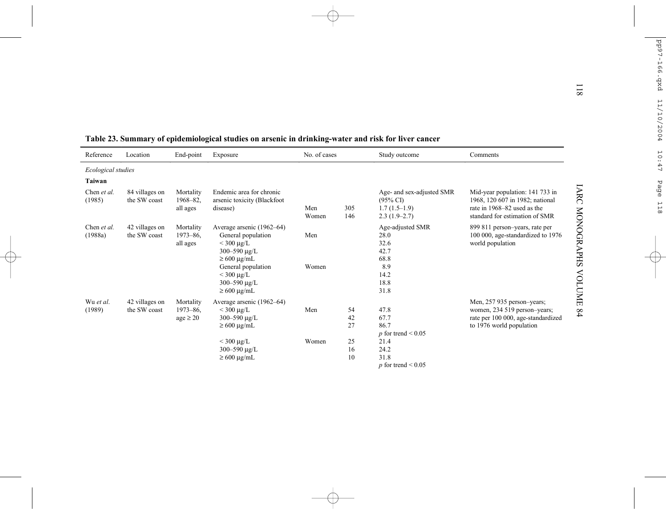|                        |                                |                                             | Table 23. Summary of epidemiological studies on arsenic in drinking-water and risk for liver cancer         |              |                |                                                                                      |                                                                                                                                     |
|------------------------|--------------------------------|---------------------------------------------|-------------------------------------------------------------------------------------------------------------|--------------|----------------|--------------------------------------------------------------------------------------|-------------------------------------------------------------------------------------------------------------------------------------|
| Reference              | Location                       | End-point                                   | Exposure                                                                                                    | No. of cases |                | Study outcome                                                                        | Comments                                                                                                                            |
| Ecological studies     |                                |                                             |                                                                                                             |              |                |                                                                                      |                                                                                                                                     |
| Taiwan                 |                                |                                             |                                                                                                             |              |                |                                                                                      |                                                                                                                                     |
| Chen et al.<br>(1985)  | 84 villages on<br>the SW coast | Mortality<br>$1968 - 82$ ,<br>all ages      | Endemic area for chronic<br>arsenic toxicity (Blackfoot<br>disease)                                         | Men<br>Women | 305<br>146     | Age- and sex-adjusted SMR<br>$(95\% \text{ CI})$<br>$1.7(1.5-1.9)$<br>$2.3(1.9-2.7)$ | Mid-year population: 141 733 in<br>1968, 120 607 in 1982; national<br>rate in 1968–82 used as the<br>standard for estimation of SMR |
| Chen et al.<br>(1988a) | 42 villages on<br>the SW coast | Mortality<br>1973-86.<br>all ages           | Average arsenic (1962–64)<br>General population<br>$<$ 300 $\mu$ g/L<br>300-590 µg/L<br>$\geq 600 \mu g/mL$ | Men          |                | Age-adjusted SMR<br>28.0<br>32.6<br>42.7<br>68.8                                     | 899 811 person-years, rate per<br>100 000, age-standardized to 1976<br>world population                                             |
|                        |                                |                                             | General population<br>$<$ 300 µg/L<br>300-590 $\mu$ g/L<br>$\geq 600 \mu g/mL$                              | Women        |                | 8.9<br>14.2<br>18.8<br>31.8                                                          |                                                                                                                                     |
| Wu et al.<br>(1989)    | 42 villages on<br>the SW coast | Mortality<br>$1973 - 86$ ,<br>$age \geq 20$ | Average arsenic (1962–64)<br>$<$ 300 $\mu$ g/L<br>300-590 $\mu$ g/L<br>$\geq 600 \mu g/mL$                  | Men          | 54<br>42<br>27 | 47.8<br>67.7<br>86.7<br>$p$ for trend < 0.05                                         | Men, 257 935 person-years;<br>women, 234 519 person-years;<br>rate per 100 000, age-standardized<br>to 1976 world population        |
|                        |                                |                                             | $<$ 300 µg/L<br>300-590 µg/L<br>$\geq 600 \text{ µg/mL}$                                                    | Women        | 25<br>16<br>10 | 21.4<br>24.2<br>31.8<br>$p$ for trend < 0.05                                         |                                                                                                                                     |

|  |  | Table 23. Summary of epidemiological studies on arsenic in drinking-water and risk for liver cance |
|--|--|----------------------------------------------------------------------------------------------------|
|  |  |                                                                                                    |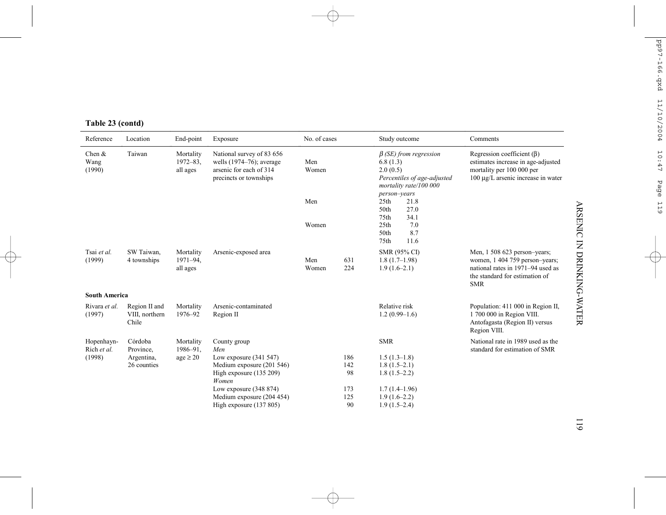| Reference                  | Location                                 | End-point                              | Exposure                                                                                                      | No. of cases |            | Study outcome                                                                                                 | Comments                                                                                                                                            |
|----------------------------|------------------------------------------|----------------------------------------|---------------------------------------------------------------------------------------------------------------|--------------|------------|---------------------------------------------------------------------------------------------------------------|-----------------------------------------------------------------------------------------------------------------------------------------------------|
| Chen $&$<br>Wang<br>(1990) | Taiwan                                   | Mortality<br>$1972 - 83$ ,<br>all ages | National survey of 83 656<br>wells $(1974-76)$ ; average<br>arsenic for each of 314<br>precincts or townships | Men<br>Women |            | $\beta$ (SE) from regression<br>6.8(1.3)<br>2.0(0.5)<br>Percentiles of age-adjusted<br>mortality rate/100 000 | Regression coefficient $(\beta)$<br>estimates increase in age-adjusted<br>mortality per 100 000 per<br>$100 \mu g/L$ arsenic increase in water      |
|                            |                                          |                                        |                                                                                                               | Men          |            | person-years<br>25 <sub>th</sub><br>21.8<br>27.0<br>50th<br>34.1<br>75th                                      |                                                                                                                                                     |
|                            |                                          |                                        |                                                                                                               | Women        |            | 7.0<br>25 <sub>th</sub><br>8.7<br>50th<br>11.6<br>75th                                                        |                                                                                                                                                     |
| Tsai et al.<br>(1999)      | SW Taiwan,<br>4 townships                | Mortality<br>$1971 - 94$<br>all ages   | Arsenic-exposed area                                                                                          | Men<br>Women | 631<br>224 | <b>SMR (95% CI)</b><br>$1.8(1.7-1.98)$<br>$1.9(1.6-2.1)$                                                      | Men, 1 508 623 person-years;<br>women, 1 404 759 person-years;<br>national rates in 1971–94 used as<br>the standard for estimation of<br><b>SMR</b> |
| <b>South America</b>       |                                          |                                        |                                                                                                               |              |            |                                                                                                               |                                                                                                                                                     |
| Rivara et al.<br>(1997)    | Region II and<br>VIII, northern<br>Chile | Mortality<br>1976-92                   | Arsenic-contaminated<br>Region II                                                                             |              |            | Relative risk<br>$1.2(0.99-1.6)$                                                                              | Population: 411 000 in Region II,<br>1 700 000 in Region VIII.<br>Antofagasta (Region II) versus<br>Region VIII.                                    |
| Hopenhayn-<br>Rich et al.  | Córdoba<br>Province,                     | Mortality<br>$1986 - 91$ ,             | County group<br>Men                                                                                           |              |            | <b>SMR</b>                                                                                                    | National rate in 1989 used as the<br>standard for estimation of SMR                                                                                 |
| (1998)                     | Argentina,                               | $age \geq 20$                          | Low exposure $(341\,547)$                                                                                     |              | 186        | $1.5(1.3-1.8)$                                                                                                |                                                                                                                                                     |
|                            | 26 counties                              |                                        | Medium exposure (201 546)                                                                                     |              | 142        | $1.8(1.5-2.1)$                                                                                                |                                                                                                                                                     |
|                            |                                          |                                        | High exposure (135 209)<br>Women                                                                              |              | 98         | $1.8(1.5-2.2)$                                                                                                |                                                                                                                                                     |
|                            |                                          |                                        | Low exposure $(348 874)$                                                                                      |              | 173        | $1.7(1.4-1.96)$                                                                                               |                                                                                                                                                     |
|                            |                                          |                                        | Medium exposure (204 454)                                                                                     |              | 125        | $1.9(1.6-2.2)$                                                                                                |                                                                                                                                                     |
|                            |                                          |                                        | High exposure (137 805)                                                                                       |              | 90         | $1.9(1.5-2.4)$                                                                                                |                                                                                                                                                     |

**Table 23 (contd)**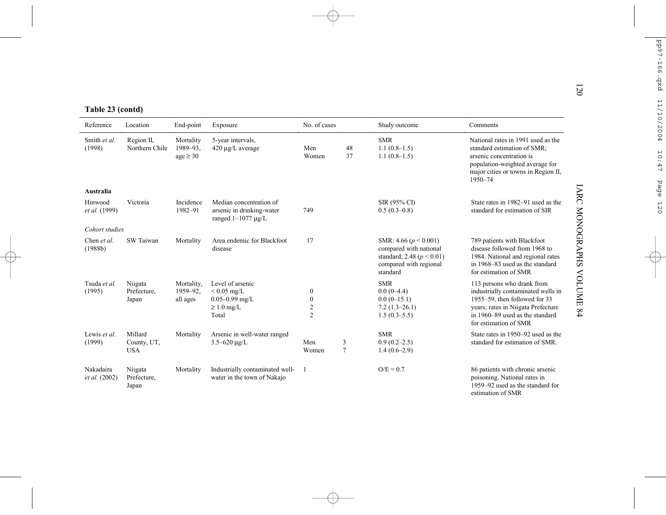|  | Table 23 (contd) |  |
|--|------------------|--|
|  |                  |  |

| Table 23 (contd)                |                                      |                                        |                                                                                     |                                                                      |                     |                                                                                                                            |                                                                                                                                                                                                     |
|---------------------------------|--------------------------------------|----------------------------------------|-------------------------------------------------------------------------------------|----------------------------------------------------------------------|---------------------|----------------------------------------------------------------------------------------------------------------------------|-----------------------------------------------------------------------------------------------------------------------------------------------------------------------------------------------------|
| Reference                       | Location                             | End-point                              | Exposure                                                                            | No. of cases                                                         |                     | Study outcome                                                                                                              | Comments                                                                                                                                                                                            |
| Smith et al.<br>(1998)          | Region II,<br>Northern Chile         | Mortality<br>1989-93.<br>$age \geq 30$ | 5-year intervals,<br>420 µg/L average                                               | Men<br>Women                                                         | 48<br>37            | <b>SMR</b><br>$1.1(0.8-1.5)$<br>$1.1(0.8-1.5)$                                                                             | National rates in 1991 used as the<br>standard estimation of SMR;<br>arsenic concentration is<br>population-weighted average for<br>major cities or towns in Region II,<br>1950-74                  |
| Australia                       |                                      |                                        |                                                                                     |                                                                      |                     |                                                                                                                            |                                                                                                                                                                                                     |
| Hinwood<br><i>et al.</i> (1999) | Victoria                             | Incidence<br>1982-91                   | Median concentration of<br>arsenic in drinking-water<br>ranged $1-1077 \mu g/L$     | 749                                                                  |                     | SIR (95% CI)<br>$0.5(0.3-0.8)$                                                                                             | State rates in 1982–91 used as the<br>standard for estimation of SIR                                                                                                                                |
| Cohort studies                  |                                      |                                        |                                                                                     |                                                                      |                     |                                                                                                                            |                                                                                                                                                                                                     |
| Chen et al.<br>(1988b)          | SW Taiwan                            | Mortality                              | Area endemic for Blackfoot<br>disease                                               | 17                                                                   |                     | SMR: 4.66 ( $p < 0.001$ )<br>compared with national<br>standard; 2.48 ( $p < 0.01$ )<br>compared with regional<br>standard | 789 patients with Blackfoot<br>disease followed from 1968 to<br>1984. National and regional rates<br>in 1968–83 used as the standard<br>for estimation of SMR                                       |
| Tsuda et al.<br>(1995)          | Niigata<br>Prefecture,<br>Japan      | Mortality,<br>1959-92.<br>all ages     | Level of arsenic<br>$< 0.05$ mg/L<br>$0.05 - 0.99$ mg/L<br>$\geq 1.0$ mg/L<br>Total | $\boldsymbol{0}$<br>$\mathbf{0}$<br>$\overline{2}$<br>$\overline{2}$ |                     | <b>SMR</b><br>$0.0(0-4.4)$<br>$0.0(0-15.1)$<br>$7.2(1.3-26.1)$<br>$1.5(0.3-5.5)$                                           | 113 persons who drank from<br>industrially contaminated wells in<br>1955–59, then followed for 33<br>years; rates in Niigata Prefecture<br>in 1960–89 used as the standard<br>for estimation of SMR |
| Lewis et al.<br>(1999)          | Millard<br>County, UT,<br><b>USA</b> | Mortality                              | Arsenic in well-water ranged<br>$3.5 - 620 \mu g/L$                                 | Men<br>Women                                                         | 3<br>$\overline{7}$ | <b>SMR</b><br>$0.9(0.2 - 2.5)$<br>$1.4(0.6-2.9)$                                                                           | State rates in 1950–92 used as the<br>standard for estimation of SMR.                                                                                                                               |
| Nakadaira<br>et al. (2002)      | Niigata<br>Prefecture,<br>Japan      | Mortality                              | Industrially contaminated well-<br>water in the town of Nakajo                      | $\vert$                                                              |                     | $O/E = 0.7$                                                                                                                | 86 patients with chronic arsenic<br>poisoning. National rates in<br>1959–92 used as the standard for<br>estimation of SMR                                                                           |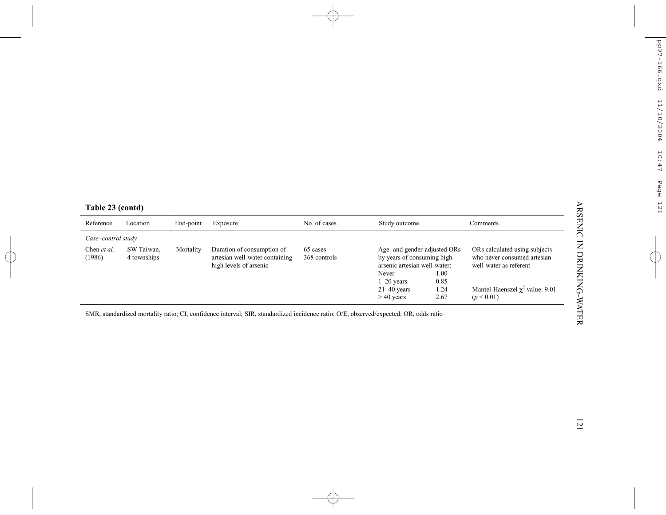| Reference             | Location                  | End-point | Exposure                                                                                                                              | No. of cases             | Study outcome                                                                                                                         |                      | Comments                                                                                                                       |
|-----------------------|---------------------------|-----------|---------------------------------------------------------------------------------------------------------------------------------------|--------------------------|---------------------------------------------------------------------------------------------------------------------------------------|----------------------|--------------------------------------------------------------------------------------------------------------------------------|
| Case-control study    |                           |           |                                                                                                                                       |                          |                                                                                                                                       |                      |                                                                                                                                |
| Chen et al.<br>(1986) | SW Taiwan,<br>4 townships | Mortality | Duration of consumption of<br>artesian well-water containing<br>high levels of arsenic                                                | 65 cases<br>368 controls | Age- and gender-adjusted ORs<br>by years of consuming high-<br>arsenic artesian well-water:<br>Never<br>$1-20$ years<br>$21-40$ years | 1.00<br>0.85<br>1.24 | ORs calculated using subjects<br>who never consumed artesian<br>well-water as referent<br>Mantel-Haenszel $\chi^2$ value: 9.01 |
|                       |                           |           |                                                                                                                                       |                          |                                                                                                                                       |                      |                                                                                                                                |
|                       |                           |           |                                                                                                                                       |                          | $>40$ years                                                                                                                           | 2.67                 | (p < 0.01)                                                                                                                     |
|                       |                           |           | SMR, standardized mortality ratio; CI, confidence interval; SIR, standardized incidence ratio; O/E, observed/expected; OR, odds ratio |                          |                                                                                                                                       |                      |                                                                                                                                |
|                       |                           |           |                                                                                                                                       |                          |                                                                                                                                       |                      |                                                                                                                                |
|                       |                           |           |                                                                                                                                       |                          |                                                                                                                                       |                      |                                                                                                                                |
|                       |                           |           |                                                                                                                                       |                          |                                                                                                                                       |                      |                                                                                                                                |
|                       |                           |           |                                                                                                                                       |                          |                                                                                                                                       |                      |                                                                                                                                |
|                       |                           |           |                                                                                                                                       |                          |                                                                                                                                       |                      |                                                                                                                                |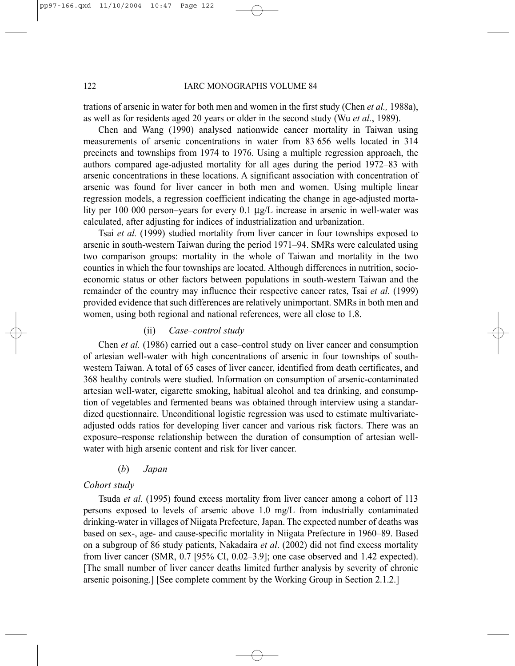trations of arsenic in water for both men and women in the first study (Chen *et al.,* 1988a), as well as for residents aged 20 years or older in the second study (Wu *et al.*, 1989).

Chen and Wang (1990) analysed nationwide cancer mortality in Taiwan using measurements of arsenic concentrations in water from 83 656 wells located in 314 precincts and townships from 1974 to 1976. Using a multiple regression approach, the authors compared age-adjusted mortality for all ages during the period 1972–83 with arsenic concentrations in these locations. A significant association with concentration of arsenic was found for liver cancer in both men and women. Using multiple linear regression models, a regression coefficient indicating the change in age-adjusted mortality per 100 000 person–years for every 0.1 µg/L increase in arsenic in well-water was calculated, after adjusting for indices of industrialization and urbanization.

Tsai *et al.* (1999) studied mortality from liver cancer in four townships exposed to arsenic in south-western Taiwan during the period 1971–94. SMRs were calculated using two comparison groups: mortality in the whole of Taiwan and mortality in the two counties in which the four townships are located. Although differences in nutrition, socioeconomic status or other factors between populations in south-western Taiwan and the remainder of the country may influence their respective cancer rates, Tsai *et al.* (1999) provided evidence that such differences are relatively unimportant. SMRs in both men and women, using both regional and national references, were all close to 1.8.

#### (ii) *Case–control study*

Chen *et al.* (1986) carried out a case–control study on liver cancer and consumption of artesian well-water with high concentrations of arsenic in four townships of southwestern Taiwan. A total of 65 cases of liver cancer, identified from death certificates, and 368 healthy controls were studied. Information on consumption of arsenic-contaminated artesian well-water, cigarette smoking, habitual alcohol and tea drinking, and consumption of vegetables and fermented beans was obtained through interview using a standardized questionnaire. Unconditional logistic regression was used to estimate multivariateadjusted odds ratios for developing liver cancer and various risk factors. There was an exposure–response relationship between the duration of consumption of artesian wellwater with high arsenic content and risk for liver cancer.

#### (*b*) *Japan*

#### *Cohort study*

Tsuda *et al.* (1995) found excess mortality from liver cancer among a cohort of 113 persons exposed to levels of arsenic above 1.0 mg/L from industrially contaminated drinking-water in villages of Niigata Prefecture, Japan. The expected number of deaths was based on sex-, age- and cause-specific mortality in Niigata Prefecture in 1960–89. Based on a subgroup of 86 study patients, Nakadaira *et al*. (2002) did not find excess mortality from liver cancer (SMR, 0.7 [95% CI, 0.02–3.9]; one case observed and 1.42 expected). [The small number of liver cancer deaths limited further analysis by severity of chronic arsenic poisoning.] [See complete comment by the Working Group in Section 2.1.2.]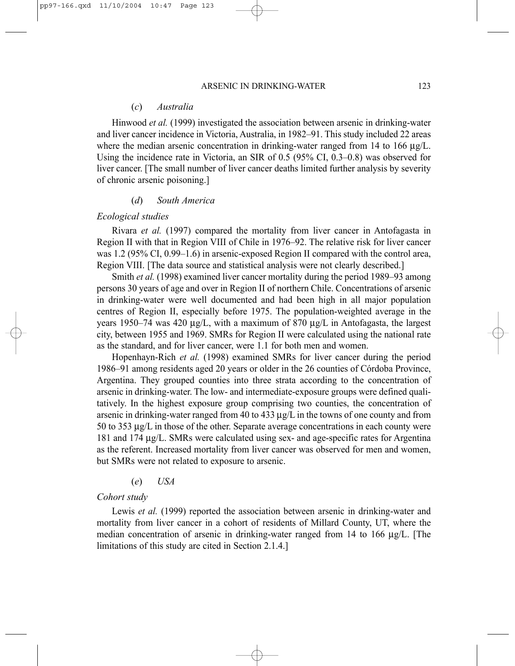#### (*c*) *Australia*

Hinwood *et al.* (1999) investigated the association between arsenic in drinking-water and liver cancer incidence in Victoria, Australia, in 1982–91. This study included 22 areas where the median arsenic concentration in drinking-water ranged from 14 to 166  $\mu$ g/L. Using the incidence rate in Victoria, an SIR of 0.5 (95% CI, 0.3–0.8) was observed for liver cancer. [The small number of liver cancer deaths limited further analysis by severity of chronic arsenic poisoning.]

#### (*d*) *South America*

#### *Ecological studies*

Rivara *et al.* (1997) compared the mortality from liver cancer in Antofagasta in Region II with that in Region VIII of Chile in 1976–92. The relative risk for liver cancer was 1.2 (95% CI, 0.99–1.6) in arsenic-exposed Region II compared with the control area, Region VIII. [The data source and statistical analysis were not clearly described.]

Smith *et al.* (1998) examined liver cancer mortality during the period 1989–93 among persons 30 years of age and over in Region II of northern Chile. Concentrations of arsenic in drinking-water were well documented and had been high in all major population centres of Region II, especially before 1975. The population-weighted average in the years 1950–74 was 420 µg/L, with a maximum of 870 µg/L in Antofagasta, the largest city, between 1955 and 1969. SMRs for Region II were calculated using the national rate as the standard, and for liver cancer, were 1.1 for both men and women.

Hopenhayn-Rich *et al.* (1998) examined SMRs for liver cancer during the period 1986–91 among residents aged 20 years or older in the 26 counties of Córdoba Province, Argentina. They grouped counties into three strata according to the concentration of arsenic in drinking-water. The low- and intermediate-exposure groups were defined qualitatively. In the highest exposure group comprising two counties, the concentration of arsenic in drinking-water ranged from 40 to 433  $\mu g/L$  in the towns of one county and from 50 to 353 µg/L in those of the other. Separate average concentrations in each county were 181 and 174 µg/L. SMRs were calculated using sex- and age-specific rates for Argentina as the referent. Increased mortality from liver cancer was observed for men and women, but SMRs were not related to exposure to arsenic.

#### (*e*) *USA*

#### *Cohort study*

Lewis *et al.* (1999) reported the association between arsenic in drinking-water and mortality from liver cancer in a cohort of residents of Millard County, UT, where the median concentration of arsenic in drinking-water ranged from 14 to 166  $\mu$ g/L. [The limitations of this study are cited in Section 2.1.4.]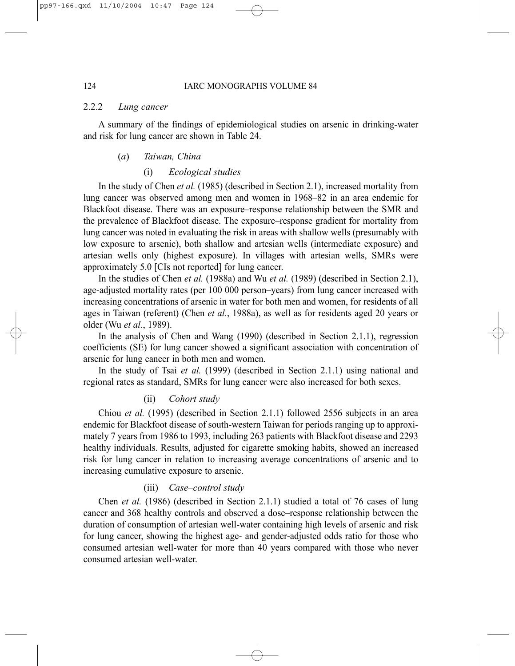#### 2.2.2 *Lung cancer*

A summary of the findings of epidemiological studies on arsenic in drinking-water and risk for lung cancer are shown in Table 24.

#### (*a*) *Taiwan, China*

#### (i) *Ecological studies*

In the study of Chen *et al.* (1985) (described in Section 2.1), increased mortality from lung cancer was observed among men and women in 1968–82 in an area endemic for Blackfoot disease. There was an exposure–response relationship between the SMR and the prevalence of Blackfoot disease. The exposure–response gradient for mortality from lung cancer was noted in evaluating the risk in areas with shallow wells (presumably with low exposure to arsenic), both shallow and artesian wells (intermediate exposure) and artesian wells only (highest exposure). In villages with artesian wells, SMRs were approximately 5.0 [CIs not reported] for lung cancer.

In the studies of Chen *et al.* (1988a) and Wu *et al.* (1989) (described in Section 2.1), age-adjusted mortality rates (per 100 000 person–years) from lung cancer increased with increasing concentrations of arsenic in water for both men and women, for residents of all ages in Taiwan (referent) (Chen *et al.*, 1988a), as well as for residents aged 20 years or older (Wu *et al.*, 1989).

In the analysis of Chen and Wang (1990) (described in Section 2.1.1), regression coefficients (SE) for lung cancer showed a significant association with concentration of arsenic for lung cancer in both men and women.

In the study of Tsai *et al.* (1999) (described in Section 2.1.1) using national and regional rates as standard, SMRs for lung cancer were also increased for both sexes.

#### (ii) *Cohort study*

Chiou *et al.* (1995) (described in Section 2.1.1) followed 2556 subjects in an area endemic for Blackfoot disease of south-western Taiwan for periods ranging up to approximately 7 years from 1986 to 1993, including 263 patients with Blackfoot disease and 2293 healthy individuals. Results, adjusted for cigarette smoking habits, showed an increased risk for lung cancer in relation to increasing average concentrations of arsenic and to increasing cumulative exposure to arsenic.

#### (iii) *Case–control study*

Chen *et al.* (1986) (described in Section 2.1.1) studied a total of 76 cases of lung cancer and 368 healthy controls and observed a dose–response relationship between the duration of consumption of artesian well-water containing high levels of arsenic and risk for lung cancer, showing the highest age- and gender-adjusted odds ratio for those who consumed artesian well-water for more than 40 years compared with those who never consumed artesian well-water.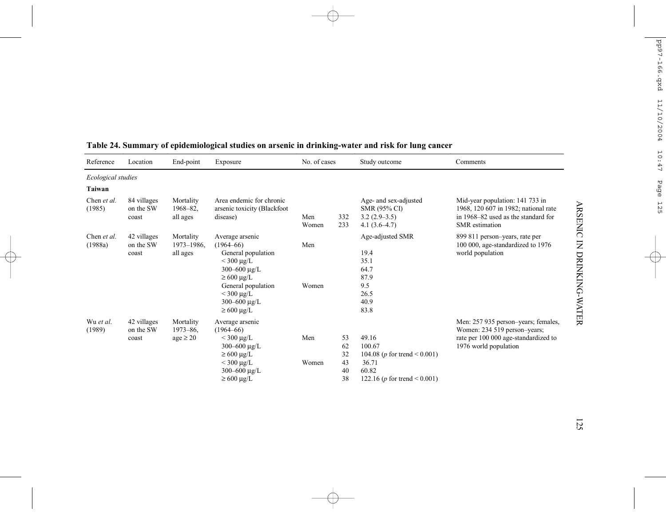| Reference              | Location                          | End-point                                  | Exposure                                                                                                                                                                                           | No. of cases |                                  | Study outcome                                                                                                     | Comments                                                                                                                                |
|------------------------|-----------------------------------|--------------------------------------------|----------------------------------------------------------------------------------------------------------------------------------------------------------------------------------------------------|--------------|----------------------------------|-------------------------------------------------------------------------------------------------------------------|-----------------------------------------------------------------------------------------------------------------------------------------|
| Ecological studies     |                                   |                                            |                                                                                                                                                                                                    |              |                                  |                                                                                                                   |                                                                                                                                         |
| Taiwan                 |                                   |                                            |                                                                                                                                                                                                    |              |                                  |                                                                                                                   |                                                                                                                                         |
| Chen et al.<br>(1985)  | 84 villages<br>on the SW<br>coast | Mortality<br>$1968 - 82$ ,<br>all ages     | Area endemic for chronic<br>arsenic toxicity (Blackfoot<br>disease)                                                                                                                                | Men<br>Women | 332<br>233                       | Age- and sex-adjusted<br>SMR (95% CI)<br>$3.2(2.9-3.5)$<br>$4.1(3.6-4.7)$                                         | Mid-year population: 141 733 in<br>1968, 120 607 in 1982; national rate<br>in 1968–82 used as the standard for<br><b>SMR</b> estimation |
| Chen et al.<br>(1988a) | 42 villages<br>on the SW<br>coast | Mortality<br>1973-1986.<br>all ages        | Average arsenic<br>$(1964 - 66)$<br>General population<br>$<$ 300 µg/L<br>300-600 $\mu$ g/L<br>$\geq 600 \mu g/L$<br>General population<br>$<$ 300 µg/L<br>300-600 $\mu$ g/L<br>$\geq 600 \mu g/L$ | Men<br>Women |                                  | Age-adjusted SMR<br>19.4<br>35.1<br>64.7<br>87.9<br>9.5<br>26.5<br>40.9<br>83.8                                   | 899 811 person-years, rate per<br>100 000, age-standardized to 1976<br>world population                                                 |
| Wu et al.<br>(1989)    | 42 villages<br>on the SW<br>coast | Mortality<br>$1973 - 86$ .<br>$age \ge 20$ | Average arsenic<br>$(1964 - 66)$<br>$<$ 300 µg/L<br>300-600 $\mu$ g/L<br>$\geq 600 \mu g/L$<br>$<$ 300 µg/L<br>$300 - 600 \mu g/L$<br>$\geq 600 \mu g/L$                                           | Men<br>Women | 53<br>62<br>32<br>43<br>40<br>38 | 49.16<br>100.67<br>104.08 ( <i>p</i> for trend < 0.001)<br>36.71<br>60.82<br>122.16 ( <i>p</i> for trend < 0.001) | Men: 257 935 person-years; females,<br>Women: 234 519 person-years;<br>rate per 100 000 age-standardized to<br>1976 world population    |

# **Table 24. Summary of epidemiological studies on arsenic in drinking-water and risk for lung cancer**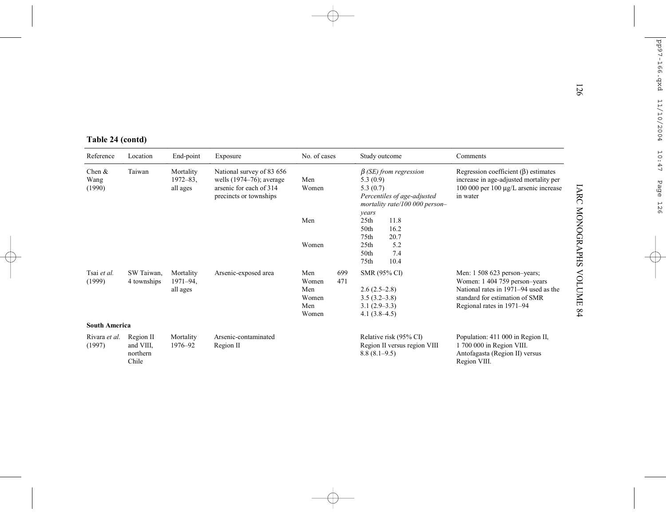|                            |                                             |                                        |                                                                                                               |                                                            |                                                                                                                                | 126                                                                                                                                                                                          |
|----------------------------|---------------------------------------------|----------------------------------------|---------------------------------------------------------------------------------------------------------------|------------------------------------------------------------|--------------------------------------------------------------------------------------------------------------------------------|----------------------------------------------------------------------------------------------------------------------------------------------------------------------------------------------|
| Table 24 (contd)           |                                             |                                        |                                                                                                               |                                                            |                                                                                                                                |                                                                                                                                                                                              |
| Reference                  | Location                                    | End-point                              | Exposure                                                                                                      | No. of cases                                               | Study outcome                                                                                                                  | Comments                                                                                                                                                                                     |
| Chen $&$<br>Wang<br>(1990) | Taiwan                                      | Mortality<br>$1972 - 83$ ,<br>all ages | National survey of 83 656<br>wells $(1974-76)$ ; average<br>arsenic for each of 314<br>precincts or townships | Men<br>Women                                               | $\beta$ (SE) from regression<br>5.3(0.9)<br>5.3(0.7)<br>Percentiles of age-adjusted<br>mortality rate/100 000 person-<br>years | Regression coefficient $(\beta)$ estimates<br>increase in age-adjusted mortality per<br>100 000 per 100 μg/L arsenic increase<br>in water                                                    |
|                            |                                             |                                        |                                                                                                               | Men<br>Women                                               | 11.8<br>25 <sub>th</sub><br>16.2<br>50th<br>20.7<br>75th<br>5.2<br>25 <sub>th</sub><br>50th<br>7.4                             | IARC MONOGRAPHS                                                                                                                                                                              |
| Tsai et al.<br>(1999)      | SW Taiwan,<br>4 townships                   | Mortality<br>$1971 - 94$ ,<br>all ages | Arsenic-exposed area                                                                                          | 699<br>Men<br>Women<br>471<br>Men<br>Women<br>Men<br>Women | 10.4<br>75th<br>SMR (95% CI)<br>$2.6(2.5-2.8)$<br>$3.5(3.2 - 3.8)$<br>$3.1(2.9-3.3)$<br>$4.1(3.8-4.5)$                         | <b>AOLUME</b><br>Men: 1 508 623 person-years;<br>Women: 1 404 759 person-years<br>National rates in 1971–94 used as the<br>standard for estimation of SMR<br>Regional rates in 1971-94<br>64 |
| <b>South America</b>       |                                             |                                        |                                                                                                               |                                                            |                                                                                                                                |                                                                                                                                                                                              |
| Rivara et al.<br>(1997)    | Region II<br>and VIII.<br>northern<br>Chile | Mortality<br>1976-92                   | Arsenic-contaminated<br>Region II                                                                             |                                                            | Relative risk (95% CI)<br>Region II versus region VIII<br>$8.8(8.1-9.5)$                                                       | Population: 411 000 in Region II,<br>1 700 000 in Region VIII.<br>Antofagasta (Region II) versus<br>Region VIII.                                                                             |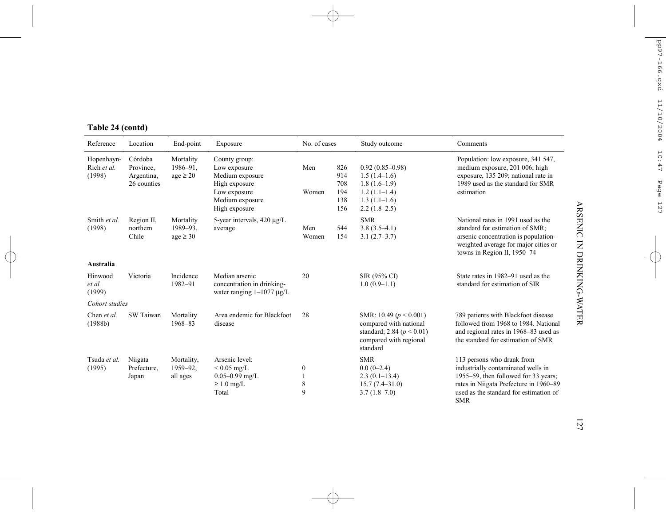| Reference                                                                                | Location                        | End-point                              | Exposure                                                                                                              | No. of cases     |                                        | Study outcome                                                                                                               | Comments                                                                                                                                                                                                   |
|------------------------------------------------------------------------------------------|---------------------------------|----------------------------------------|-----------------------------------------------------------------------------------------------------------------------|------------------|----------------------------------------|-----------------------------------------------------------------------------------------------------------------------------|------------------------------------------------------------------------------------------------------------------------------------------------------------------------------------------------------------|
| Córdoba<br>Hopenhayn-<br>Rich et al.<br>Province,<br>(1998)<br>Argentina,<br>26 counties |                                 | Mortality<br>1986-91.<br>$age \geq 20$ | County group:<br>Low exposure<br>Medium exposure<br>High exposure<br>Low exposure<br>Medium exposure<br>High exposure | Men<br>Women     | 826<br>914<br>708<br>194<br>138<br>156 | $0.92(0.85 - 0.98)$<br>$1.5(1.4-1.6)$<br>$1.8(1.6-1.9)$<br>$1.2(1.1-1.4)$<br>$1.3(1.1-1.6)$<br>$2.2(1.8-2.5)$               | Population: low exposure, 341 547,<br>medium exposure, 201 006; high<br>exposure, 135 209; national rate in<br>1989 used as the standard for SMR<br>estimation                                             |
| Smith et al.<br>(1998)                                                                   | Region II,<br>northern<br>Chile | Mortality<br>1989-93.<br>$age \geq 30$ | 5-year intervals, $420 \mu g/L$<br>average                                                                            | Men<br>Women     | 544<br>154                             | <b>SMR</b><br>$3.8(3.5-4.1)$<br>$3.1(2.7-3.7)$                                                                              | National rates in 1991 used as the<br>standard for estimation of SMR;<br>arsenic concentration is population-<br>weighted average for major cities or<br>towns in Region II, 1950-74                       |
| Australia                                                                                |                                 |                                        |                                                                                                                       |                  |                                        |                                                                                                                             |                                                                                                                                                                                                            |
| Hinwood<br>et al.<br>(1999)                                                              | Victoria                        | Incidence<br>1982-91                   | Median arsenic<br>concentration in drinking-<br>water ranging $1-1077 \mu g/L$                                        | 20               |                                        | SIR (95% CI)<br>$1.0(0.9-1.1)$                                                                                              | State rates in 1982–91 used as the<br>standard for estimation of SIR                                                                                                                                       |
| Cohort studies                                                                           |                                 |                                        |                                                                                                                       |                  |                                        |                                                                                                                             |                                                                                                                                                                                                            |
| Chen et al.<br>(1988b)                                                                   | SW Taiwan                       | Mortality<br>1968-83                   | Area endemic for Blackfoot<br>disease                                                                                 | 28               |                                        | SMR: 10.49 ( $p < 0.001$ )<br>compared with national<br>standard; 2.84 ( $p < 0.01$ )<br>compared with regional<br>standard | 789 patients with Blackfoot disease<br>followed from 1968 to 1984. National<br>and regional rates in 1968–83 used as<br>the standard for estimation of SMR                                                 |
| Tsuda et al.<br>(1995)                                                                   | Niigata<br>Prefecture,<br>Japan | Mortality,<br>1959-92.<br>all ages     | Arsenic level:<br>$< 0.05$ mg/L<br>$0.05 - 0.99$ mg/L<br>$\geq 1.0$ mg/L<br>Total                                     | 0<br>1<br>8<br>9 |                                        | <b>SMR</b><br>$0.0(0-2.4)$<br>$2.3(0.1-13.4)$<br>$15.7(7.4 - 31.0)$<br>$3.7(1.8-7.0)$                                       | 113 persons who drank from<br>industrially contaminated wells in<br>1955–59, then followed for 33 years;<br>rates in Niigata Prefecture in 1960-89<br>used as the standard for estimation of<br><b>SMR</b> |

# **Table 24 (contd)**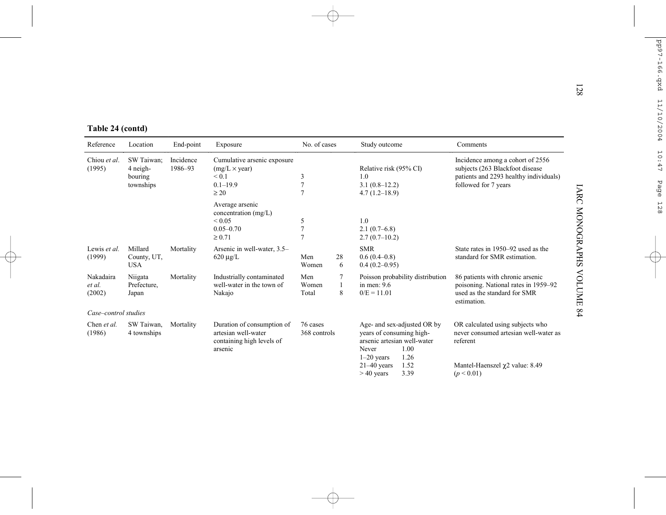| Table 24 (contd)              |                                                |                      |                                                                                               |                                       |                        |                                                                                                                                                                                  |                                                                                                                                             |
|-------------------------------|------------------------------------------------|----------------------|-----------------------------------------------------------------------------------------------|---------------------------------------|------------------------|----------------------------------------------------------------------------------------------------------------------------------------------------------------------------------|---------------------------------------------------------------------------------------------------------------------------------------------|
| Reference                     | Location                                       | End-point            | Exposure                                                                                      | No. of cases                          |                        | Study outcome                                                                                                                                                                    | Comments                                                                                                                                    |
| Chiou et al.<br>(1995)        | SW Taiwan:<br>4 neigh-<br>bouring<br>townships | Incidence<br>1986-93 | Cumulative arsenic exposure<br>$(mg/L \times year)$<br>${}< 0.1$<br>$0.1 - 19.9$<br>$\geq 20$ | 3<br>$\overline{7}$<br>$\overline{7}$ |                        | Relative risk (95% CI)<br>1.0<br>$3.1(0.8-12.2)$<br>$4.7(1.2 - 18.9)$                                                                                                            | Incidence among a cohort of 2556<br>subjects (263 Blackfoot disease<br>patients and 2293 healthy individuals)<br>followed for 7 years       |
|                               |                                                |                      | Average arsenic<br>concentration $(mg/L)$<br>${}_{0.05}$<br>$0.05 - 0.70$<br>$\ge 0.71$       | 5<br>$\overline{7}$<br>$\overline{7}$ |                        | 1.0<br>$2.1(0.7-6.8)$<br>$2.7(0.7-10.2)$                                                                                                                                         |                                                                                                                                             |
| Lewis et al.<br>(1999)        | Millard<br>County, UT,<br><b>USA</b>           | Mortality            | Arsenic in well-water, 3.5-<br>$620 \mu g/L$                                                  | Men<br>Women                          | 28<br>6                | <b>SMR</b><br>$0.6(0.4-0.8)$<br>$0.4(0.2 - 0.95)$                                                                                                                                | State rates in 1950–92 used as the<br>standard for SMR estimation.                                                                          |
| Nakadaira<br>et al.<br>(2002) | Niigata<br>Prefecture.<br>Japan                | Mortality            | Industrially contaminated<br>well-water in the town of<br>Nakajo                              | Men<br>Women<br>Total                 | 7<br>$\mathbf{1}$<br>8 | Poisson probability distribution<br>in men: $9.6$<br>$0/E = 11.01$                                                                                                               | 86 patients with chronic arsenic<br>poisoning. National rates in 1959-92<br>used as the standard for SMR<br>estimation.                     |
| Case-control studies          |                                                |                      |                                                                                               |                                       |                        |                                                                                                                                                                                  |                                                                                                                                             |
| Chen et al.<br>(1986)         | SW Taiwan,<br>4 townships                      | Mortality            | Duration of consumption of<br>artesian well-water<br>containing high levels of<br>arsenic     | 76 cases<br>368 controls              |                        | Age- and sex-adjusted OR by<br>years of consuming high-<br>arsenic artesian well-water<br>1.00<br>Never<br>$1-20$ years<br>1.26<br>$21-40$ years<br>1.52<br>3.39<br>$> 40$ years | OR calculated using subjects who<br>never consumed artesian well-water as<br>referent<br>Mantel-Haenszel $\chi$ 2 value: 8.49<br>(p < 0.01) |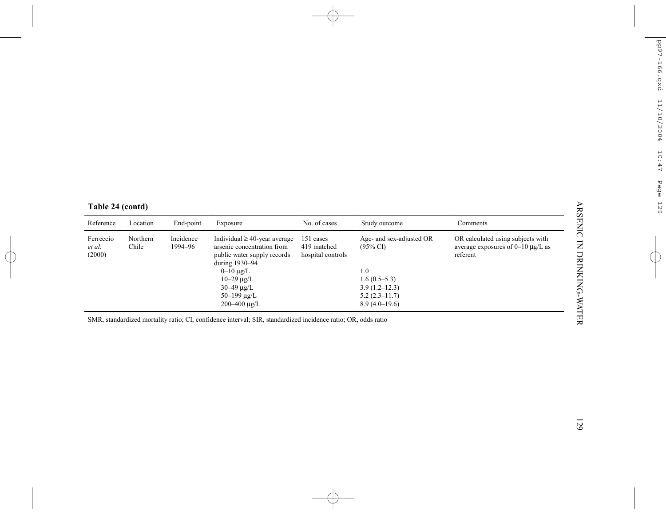| Table 24 (contd) |
|------------------|
|------------------|

| Reference                     | Location          | End-point            | Exposure                                                                                                                                                                                             | No. of cases                                  | Study outcome                                                                                                    | Comments                                                                                |
|-------------------------------|-------------------|----------------------|------------------------------------------------------------------------------------------------------------------------------------------------------------------------------------------------------|-----------------------------------------------|------------------------------------------------------------------------------------------------------------------|-----------------------------------------------------------------------------------------|
| Ferreccio<br>et al.<br>(2000) | Northern<br>Chile | Incidence<br>1994-96 | Individual $\geq$ 40-year average<br>arsenic concentration from<br>public water supply records<br>during 1930-94<br>$0 - 10 \mu g/L$<br>$10 - 29 \mu g/L$<br>$30 - 49 \mu g/L$<br>$50 - 199 \mu g/L$ | 151 cases<br>419 matched<br>hospital controls | Age- and sex-adjusted OR<br>$(95\% \text{ CI})$<br>1.0<br>$1.6(0.5-5.3)$<br>$3.9(1.2 - 12.3)$<br>$5.2(2.3-11.7)$ | OR calculated using subjects with<br>average exposures of $0-10 \mu g/L$ as<br>referent |
|                               |                   |                      | $200 - 400 \mu g/L$                                                                                                                                                                                  |                                               | $8.9(4.0-19.6)$                                                                                                  |                                                                                         |
|                               |                   |                      | SMR, standardized mortality ratio; CI, confidence interval; SIR, standardized incidence ratio; OR, odds ratio                                                                                        |                                               |                                                                                                                  |                                                                                         |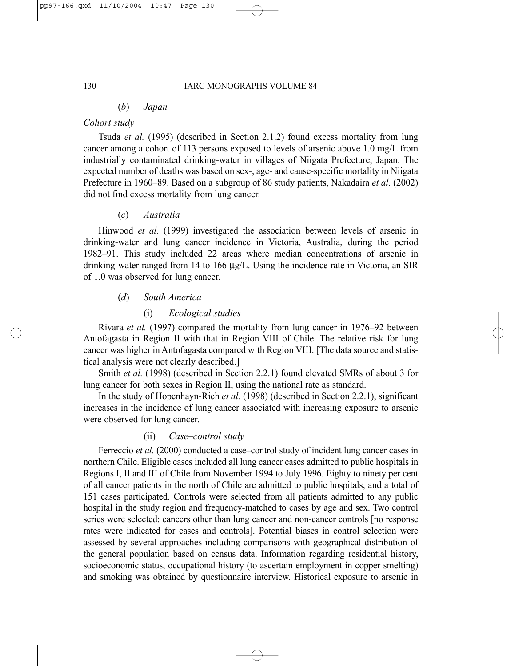# (*b*) *Japan*

# *Cohort study*

Tsuda *et al.* (1995) (described in Section 2.1.2) found excess mortality from lung cancer among a cohort of 113 persons exposed to levels of arsenic above 1.0 mg/L from industrially contaminated drinking-water in villages of Niigata Prefecture, Japan. The expected number of deaths was based on sex-, age- and cause-specific mortality in Niigata Prefecture in 1960–89. Based on a subgroup of 86 study patients, Nakadaira *et al*. (2002) did not find excess mortality from lung cancer.

## (*c*) *Australia*

Hinwood *et al.* (1999) investigated the association between levels of arsenic in drinking-water and lung cancer incidence in Victoria, Australia, during the period 1982–91. This study included 22 areas where median concentrations of arsenic in drinking-water ranged from 14 to 166 µg/L. Using the incidence rate in Victoria, an SIR of 1.0 was observed for lung cancer.

# (*d*) *South America*

# (i) *Ecological studies*

Rivara *et al.* (1997) compared the mortality from lung cancer in 1976–92 between Antofagasta in Region II with that in Region VIII of Chile. The relative risk for lung cancer was higher in Antofagasta compared with Region VIII. [The data source and statistical analysis were not clearly described.]

Smith *et al.* (1998) (described in Section 2.2.1) found elevated SMRs of about 3 for lung cancer for both sexes in Region II, using the national rate as standard.

In the study of Hopenhayn-Rich *et al.* (1998) (described in Section 2.2.1), significant increases in the incidence of lung cancer associated with increasing exposure to arsenic were observed for lung cancer.

# (ii) *Case–control study*

Ferreccio *et al.* (2000) conducted a case–control study of incident lung cancer cases in northern Chile. Eligible cases included all lung cancer cases admitted to public hospitals in Regions I, II and III of Chile from November 1994 to July 1996. Eighty to ninety per cent of all cancer patients in the north of Chile are admitted to public hospitals, and a total of 151 cases participated. Controls were selected from all patients admitted to any public hospital in the study region and frequency-matched to cases by age and sex. Two control series were selected: cancers other than lung cancer and non-cancer controls [no response rates were indicated for cases and controls]. Potential biases in control selection were assessed by several approaches including comparisons with geographical distribution of the general population based on census data. Information regarding residential history, socioeconomic status, occupational history (to ascertain employment in copper smelting) and smoking was obtained by questionnaire interview. Historical exposure to arsenic in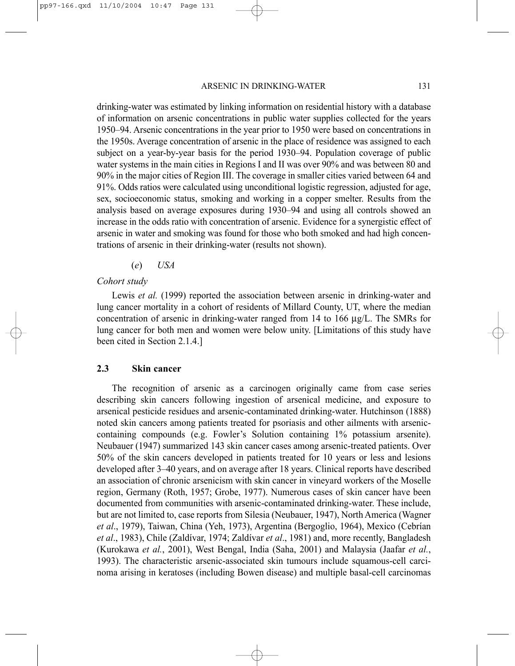#### ARSENIC IN DRINKING-WATER 131

drinking-water was estimated by linking information on residential history with a database of information on arsenic concentrations in public water supplies collected for the years 1950–94. Arsenic concentrations in the year prior to 1950 were based on concentrations in the 1950s. Average concentration of arsenic in the place of residence was assigned to each subject on a year-by-year basis for the period 1930–94. Population coverage of public water systems in the main cities in Regions I and II was over 90% and was between 80 and 90% in the major cities of Region III. The coverage in smaller cities varied between 64 and 91%. Odds ratios were calculated using unconditional logistic regression, adjusted for age, sex, socioeconomic status, smoking and working in a copper smelter. Results from the analysis based on average exposures during 1930–94 and using all controls showed an increase in the odds ratio with concentration of arsenic. Evidence for a synergistic effect of arsenic in water and smoking was found for those who both smoked and had high concentrations of arsenic in their drinking-water (results not shown).

(*e*) *USA*

#### *Cohort study*

Lewis *et al.* (1999) reported the association between arsenic in drinking-water and lung cancer mortality in a cohort of residents of Millard County, UT, where the median concentration of arsenic in drinking-water ranged from 14 to 166  $\mu$ g/L. The SMRs for lung cancer for both men and women were below unity. [Limitations of this study have been cited in Section 2.1.4.]

#### **2.3 Skin cancer**

The recognition of arsenic as a carcinogen originally came from case series describing skin cancers following ingestion of arsenical medicine, and exposure to arsenical pesticide residues and arsenic-contaminated drinking-water. Hutchinson (1888) noted skin cancers among patients treated for psoriasis and other ailments with arseniccontaining compounds (e.g. Fowler's Solution containing 1% potassium arsenite). Neubauer (1947) summarized 143 skin cancer cases among arsenic-treated patients. Over 50% of the skin cancers developed in patients treated for 10 years or less and lesions developed after 3–40 years, and on average after 18 years. Clinical reports have described an association of chronic arsenicism with skin cancer in vineyard workers of the Moselle region, Germany (Roth, 1957; Grobe, 1977). Numerous cases of skin cancer have been documented from communities with arsenic-contaminated drinking-water. These include, but are not limited to, case reports from Silesia (Neubauer, 1947), North America (Wagner *et al*., 1979), Taiwan, China (Yeh, 1973), Argentina (Bergoglio, 1964), Mexico (Cebrían *et al*., 1983), Chile (Zaldívar, 1974; Zaldívar *et al*., 1981) and, more recently, Bangladesh (Kurokawa *et al.*, 2001), West Bengal, India (Saha, 2001) and Malaysia (Jaafar *et al.*, 1993). The characteristic arsenic-associated skin tumours include squamous-cell carcinoma arising in keratoses (including Bowen disease) and multiple basal-cell carcinomas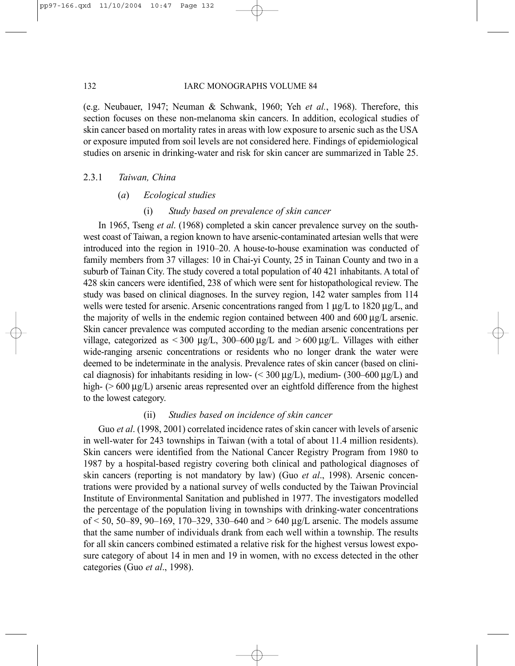#### 132 IARC MONOGRAPHS VOLUME 84

(e.g. Neubauer, 1947; Neuman & Schwank, 1960; Yeh *et al.*, 1968). Therefore, this section focuses on these non-melanoma skin cancers. In addition, ecological studies of skin cancer based on mortality rates in areas with low exposure to arsenic such as the USA or exposure imputed from soil levels are not considered here. Findings of epidemiological studies on arsenic in drinking-water and risk for skin cancer are summarized in Table 25.

#### 2.3.1 *Taiwan, China*

#### (*a*) *Ecological studies*

#### (i) *Study based on prevalence of skin cancer*

In 1965, Tseng *et al*. (1968) completed a skin cancer prevalence survey on the southwest coast of Taiwan, a region known to have arsenic-contaminated artesian wells that were introduced into the region in 1910–20. A house-to-house examination was conducted of family members from 37 villages: 10 in Chai-yi County, 25 in Tainan County and two in a suburb of Tainan City. The study covered a total population of 40 421 inhabitants. A total of 428 skin cancers were identified, 238 of which were sent for histopathological review. The study was based on clinical diagnoses. In the survey region, 142 water samples from 114 wells were tested for arsenic. Arsenic concentrations ranged from 1  $\mu$ g/L to 1820  $\mu$ g/L, and the majority of wells in the endemic region contained between 400 and 600 µg/L arsenic. Skin cancer prevalence was computed according to the median arsenic concentrations per village, categorized as  $\lt$  300 µg/L, 300–600 µg/L and  $\gt$  600 µg/L. Villages with either wide-ranging arsenic concentrations or residents who no longer drank the water were deemed to be indeterminate in the analysis. Prevalence rates of skin cancer (based on clinical diagnosis) for inhabitants residing in low-  $(< 300 \mu g/L)$ , medium-  $(300-600 \mu g/L)$  and high- ( $> 600 \mu g/L$ ) arsenic areas represented over an eightfold difference from the highest to the lowest category.

#### (ii) *Studies based on incidence of skin cancer*

Guo *et al*. (1998, 2001) correlated incidence rates of skin cancer with levels of arsenic in well-water for 243 townships in Taiwan (with a total of about 11.4 million residents). Skin cancers were identified from the National Cancer Registry Program from 1980 to 1987 by a hospital-based registry covering both clinical and pathological diagnoses of skin cancers (reporting is not mandatory by law) (Guo *et al*., 1998). Arsenic concentrations were provided by a national survey of wells conducted by the Taiwan Provincial Institute of Environmental Sanitation and published in 1977. The investigators modelled the percentage of the population living in townships with drinking-water concentrations of < 50, 50–89, 90–169, 170–329, 330–640 and > 640 µg/L arsenic. The models assume that the same number of individuals drank from each well within a township. The results for all skin cancers combined estimated a relative risk for the highest versus lowest exposure category of about 14 in men and 19 in women, with no excess detected in the other categories (Guo *et al*., 1998).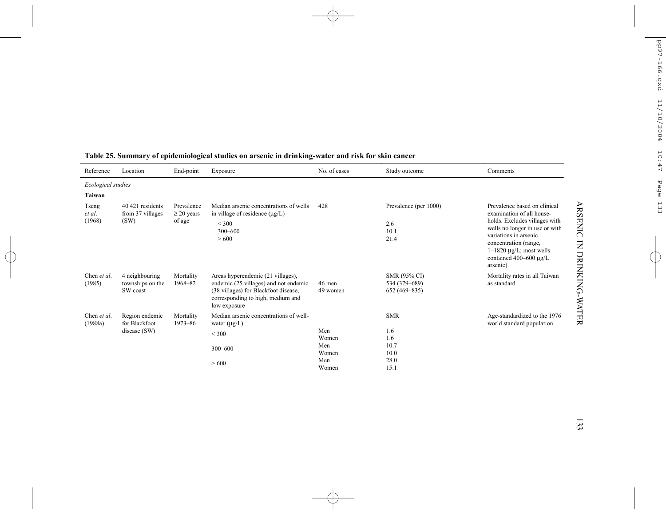| Reference                 | Location                                          | End-point                               | Exposure                                                                                                                                                                | No. of cases                                 | Study outcome                                            | Comments                                                                                                                                                                                                                                                                                       |
|---------------------------|---------------------------------------------------|-----------------------------------------|-------------------------------------------------------------------------------------------------------------------------------------------------------------------------|----------------------------------------------|----------------------------------------------------------|------------------------------------------------------------------------------------------------------------------------------------------------------------------------------------------------------------------------------------------------------------------------------------------------|
| Ecological studies        |                                                   |                                         |                                                                                                                                                                         |                                              |                                                          |                                                                                                                                                                                                                                                                                                |
| Taiwan                    |                                                   |                                         |                                                                                                                                                                         |                                              |                                                          |                                                                                                                                                                                                                                                                                                |
| Tseng<br>et al.<br>(1968) | 40 421 residents<br>from 37 villages<br>(SW)      | Prevalence<br>$\geq$ 20 years<br>of age | Median arsenic concentrations of wells<br>in village of residence $(\mu g/L)$<br>< 300<br>300-600<br>> 600                                                              | 428                                          | Prevalence (per 1000)<br>2.6<br>10.1<br>21.4             | <b>ARSENIC</b><br>Prevalence based on clinical<br>examination of all house-<br>holds. Excludes villages with<br>wells no longer in use or with<br>variations in arsenic<br>$\overline{z}$<br>concentration (range,<br>$1-1820 \mu g/L$ ; most wells<br>contained 400–600 $\mu$ g/L<br>arsenic) |
| Chen et al.<br>(1985)     | 4 neighbouring<br>townships on the<br>SW coast    | Mortality<br>1968-82                    | Areas hyperendemic (21 villages),<br>endemic (25 villages) and not endemic<br>(38 villages) for Blackfoot disease,<br>corresponding to high, medium and<br>low exposure | 46 men<br>49 women                           | SMR (95% CI)<br>534 (379-689)<br>652 (469-835)           | DRINKING-WATER<br>Mortality rates in all Taiwan<br>as standard                                                                                                                                                                                                                                 |
| Chen et al.<br>(1988a)    | Region endemic<br>for Blackfoot<br>disease $(SW)$ | Mortality<br>1973-86                    | Median arsenic concentrations of well-<br>water $(\mu g/L)$<br>$<$ 300<br>300-600<br>> 600                                                                              | Men<br>Women<br>Men<br>Women<br>Men<br>Women | <b>SMR</b><br>1.6<br>1.6<br>10.7<br>10.0<br>28.0<br>15.1 | Age-standardized to the 1976<br>world standard population                                                                                                                                                                                                                                      |

# **Table 25. Summary of epidemiological studies on arsenic in drinking-water and risk for skin cancer**

133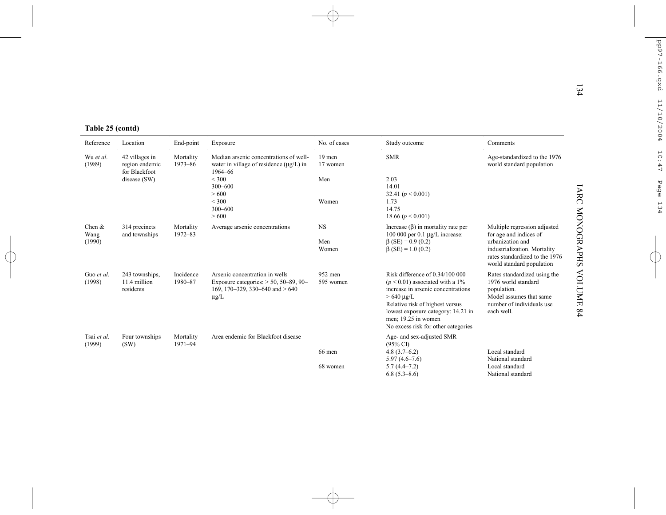|  |  | Table 25 (contd) |  |
|--|--|------------------|--|
|--|--|------------------|--|

|                             |                                                   |                      |                                                                                                                              |                      |                                                                                                                                                                                                                                                                       | 134                                                                                                                                                                  |  |  |
|-----------------------------|---------------------------------------------------|----------------------|------------------------------------------------------------------------------------------------------------------------------|----------------------|-----------------------------------------------------------------------------------------------------------------------------------------------------------------------------------------------------------------------------------------------------------------------|----------------------------------------------------------------------------------------------------------------------------------------------------------------------|--|--|
| Table 25 (contd)            |                                                   |                      |                                                                                                                              |                      |                                                                                                                                                                                                                                                                       |                                                                                                                                                                      |  |  |
| Reference                   | Location                                          | End-point            | Exposure                                                                                                                     | No. of cases         | Study outcome                                                                                                                                                                                                                                                         | Comments                                                                                                                                                             |  |  |
| Wu et al.<br>(1989)         | 42 villages in<br>region endemic<br>for Blackfoot | Mortality<br>1973-86 | Median arsenic concentrations of well-<br>water in village of residence $(\mu g/L)$ in<br>1964-66                            | 19 men<br>17 women   | <b>SMR</b>                                                                                                                                                                                                                                                            | Age-standardized to the 1976<br>world standard population                                                                                                            |  |  |
|                             | disease (SW)                                      |                      | ${}<$ 300<br>$300 - 600$<br>> 600                                                                                            | Men                  | 2.03<br>14.01<br>32.41 ( $p < 0.001$ )                                                                                                                                                                                                                                | <b>IARC</b>                                                                                                                                                          |  |  |
|                             |                                                   |                      | < 300<br>$300 - 600$<br>> 600                                                                                                | Women                | 1.73<br>14.75<br>18.66 $(p < 0.001)$                                                                                                                                                                                                                                  |                                                                                                                                                                      |  |  |
| Chen $\&$<br>Wang<br>(1990) | 314 precincts<br>and townships                    | Mortality<br>1972-83 | Average arsenic concentrations                                                                                               | <b>NS</b><br>Men     | Increase $(\beta)$ in mortality rate per<br>100 000 per 0.1 $\mu$ g/L increase:<br>$\beta$ (SE) = 0.9 (0.2)                                                                                                                                                           | <b>MONOGRAPHS</b><br>Multiple regression adjusted<br>for age and indices of<br>urbanization and                                                                      |  |  |
|                             |                                                   |                      |                                                                                                                              | Women                | $\beta$ (SE) = 1.0 (0.2)                                                                                                                                                                                                                                              | industrialization. Mortality<br>rates standardized to the 1976<br>world standard population                                                                          |  |  |
| Guo et al.<br>(1998)        | 243 townships,<br>11.4 million<br>residents       | Incidence<br>1980-87 | Arsenic concentration in wells<br>Exposure categories: $> 50$ , 50–89, 90–<br>169, 170–329, 330–640 and $> 640$<br>$\mu$ g/L | 952 men<br>595 women | Risk difference of $0.34/100 000$<br>$(p < 0.01)$ associated with a 1%<br>increase in arsenic concentrations<br>$>640 \mu g/L$<br>Relative risk of highest versus<br>lowest exposure category: 14.21 in<br>men; 19.25 in women<br>No excess risk for other categories | <b>NOLUME</b><br>Rates standardized using the<br>1976 world standard<br>population.<br>Model assumes that same<br>number of individuals use<br>$^{84}$<br>each well. |  |  |
| Tsai et al.<br>(1999)       | Four townships<br>(SW)                            | Mortality<br>1971-94 | Area endemic for Blackfoot disease                                                                                           |                      | Age- and sex-adjusted SMR<br>$(95\% \text{ CI})$                                                                                                                                                                                                                      |                                                                                                                                                                      |  |  |
|                             |                                                   |                      |                                                                                                                              | 66 men               | $4.8(3.7-6.2)$<br>$5.97(4.6 - 7.6)$                                                                                                                                                                                                                                   | Local standard<br>National standard                                                                                                                                  |  |  |
|                             |                                                   |                      |                                                                                                                              | 68 women             | $5.7(4.4 - 7.2)$<br>$6.8(5.3 - 8.6)$                                                                                                                                                                                                                                  | Local standard<br>National standard                                                                                                                                  |  |  |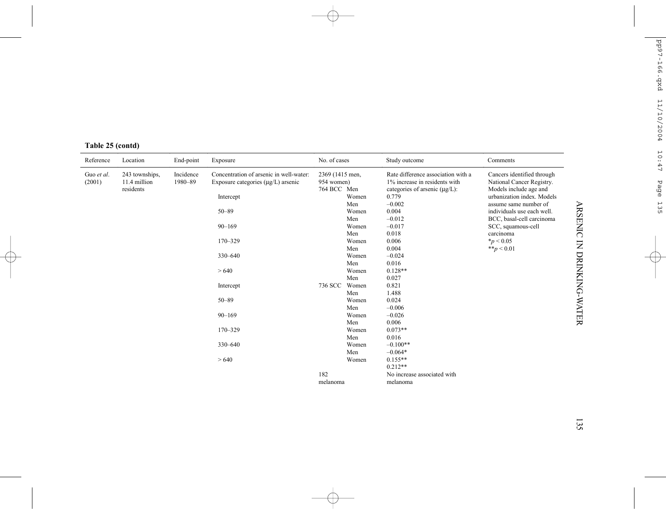| Reference  | Location       | End-point | Exposure                                | No. of cases    |       | Study outcome                       | Comments                   |  |  |  |  |  |  |            |     |       |          |  |
|------------|----------------|-----------|-----------------------------------------|-----------------|-------|-------------------------------------|----------------------------|--|--|--|--|--|--|------------|-----|-------|----------|--|
| Guo et al. | 243 townships, | Incidence | Concentration of arsenic in well-water: | 2369 (1415 men, |       | Rate difference association with a  | Cancers identified through |  |  |  |  |  |  |            |     |       |          |  |
| (2001)     | 11.4 million   | 1980-89   | Exposure categories (µg/L) arsenic      | 954 women)      |       | 1% increase in residents with       | National Cancer Registry.  |  |  |  |  |  |  |            |     |       |          |  |
|            | residents      |           |                                         | 764 BCC Men     |       | categories of arsenic $(\mu g/L)$ : | Models include age and     |  |  |  |  |  |  |            |     |       |          |  |
|            |                |           | Intercept                               |                 | Women | 0.779                               | urbanization index. Models |  |  |  |  |  |  |            |     |       |          |  |
|            |                |           |                                         |                 | Men   | $-0.002$                            | assume same number of      |  |  |  |  |  |  |            |     |       |          |  |
|            |                |           | $50 - 89$                               |                 | Women | 0.004                               | individuals use each well. |  |  |  |  |  |  |            |     |       |          |  |
|            |                |           |                                         |                 | Men   | $-0.012$                            | BCC, basal-cell carcinoma  |  |  |  |  |  |  |            |     |       |          |  |
|            |                |           | $90 - 169$                              |                 | Women | $-0.017$                            | SCC, squamous-cell         |  |  |  |  |  |  |            |     |       |          |  |
|            |                |           |                                         |                 | Men   | 0.018                               | carcinoma                  |  |  |  |  |  |  |            |     |       |          |  |
|            |                |           | 170-329                                 |                 | Women | 0.006                               | $*_p$ < 0.05               |  |  |  |  |  |  |            |     |       |          |  |
|            |                |           |                                         |                 | Men   | 0.004                               | ** $p < 0.01$              |  |  |  |  |  |  |            |     |       |          |  |
|            |                |           | 330-640                                 |                 | Women | $-0.024$                            |                            |  |  |  |  |  |  |            |     |       |          |  |
|            |                |           |                                         |                 |       | Men                                 | 0.016                      |  |  |  |  |  |  |            |     |       |          |  |
|            |                |           | >640                                    |                 | Women | $0.128**$                           |                            |  |  |  |  |  |  |            |     |       |          |  |
|            |                |           |                                         |                 |       | Men                                 | 0.027                      |  |  |  |  |  |  |            |     |       |          |  |
|            |                |           | Intercept                               | 736 SCC         | Women | 0.821                               |                            |  |  |  |  |  |  |            |     |       |          |  |
|            |                |           |                                         |                 |       |                                     |                            |  |  |  |  |  |  |            | Men | 1.488 |          |  |
|            |                |           |                                         | $50 - 89$       |       | Women                               | 0.024                      |  |  |  |  |  |  |            |     |       |          |  |
|            |                |           |                                         |                 | Men   | $-0.006$                            |                            |  |  |  |  |  |  |            |     |       |          |  |
|            |                |           |                                         |                 |       |                                     |                            |  |  |  |  |  |  | $90 - 169$ |     | Women | $-0.026$ |  |
|            |                |           |                                         |                 | Men   | 0.006                               |                            |  |  |  |  |  |  |            |     |       |          |  |
|            |                |           | $170 - 329$                             |                 | Women | $0.073**$                           |                            |  |  |  |  |  |  |            |     |       |          |  |
|            |                |           |                                         |                 | Men   | 0.016                               |                            |  |  |  |  |  |  |            |     |       |          |  |
|            |                |           | 330-640                                 |                 | Women | $-0.100**$                          |                            |  |  |  |  |  |  |            |     |       |          |  |
|            |                |           |                                         |                 | Men   | $-0.064*$                           |                            |  |  |  |  |  |  |            |     |       |          |  |
|            |                |           | >640                                    |                 | Women | $0.155**$                           |                            |  |  |  |  |  |  |            |     |       |          |  |
|            |                |           |                                         |                 |       | $0.212**$                           |                            |  |  |  |  |  |  |            |     |       |          |  |
|            |                |           |                                         | 182             |       | No increase associated with         |                            |  |  |  |  |  |  |            |     |       |          |  |
|            |                |           |                                         | melanoma        |       | melanoma                            |                            |  |  |  |  |  |  |            |     |       |          |  |

### **Table 25 (contd)**

ARSENIC IN DRINKING-WATER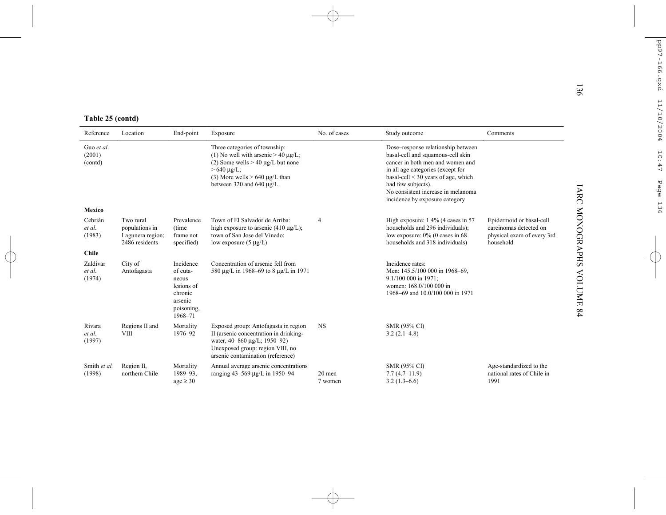|  | Table 25 (contd) |
|--|------------------|
|  |                  |

| Table 25 (contd)                |                                                                   |                                                                                             |                                                                                                                                                                                                             |                   |                                                                                                                                                                                                                                                                                            |                                                                                               |  |
|---------------------------------|-------------------------------------------------------------------|---------------------------------------------------------------------------------------------|-------------------------------------------------------------------------------------------------------------------------------------------------------------------------------------------------------------|-------------------|--------------------------------------------------------------------------------------------------------------------------------------------------------------------------------------------------------------------------------------------------------------------------------------------|-----------------------------------------------------------------------------------------------|--|
| Reference                       | Location                                                          | End-point                                                                                   | Exposure                                                                                                                                                                                                    | No. of cases      | Study outcome                                                                                                                                                                                                                                                                              | Comments                                                                                      |  |
| Guo et al.<br>(2001)<br>(contd) |                                                                   |                                                                                             | Three categories of township:<br>(1) No well with arsenic $> 40 \mu g/L$ ;<br>(2) Some wells $> 40 \mu g/L$ but none<br>$>640 \mu g/L$ ;<br>(3) More wells $> 640 \mu g/L$ than<br>between 320 and 640 µg/L |                   | Dose-response relationship between<br>basal-cell and squamous-cell skin<br>cancer in both men and women and<br>in all age categories (except for<br>basal-cell $\leq$ 30 years of age, which<br>had few subjects).<br>No consistent increase in melanoma<br>incidence by exposure category |                                                                                               |  |
| Mexico                          |                                                                   |                                                                                             |                                                                                                                                                                                                             |                   |                                                                                                                                                                                                                                                                                            |                                                                                               |  |
| Cebrián<br>et al.<br>(1983)     | Two rural<br>populations in<br>Lagunera region;<br>2486 residents | Prevalence<br>(time)<br>frame not<br>specified)                                             | Town of El Salvador de Arriba:<br>high exposure to arsenic $(410 \mu g/L)$ ;<br>town of San Jose del Vinedo:<br>low exposure $(5 \mu g/L)$                                                                  | $\overline{4}$    | High exposure: 1.4% (4 cases in 57<br>households and 296 individuals);<br>low exposure: $0\%$ (0 cases in 68<br>households and 318 individuals)                                                                                                                                            | Epidermoid or basal-cell<br>carcinomas detected on<br>physical exam of every 3rd<br>household |  |
| <b>Chile</b>                    |                                                                   |                                                                                             |                                                                                                                                                                                                             |                   |                                                                                                                                                                                                                                                                                            |                                                                                               |  |
| Zaldívar<br>et al.<br>(1974)    | City of<br>Antofagasta                                            | Incidence<br>of cuta-<br>neous<br>lesions of<br>chronic<br>arsenic<br>poisoning,<br>1968-71 | Concentration of arsenic fell from<br>580 μg/L in 1968–69 to 8 μg/L in 1971                                                                                                                                 |                   | Incidence rates:<br>Men: 145.5/100 000 in 1968-69,<br>9.1/100 000 in 1971;<br>women: 168.0/100 000 in<br>1968-69 and 10.0/100 000 in 1971                                                                                                                                                  |                                                                                               |  |
| Rivara<br>et al.<br>(1997)      | Regions II and<br><b>VIII</b>                                     | Mortality<br>1976-92                                                                        | Exposed group: Antofagasta in region<br>II (arsenic concentration in drinking-<br>water, 40-860 µg/L; 1950-92)<br>Unexposed group: region VIII, no<br>arsenic contamination (reference)                     | <b>NS</b>         | SMR (95% CI)<br>$3.2(2.1-4.8)$                                                                                                                                                                                                                                                             |                                                                                               |  |
| Smith et al.<br>(1998)          | Region II,<br>northern Chile                                      | Mortality<br>1989-93,<br>age $\geq$ 30                                                      | Annual average arsenic concentrations<br>ranging 43-569 µg/L in 1950-94                                                                                                                                     | 20 men<br>7 women | SMR (95% CI)<br>$7.7(4.7-11.9)$<br>$3.2(1.3-6.6)$                                                                                                                                                                                                                                          | Age-standardized to the<br>national rates of Chile in<br>1991                                 |  |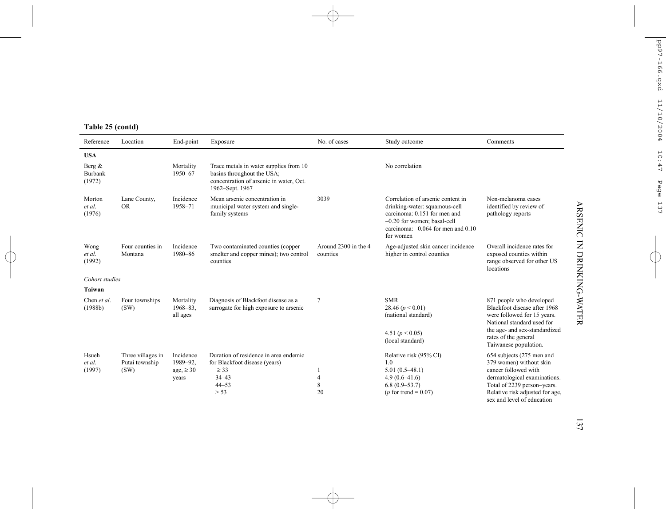|  |  |  | Table 25 (contd) |  |
|--|--|--|------------------|--|
|--|--|--|------------------|--|

| Reference                      | Location                                    | End-point                               | Exposure                                                                                                                           | No. of cases                     | Study outcome                                                                                                                                                                              | Comments                                                                                                                                               |
|--------------------------------|---------------------------------------------|-----------------------------------------|------------------------------------------------------------------------------------------------------------------------------------|----------------------------------|--------------------------------------------------------------------------------------------------------------------------------------------------------------------------------------------|--------------------------------------------------------------------------------------------------------------------------------------------------------|
| <b>USA</b>                     |                                             |                                         |                                                                                                                                    |                                  |                                                                                                                                                                                            |                                                                                                                                                        |
| Berg $\&$<br>Burbank<br>(1972) |                                             | Mortality<br>1950-67                    | Trace metals in water supplies from 10<br>basins throughout the USA;<br>concentration of arsenic in water, Oct.<br>1962-Sept. 1967 |                                  | No correlation                                                                                                                                                                             |                                                                                                                                                        |
| Morton<br>et al.<br>(1976)     | Lane County,<br><b>OR</b>                   | Incidence<br>1958-71                    | Mean arsenic concentration in<br>municipal water system and single-<br>family systems                                              | 3039                             | Correlation of arsenic content in<br>drinking-water: squamous-cell<br>carcinoma: 0.151 for men and<br>$-0.20$ for women: basal-cell<br>carcinoma: $-0.064$ for men and $0.10$<br>for women | Non-melanoma cases<br>identified by review of<br>pathology reports                                                                                     |
| Wong<br>et al.<br>(1992)       | Four counties in<br>Montana                 | Incidence<br>1980-86                    | Two contaminated counties (copper<br>smelter and copper mines); two control<br>counties                                            | Around 2300 in the 4<br>counties | Age-adjusted skin cancer incidence<br>higher in control counties                                                                                                                           | Overall incidence rates for<br>exposed counties within<br>range observed for other US<br>locations                                                     |
| Cohort studies                 |                                             |                                         |                                                                                                                                    |                                  |                                                                                                                                                                                            |                                                                                                                                                        |
| Taiwan                         |                                             |                                         |                                                                                                                                    |                                  |                                                                                                                                                                                            |                                                                                                                                                        |
| Chen et al.<br>(1988b)         | Four townships<br>(SW)                      | Mortality<br>$1968 - 83$ ,<br>all ages  | Diagnosis of Blackfoot disease as a<br>surrogate for high exposure to arsenic                                                      | 7                                | <b>SMR</b><br>28.46 $(p < 0.01)$<br>(national standard)<br>4.51 ( $p < 0.05$ )                                                                                                             | 871 people who developed<br>Blackfoot disease after 1968<br>were followed for 15 years.<br>National standard used for<br>the age- and sex-standardized |
|                                |                                             |                                         |                                                                                                                                    |                                  | (local standard)                                                                                                                                                                           | rates of the general<br>Taiwanese population.                                                                                                          |
| Hsueh<br>et al.<br>(1997)      | Three villages in<br>Putai township<br>(SW) | Incidence<br>1989-92,<br>age, $\geq 30$ | Duration of residence in area endemic<br>for Blackfoot disease (years)<br>$\geq$ 33                                                |                                  | Relative risk (95% CI)<br>1.0<br>$5.01(0.5-48.1)$                                                                                                                                          | 654 subjects (275 men and<br>379 women) without skin<br>cancer followed with                                                                           |
|                                |                                             | years                                   | $34 - 43$                                                                                                                          | 4                                | $4.9(0.6 - 41.6)$                                                                                                                                                                          | dermatological examinations.                                                                                                                           |
|                                |                                             |                                         | $44 - 53$<br>> 53                                                                                                                  | 8<br>20                          | $6.8(0.9 - 53.7)$<br>( $p$ for trend = 0.07)                                                                                                                                               | Total of 2239 person-years.<br>Relative risk adjusted for age,<br>sex and level of education                                                           |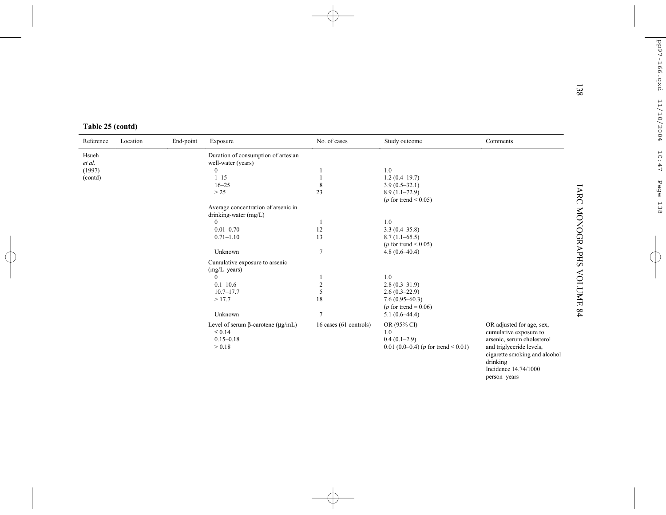| Table 25 (contd) |  |
|------------------|--|
|------------------|--|

| Table 25 (contd)                     |          |           |                                                                                                                                                                                                                                                                                                                                                           |                                                                                        |                                                                                                                                                                                                                                                                                                         |                                                                                                                                                                                                    |
|--------------------------------------|----------|-----------|-----------------------------------------------------------------------------------------------------------------------------------------------------------------------------------------------------------------------------------------------------------------------------------------------------------------------------------------------------------|----------------------------------------------------------------------------------------|---------------------------------------------------------------------------------------------------------------------------------------------------------------------------------------------------------------------------------------------------------------------------------------------------------|----------------------------------------------------------------------------------------------------------------------------------------------------------------------------------------------------|
| Reference                            | Location | End-point | Exposure                                                                                                                                                                                                                                                                                                                                                  | No. of cases                                                                           | Study outcome                                                                                                                                                                                                                                                                                           | Comments                                                                                                                                                                                           |
| Hsueh<br>et al.<br>(1997)<br>(contd) |          |           | Duration of consumption of artesian<br>well-water (years)<br>$\boldsymbol{0}$<br>$1 - 15$<br>$16 - 25$<br>>25<br>Average concentration of arsenic in<br>drinking-water (mg/L)<br>$\Omega$<br>$0.01 - 0.70$<br>$0.71 - 1.10$<br>Unknown<br>Cumulative exposure to arsenic<br>(mg/L-years)<br>$\theta$<br>$0.1 - 10.6$<br>$10.7 - 17.7$<br>>17.7<br>Unknown | 8<br>23<br>12<br>13<br>$\overline{7}$<br>$\boldsymbol{2}$<br>5<br>18<br>$\overline{7}$ | 1.0<br>$1.2(0.4-19.7)$<br>$3.9(0.5-32.1)$<br>$8.9(1.1-72.9)$<br>( $p$ for trend < 0.05)<br>1.0<br>$3.3(0.4 - 35.8)$<br>$8.7(1.1-65.5)$<br>( $p$ for trend < 0.05)<br>$4.8(0.6-40.4)$<br>1.0<br>$2.8(0.3 - 31.9)$<br>$2.6(0.3-22.9)$<br>$7.6(0.95 - 60.3)$<br>( $p$ for trend = 0.06)<br>$5.1(0.6-44.4)$ |                                                                                                                                                                                                    |
|                                      |          |           | Level of serum $\beta$ -carotene ( $\mu$ g/mL)<br>$\leq 0.14$<br>$0.15 - 0.18$<br>> 0.18                                                                                                                                                                                                                                                                  | 16 cases (61 controls)                                                                 | OR (95% CI)<br>1.0<br>$0.4(0.1-2.9)$<br>0.01 (0.0–0.4) ( $p$ for trend < 0.01)                                                                                                                                                                                                                          | OR adjusted for age, sex,<br>cumulative exposure to<br>arsenic, serum cholesterol<br>and triglyceride levels,<br>cigarette smoking and alcohol<br>drinking<br>Incidence 14.74/1000<br>person-years |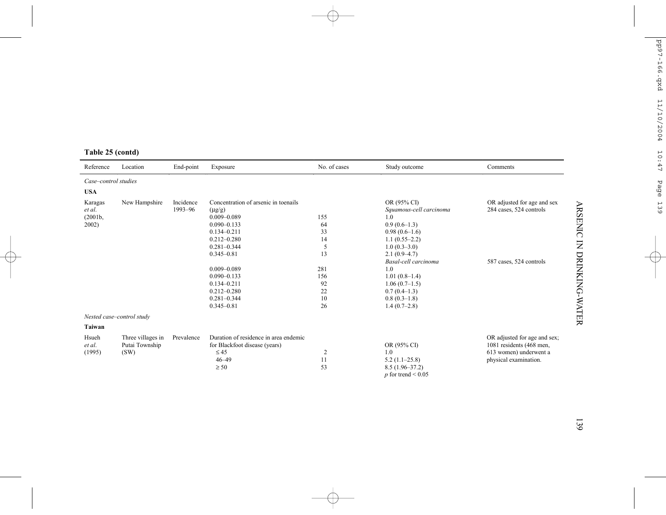| Reference            | Location                  | End-point  | Exposure                              | No. of cases | Study outcome           | Comments                     |
|----------------------|---------------------------|------------|---------------------------------------|--------------|-------------------------|------------------------------|
| Case-control studies |                           |            |                                       |              |                         |                              |
| <b>USA</b>           |                           |            |                                       |              |                         |                              |
| Karagas              | New Hampshire             | Incidence  | Concentration of arsenic in toenails  |              | OR (95% CI)             | OR adjusted for age and sex  |
| et al.               |                           | 1993-96    | $(\mu g/g)$                           |              | Squamous-cell carcinoma | 284 cases, 524 controls      |
| (2001b,              |                           |            | $0.009 - 0.089$                       | 155          | 1.0                     |                              |
| 2002)                |                           |            | $0.090 - 0.133$                       | 64           | $0.9(0.6-1.3)$          |                              |
|                      |                           |            | $0.134 - 0.211$                       | 33           | $0.98(0.6-1.6)$         |                              |
|                      |                           |            | $0.212 - 0.280$                       | 14           | $1.1(0.55-2.2)$         |                              |
|                      |                           |            | $0.281 - 0.344$                       | 5            | $1.0(0.3-3.0)$          |                              |
|                      |                           |            | $0.345 - 0.81$                        | 13           | $2.1(0.9-4.7)$          |                              |
|                      |                           |            |                                       |              | Basal-cell carcinoma    | 587 cases, 524 controls      |
|                      |                           |            | $0.009 - 0.089$                       | 281          | 1.0                     |                              |
|                      |                           |            | $0.090 - 0.133$                       | 156          | $1.01(0.8-1.4)$         |                              |
|                      |                           |            | $0.134 - 0.211$                       | 92           | $1.06(0.7-1.5)$         |                              |
|                      |                           |            | $0.212 - 0.280$                       | 22           | $0.7(0.4-1.3)$          |                              |
|                      |                           |            | $0.281 - 0.344$                       | 10           | $0.8(0.3-1.8)$          |                              |
|                      |                           |            | $0.345 - 0.81$                        | 26           | $1.4(0.7-2.8)$          |                              |
|                      | Nested case-control study |            |                                       |              |                         |                              |
| Taiwan               |                           |            |                                       |              |                         |                              |
| Hsueh                | Three villages in         | Prevalence | Duration of residence in area endemic |              |                         | OR adjusted for age and sex; |
| et al.               | Putai Township            |            | for Blackfoot disease (years)         |              | OR (95% CI)             | 1081 residents (468 men,     |
| (1995)               | (SW)                      |            | $\leq 45$                             | 2            | 1.0                     | 613 women) underwent a       |
|                      |                           |            | $46 - 49$                             | 11           | $5.2(1.1-25.8)$         | physical examination.        |
|                      |                           |            | $\geq 50$                             | 53           | $8.5(1.96-37.2)$        |                              |
|                      |                           |            |                                       |              | $p$ for trend < 0.05    |                              |

# **Table 25 (contd)**

139

ARSENIC IN DRINKING-WATER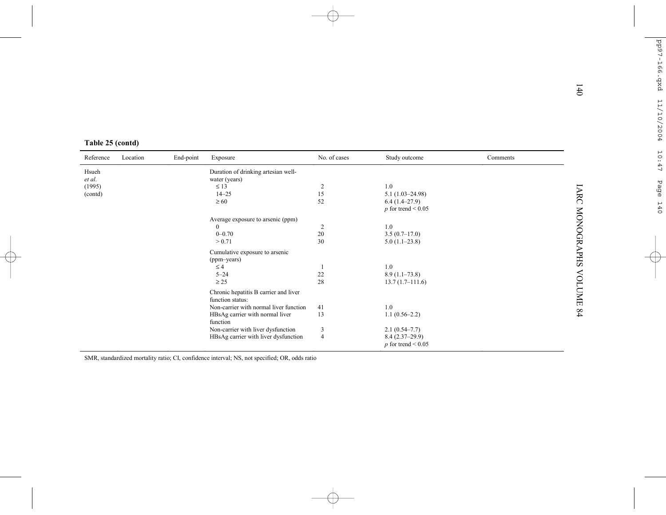|                  |          |           |                                                           |                |                      |          | 140                    |  |  |
|------------------|----------|-----------|-----------------------------------------------------------|----------------|----------------------|----------|------------------------|--|--|
|                  |          |           |                                                           |                |                      |          |                        |  |  |
|                  |          |           |                                                           |                |                      |          |                        |  |  |
|                  |          |           |                                                           |                |                      |          |                        |  |  |
| Table 25 (contd) |          |           |                                                           |                |                      |          |                        |  |  |
| Reference        | Location | End-point | Exposure                                                  | No. of cases   | Study outcome        | Comments |                        |  |  |
| Hsueh            |          |           | Duration of drinking artesian well-                       |                |                      |          |                        |  |  |
| et al.           |          |           | water (years)                                             |                |                      |          |                        |  |  |
| (1995)           |          |           | $\leq 13$                                                 | $\overline{c}$ | 1.0                  |          |                        |  |  |
| (contd)          |          |           | $14 - 25$                                                 | 15             | $5.1(1.03 - 24.98)$  |          |                        |  |  |
|                  |          |           | $\geq 60$                                                 | 52             | $6.4(1.4-27.9)$      |          |                        |  |  |
|                  |          |           |                                                           |                | $p$ for trend < 0.05 |          |                        |  |  |
|                  |          |           | Average exposure to arsenic (ppm)                         |                |                      |          |                        |  |  |
|                  |          |           | $\mathbf{0}$                                              | 2              | 1.0                  |          |                        |  |  |
|                  |          |           | $0 - 0.70$                                                | $20\,$         | $3.5(0.7-17.0)$      |          |                        |  |  |
|                  |          |           | > 0.71                                                    | 30             | $5.0(1.1-23.8)$      |          |                        |  |  |
|                  |          |           | Cumulative exposure to arsenic                            |                |                      |          | <b>IARC MONOGRAPHS</b> |  |  |
|                  |          |           | (ppm-years)                                               |                |                      |          |                        |  |  |
|                  |          |           | $\leq 4$                                                  |                | 1.0                  |          |                        |  |  |
|                  |          |           | $5 - 24$                                                  | 22             | $8.9(1.1-73.8)$      |          |                        |  |  |
|                  |          |           | $\geq$ 25                                                 | 28             | $13.7(1.7-111.6)$    |          |                        |  |  |
|                  |          |           | Chronic hepatitis B carrier and liver<br>function status: |                |                      |          | VOLUME 84              |  |  |
|                  |          |           | Non-carrier with normal liver function                    | 41             | 1.0                  |          |                        |  |  |
|                  |          |           | HBsAg carrier with normal liver                           | 13             | $1.1(0.56-2.2)$      |          |                        |  |  |
|                  |          |           | function                                                  |                |                      |          |                        |  |  |
|                  |          |           | Non-carrier with liver dysfunction                        | 3              | $2.1(0.54 - 7.7)$    |          |                        |  |  |
|                  |          |           | HBsAg carrier with liver dysfunction                      | $\overline{4}$ | $8.4(2.37-29.9)$     |          |                        |  |  |
|                  |          |           |                                                           |                | $p$ for trend < 0.05 |          |                        |  |  |
|                  |          |           |                                                           |                |                      |          |                        |  |  |

SMR, standardized mortality ratio; CI, confidence interval; NS, not specified; OR, odds ratio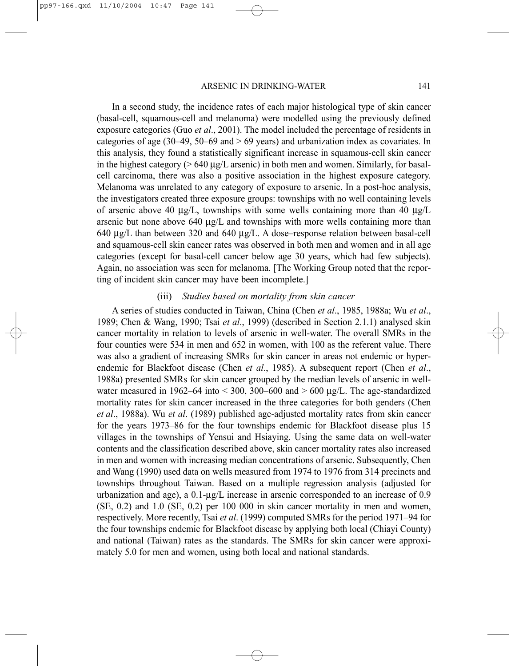In a second study, the incidence rates of each major histological type of skin cancer (basal-cell, squamous-cell and melanoma) were modelled using the previously defined exposure categories (Guo *et al*., 2001). The model included the percentage of residents in categories of age (30–49, 50–69 and  $> 69$  years) and urbanization index as covariates. In this analysis, they found a statistically significant increase in squamous-cell skin cancer in the highest category ( $> 640 \mu g/L$  arsenic) in both men and women. Similarly, for basalcell carcinoma, there was also a positive association in the highest exposure category. Melanoma was unrelated to any category of exposure to arsenic. In a post-hoc analysis, the investigators created three exposure groups: townships with no well containing levels of arsenic above 40  $\mu$ g/L, townships with some wells containing more than 40  $\mu$ g/L arsenic but none above  $640 \mu g/L$  and townships with more wells containing more than 640 µg/L than between 320 and 640 µg/L. A dose–response relation between basal-cell and squamous-cell skin cancer rates was observed in both men and women and in all age categories (except for basal-cell cancer below age 30 years, which had few subjects). Again, no association was seen for melanoma. [The Working Group noted that the reporting of incident skin cancer may have been incomplete.]

#### (iii) *Studies based on mortality from skin cancer*

A series of studies conducted in Taiwan, China (Chen *et al*., 1985, 1988a; Wu *et al*., 1989; Chen & Wang, 1990; Tsai *et al*., 1999) (described in Section 2.1.1) analysed skin cancer mortality in relation to levels of arsenic in well-water. The overall SMRs in the four counties were 534 in men and 652 in women, with 100 as the referent value. There was also a gradient of increasing SMRs for skin cancer in areas not endemic or hyperendemic for Blackfoot disease (Chen *et al*., 1985). A subsequent report (Chen *et al*., 1988a) presented SMRs for skin cancer grouped by the median levels of arsenic in wellwater measured in 1962–64 into  $\leq$  300, 300–600 and  $>$  600 µg/L. The age-standardized mortality rates for skin cancer increased in the three categories for both genders (Chen *et al*., 1988a). Wu *et al*. (1989) published age-adjusted mortality rates from skin cancer for the years 1973–86 for the four townships endemic for Blackfoot disease plus 15 villages in the townships of Yensui and Hsiaying. Using the same data on well-water contents and the classification described above, skin cancer mortality rates also increased in men and women with increasing median concentrations of arsenic. Subsequently, Chen and Wang (1990) used data on wells measured from 1974 to 1976 from 314 precincts and townships throughout Taiwan. Based on a multiple regression analysis (adjusted for urbanization and age), a  $0.1$ - $\mu$ g/L increase in arsenic corresponded to an increase of 0.9 (SE, 0.2) and 1.0 (SE, 0.2) per 100 000 in skin cancer mortality in men and women, respectively. More recently, Tsai *et al*. (1999) computed SMRs for the period 1971–94 for the four townships endemic for Blackfoot disease by applying both local (Chiayi County) and national (Taiwan) rates as the standards. The SMRs for skin cancer were approximately 5.0 for men and women, using both local and national standards.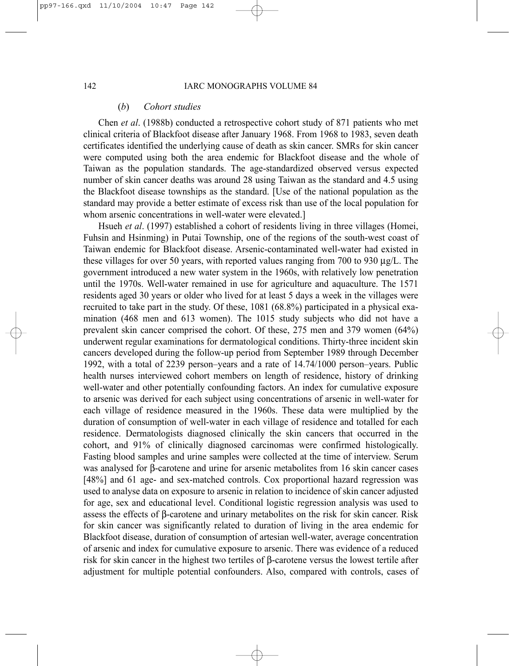#### (*b*) *Cohort studies*

Chen *et al*. (1988b) conducted a retrospective cohort study of 871 patients who met clinical criteria of Blackfoot disease after January 1968. From 1968 to 1983, seven death certificates identified the underlying cause of death as skin cancer. SMRs for skin cancer were computed using both the area endemic for Blackfoot disease and the whole of Taiwan as the population standards. The age-standardized observed versus expected number of skin cancer deaths was around 28 using Taiwan as the standard and 4.5 using the Blackfoot disease townships as the standard. [Use of the national population as the standard may provide a better estimate of excess risk than use of the local population for whom arsenic concentrations in well-water were elevated.]

Hsueh *et al*. (1997) established a cohort of residents living in three villages (Homei, Fuhsin and Hsinming) in Putai Township, one of the regions of the south-west coast of Taiwan endemic for Blackfoot disease. Arsenic-contaminated well-water had existed in these villages for over 50 years, with reported values ranging from 700 to 930  $\mu$ g/L. The government introduced a new water system in the 1960s, with relatively low penetration until the 1970s. Well-water remained in use for agriculture and aquaculture. The 1571 residents aged 30 years or older who lived for at least 5 days a week in the villages were recruited to take part in the study. Of these, 1081 (68.8%) participated in a physical examination (468 men and 613 women). The 1015 study subjects who did not have a prevalent skin cancer comprised the cohort. Of these, 275 men and 379 women (64%) underwent regular examinations for dermatological conditions. Thirty-three incident skin cancers developed during the follow-up period from September 1989 through December 1992, with a total of 2239 person–years and a rate of 14.74/1000 person–years. Public health nurses interviewed cohort members on length of residence, history of drinking well-water and other potentially confounding factors. An index for cumulative exposure to arsenic was derived for each subject using concentrations of arsenic in well-water for each village of residence measured in the 1960s. These data were multiplied by the duration of consumption of well-water in each village of residence and totalled for each residence. Dermatologists diagnosed clinically the skin cancers that occurred in the cohort, and 91% of clinically diagnosed carcinomas were confirmed histologically. Fasting blood samples and urine samples were collected at the time of interview. Serum was analysed for β-carotene and urine for arsenic metabolites from 16 skin cancer cases [48%] and 61 age- and sex-matched controls. Cox proportional hazard regression was used to analyse data on exposure to arsenic in relation to incidence of skin cancer adjusted for age, sex and educational level. Conditional logistic regression analysis was used to assess the effects of β-carotene and urinary metabolites on the risk for skin cancer. Risk for skin cancer was significantly related to duration of living in the area endemic for Blackfoot disease, duration of consumption of artesian well-water, average concentration of arsenic and index for cumulative exposure to arsenic. There was evidence of a reduced risk for skin cancer in the highest two tertiles of β-carotene versus the lowest tertile after adjustment for multiple potential confounders. Also, compared with controls, cases of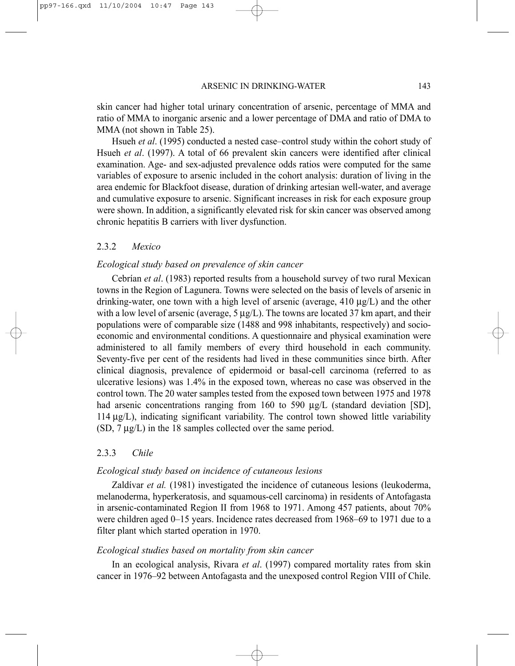skin cancer had higher total urinary concentration of arsenic, percentage of MMA and ratio of MMA to inorganic arsenic and a lower percentage of DMA and ratio of DMA to MMA (not shown in Table 25).

Hsueh *et al*. (1995) conducted a nested case–control study within the cohort study of Hsueh *et al*. (1997). A total of 66 prevalent skin cancers were identified after clinical examination. Age- and sex-adjusted prevalence odds ratios were computed for the same variables of exposure to arsenic included in the cohort analysis: duration of living in the area endemic for Blackfoot disease, duration of drinking artesian well-water, and average and cumulative exposure to arsenic. Significant increases in risk for each exposure group were shown. In addition, a significantly elevated risk for skin cancer was observed among chronic hepatitis B carriers with liver dysfunction.

## 2.3.2 *Mexico*

#### *Ecological study based on prevalence of skin cancer*

Cebrían *et al*. (1983) reported results from a household survey of two rural Mexican towns in the Region of Lagunera. Towns were selected on the basis of levels of arsenic in drinking-water, one town with a high level of arsenic (average, 410 µg/L) and the other with a low level of arsenic (average, 5  $\mu$ g/L). The towns are located 37 km apart, and their populations were of comparable size (1488 and 998 inhabitants, respectively) and socioeconomic and environmental conditions. A questionnaire and physical examination were administered to all family members of every third household in each community. Seventy-five per cent of the residents had lived in these communities since birth. After clinical diagnosis, prevalence of epidermoid or basal-cell carcinoma (referred to as ulcerative lesions) was 1.4% in the exposed town, whereas no case was observed in the control town. The 20 water samples tested from the exposed town between 1975 and 1978 had arsenic concentrations ranging from 160 to 590 µg/L (standard deviation [SD], 114 µg/L), indicating significant variability. The control town showed little variability (SD, 7 µg/L) in the 18 samples collected over the same period.

#### 2.3.3 *Chile*

#### *Ecological study based on incidence of cutaneous lesions*

Zaldívar *et al.* (1981) investigated the incidence of cutaneous lesions (leukoderma, melanoderma, hyperkeratosis, and squamous-cell carcinoma) in residents of Antofagasta in arsenic-contaminated Region II from 1968 to 1971. Among 457 patients, about 70% were children aged 0–15 years. Incidence rates decreased from 1968–69 to 1971 due to a filter plant which started operation in 1970.

#### *Ecological studies based on mortality from skin cancer*

In an ecological analysis, Rivara *et al*. (1997) compared mortality rates from skin cancer in 1976–92 between Antofagasta and the unexposed control Region VIII of Chile.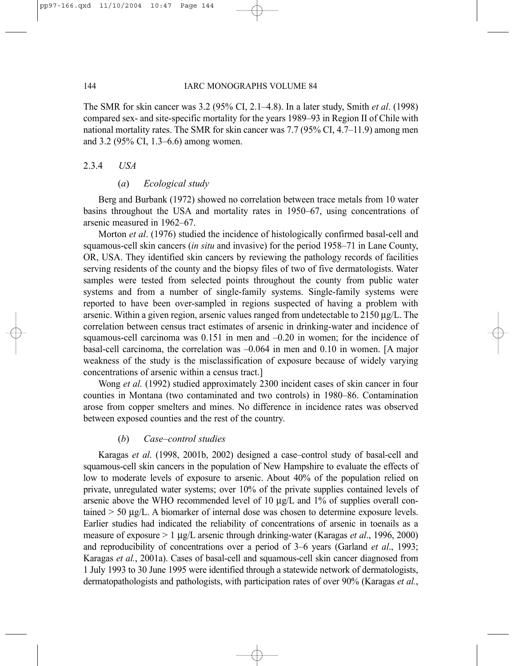The SMR for skin cancer was 3.2 (95% CI, 2.1–4.8). In a later study, Smith *et al*. (1998) compared sex- and site-specific mortality for the years 1989–93 in Region II of Chile with national mortality rates. The SMR for skin cancer was 7.7 (95% CI, 4.7–11.9) among men and 3.2 (95% CI, 1.3–6.6) among women.

#### 2.3.4 *USA*

#### (*a*) *Ecological study*

Berg and Burbank (1972) showed no correlation between trace metals from 10 water basins throughout the USA and mortality rates in 1950–67, using concentrations of arsenic measured in 1962–67.

Morton *et al*. (1976) studied the incidence of histologically confirmed basal-cell and squamous-cell skin cancers (*in situ* and invasive) for the period 1958–71 in Lane County, OR, USA. They identified skin cancers by reviewing the pathology records of facilities serving residents of the county and the biopsy files of two of five dermatologists. Water samples were tested from selected points throughout the county from public water systems and from a number of single-family systems. Single-family systems were reported to have been over-sampled in regions suspected of having a problem with arsenic. Within a given region, arsenic values ranged from undetectable to  $2150 \mu g/L$ . The correlation between census tract estimates of arsenic in drinking-water and incidence of squamous-cell carcinoma was 0.151 in men and –0.20 in women; for the incidence of basal-cell carcinoma, the correlation was –0.064 in men and 0.10 in women. [A major weakness of the study is the misclassification of exposure because of widely varying concentrations of arsenic within a census tract.]

Wong *et al.* (1992) studied approximately 2300 incident cases of skin cancer in four counties in Montana (two contaminated and two controls) in 1980–86. Contamination arose from copper smelters and mines. No difference in incidence rates was observed between exposed counties and the rest of the country.

#### (*b*) *Case–control studies*

Karagas *et al*. (1998, 2001b, 2002) designed a case–control study of basal-cell and squamous-cell skin cancers in the population of New Hampshire to evaluate the effects of low to moderate levels of exposure to arsenic. About 40% of the population relied on private, unregulated water systems; over 10% of the private supplies contained levels of arsenic above the WHO recommended level of 10 µg/L and 1% of supplies overall contained > 50 µg/L. A biomarker of internal dose was chosen to determine exposure levels. Earlier studies had indicated the reliability of concentrations of arsenic in toenails as a measure of exposure > 1 µg/L arsenic through drinking-water (Karagas *et al*., 1996, 2000) and reproducibility of concentrations over a period of 3–6 years (Garland *et al*., 1993; Karagas *et al.*, 2001a). Cases of basal-cell and squamous-cell skin cancer diagnosed from 1 July 1993 to 30 June 1995 were identified through a statewide network of dermatologists, dermatopathologists and pathologists, with participation rates of over 90% (Karagas *et al.*,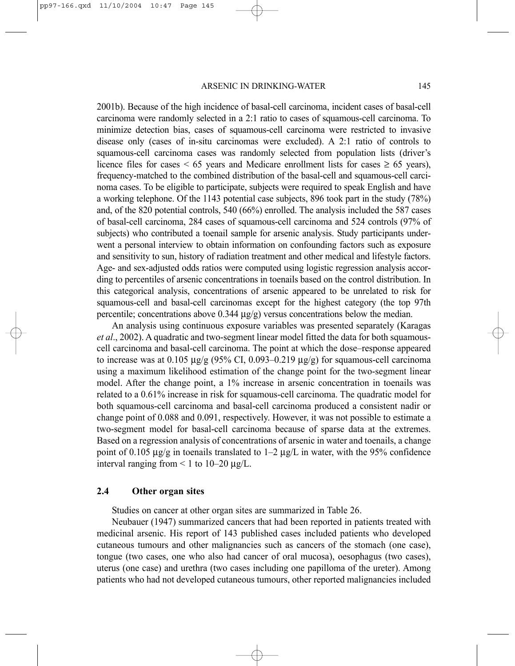2001b). Because of the high incidence of basal-cell carcinoma, incident cases of basal-cell carcinoma were randomly selected in a 2:1 ratio to cases of squamous-cell carcinoma. To minimize detection bias, cases of squamous-cell carcinoma were restricted to invasive disease only (cases of in-situ carcinomas were excluded). A 2:1 ratio of controls to squamous-cell carcinoma cases was randomly selected from population lists (driver's licence files for cases  $\leq 65$  years and Medicare enrollment lists for cases  $\geq 65$  years), frequency-matched to the combined distribution of the basal-cell and squamous-cell carcinoma cases. To be eligible to participate, subjects were required to speak English and have a working telephone. Of the 1143 potential case subjects, 896 took part in the study (78%) and, of the 820 potential controls, 540 (66%) enrolled. The analysis included the 587 cases of basal-cell carcinoma, 284 cases of squamous-cell carcinoma and 524 controls (97% of subjects) who contributed a toenail sample for arsenic analysis. Study participants underwent a personal interview to obtain information on confounding factors such as exposure and sensitivity to sun, history of radiation treatment and other medical and lifestyle factors. Age- and sex-adjusted odds ratios were computed using logistic regression analysis according to percentiles of arsenic concentrations in toenails based on the control distribution. In this categorical analysis, concentrations of arsenic appeared to be unrelated to risk for squamous-cell and basal-cell carcinomas except for the highest category (the top 97th percentile; concentrations above 0.344 µg/g) versus concentrations below the median.

An analysis using continuous exposure variables was presented separately (Karagas *et al*., 2002). A quadratic and two-segment linear model fitted the data for both squamouscell carcinoma and basal-cell carcinoma. The point at which the dose–response appeared to increase was at  $0.105 \mu g/g$  (95% CI, 0.093–0.219  $\mu g/g$ ) for squamous-cell carcinoma using a maximum likelihood estimation of the change point for the two-segment linear model. After the change point, a 1% increase in arsenic concentration in toenails was related to a 0.61% increase in risk for squamous-cell carcinoma. The quadratic model for both squamous-cell carcinoma and basal-cell carcinoma produced a consistent nadir or change point of 0.088 and 0.091, respectively. However, it was not possible to estimate a two-segment model for basal-cell carcinoma because of sparse data at the extremes. Based on a regression analysis of concentrations of arsenic in water and toenails, a change point of 0.105  $\mu$ g/g in toenails translated to 1–2  $\mu$ g/L in water, with the 95% confidence interval ranging from  $\leq 1$  to 10–20  $\mu$ g/L.

#### **2.4 Other organ sites**

Studies on cancer at other organ sites are summarized in Table 26.

Neubauer (1947) summarized cancers that had been reported in patients treated with medicinal arsenic. His report of 143 published cases included patients who developed cutaneous tumours and other malignancies such as cancers of the stomach (one case), tongue (two cases, one who also had cancer of oral mucosa), oesophagus (two cases), uterus (one case) and urethra (two cases including one papilloma of the ureter). Among patients who had not developed cutaneous tumours, other reported malignancies included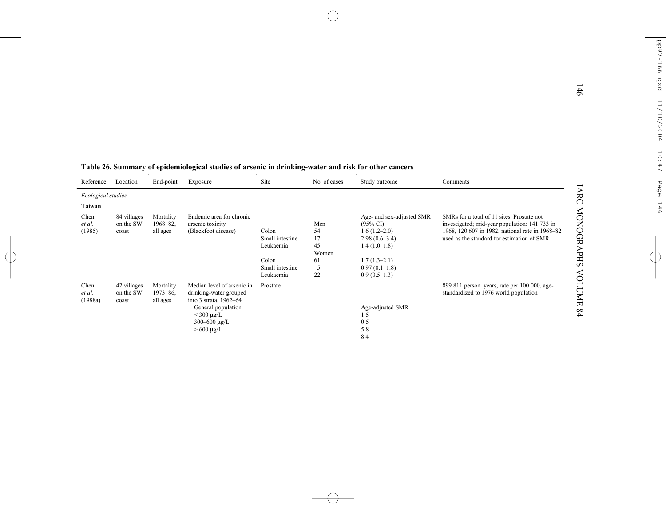|                    |                          |                       | Table 26. Summary of epidemiological studies of arsenic in drinking-water and risk for other cancers |                 |              |                                                  |                                                                                             |
|--------------------|--------------------------|-----------------------|------------------------------------------------------------------------------------------------------|-----------------|--------------|--------------------------------------------------|---------------------------------------------------------------------------------------------|
| Reference          | Location                 | End-point             | Exposure                                                                                             | Site            | No. of cases | Study outcome                                    | Comments                                                                                    |
| Ecological studies |                          |                       |                                                                                                      |                 |              |                                                  |                                                                                             |
| Taiwan             |                          |                       |                                                                                                      |                 |              |                                                  |                                                                                             |
| Chen<br>et al.     | 84 villages<br>on the SW | Mortality<br>1968-82. | Endemic area for chronic<br>arsenic toxicity                                                         |                 | Men          | Age- and sex-adjusted SMR<br>$(95\% \text{ C}I)$ | SMRs for a total of 11 sites. Prostate not<br>investigated; mid-year population: 141 733 in |
| (1985)             | coast                    | all ages              | (Blackfoot disease)                                                                                  | Colon           | 54           | $1.6(1.2-2.0)$                                   | 1968, 120 607 in 1982; national rate in 1968-82                                             |
|                    |                          |                       |                                                                                                      | Small intestine | 17           | $2.98(0.6-3.4)$                                  | used as the standard for estimation of SMR                                                  |
|                    |                          |                       |                                                                                                      | Leukaemia       | 45<br>Women  | $1.4(1.0-1.8)$                                   |                                                                                             |
|                    |                          |                       |                                                                                                      | Colon           | 61           | $1.7(1.3-2.1)$                                   |                                                                                             |
|                    |                          |                       |                                                                                                      | Small intestine | 5            | $0.97(0.1-1.8)$                                  |                                                                                             |
|                    |                          |                       |                                                                                                      | Leukaemia       | 22           | $0.9(0.5-1.3)$                                   |                                                                                             |
| Chen<br>et al.     | 42 villages<br>on the SW | Mortality<br>1973-86. | Median level of arsenic in<br>drinking-water grouped                                                 | Prostate        |              |                                                  | 899 811 person-years, rate per 100 000, age-<br>standardized to 1976 world population       |
| (1988a)            | coast                    | all ages              | into 3 strata, 1962-64<br>General population                                                         |                 |              | Age-adjusted SMR                                 |                                                                                             |
|                    |                          |                       | $<$ 300 µg/L                                                                                         |                 |              | 1.5                                              |                                                                                             |
|                    |                          |                       | 300-600 $\mu$ g/L                                                                                    |                 |              | 0.5                                              |                                                                                             |
|                    |                          |                       | $>600 \mu g/L$                                                                                       |                 |              | 5.8                                              |                                                                                             |
|                    |                          |                       |                                                                                                      |                 |              | 8.4                                              |                                                                                             |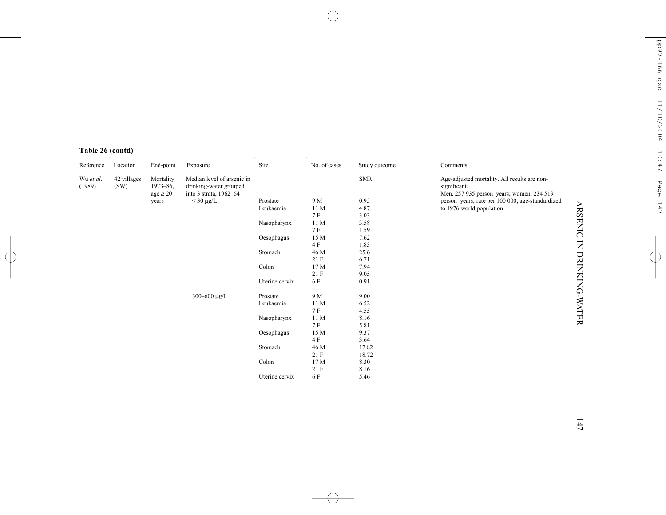|  | Table 26 (contd) |
|--|------------------|
|  |                  |

| Reference           | Location            | End-point                                  | Exposure                                                                       | Site           | No. of cases | Study outcome | Comments                                                                                                  |
|---------------------|---------------------|--------------------------------------------|--------------------------------------------------------------------------------|----------------|--------------|---------------|-----------------------------------------------------------------------------------------------------------|
| Wu et al.<br>(1989) | 42 villages<br>(SW) | Mortality<br>$1973 - 86$ ,<br>$age \ge 20$ | Median level of arsenic in<br>drinking-water grouped<br>into 3 strata, 1962-64 |                |              | <b>SMR</b>    | Age-adjusted mortality. All results are non-<br>significant.<br>Men, 257 935 person-years; women, 234 519 |
|                     |                     | years                                      | $<$ 30 µg/L                                                                    | Prostate       | 9 M          | 0.95          | person-years; rate per 100 000, age-standardized                                                          |
|                     |                     |                                            |                                                                                | Leukaemia      | 11 M         | 4.87          | to 1976 world population                                                                                  |
|                     |                     |                                            |                                                                                |                | 7 F          | 3.03          |                                                                                                           |
|                     |                     |                                            |                                                                                | Nasopharynx    | 11 M         | 3.58          |                                                                                                           |
|                     |                     |                                            |                                                                                |                | 7 F          | 1.59          |                                                                                                           |
|                     |                     |                                            |                                                                                | Oesophagus     | 15 M         | 7.62          |                                                                                                           |
|                     |                     |                                            |                                                                                |                | 4 F          | 1.83          |                                                                                                           |
|                     |                     |                                            |                                                                                | Stomach        | 46 M         | 25.6          |                                                                                                           |
|                     |                     |                                            |                                                                                |                | 21 F         | 6.71          |                                                                                                           |
|                     |                     |                                            |                                                                                | Colon          | 17 M         | 7.94          |                                                                                                           |
|                     |                     |                                            |                                                                                |                | 21 F         | 9.05          |                                                                                                           |
|                     |                     |                                            |                                                                                | Uterine cervix | 6 F          | 0.91          |                                                                                                           |
|                     |                     |                                            | 300-600 $\mu$ g/L                                                              | Prostate       | 9 M          | 9.00          |                                                                                                           |
|                     |                     |                                            |                                                                                | Leukaemia      | 11 M         | 6.52          |                                                                                                           |
|                     |                     |                                            |                                                                                |                | 7 F          | 4.55          |                                                                                                           |
|                     |                     |                                            |                                                                                | Nasopharynx    | 11 M         | 8.16          |                                                                                                           |
|                     |                     |                                            |                                                                                |                | 7 F          | 5.81          |                                                                                                           |
|                     |                     |                                            |                                                                                | Oesophagus     | 15 M         | 9.37          |                                                                                                           |
|                     |                     |                                            |                                                                                |                | 4 F          | 3.64          |                                                                                                           |
|                     |                     |                                            |                                                                                | Stomach        | 46 M         | 17.82         |                                                                                                           |
|                     |                     |                                            |                                                                                |                | 21 F         | 18.72         |                                                                                                           |
|                     |                     |                                            |                                                                                | Colon          | 17 M         | 8.30          |                                                                                                           |
|                     |                     |                                            |                                                                                |                | 21 F         | 8.16          |                                                                                                           |
|                     |                     |                                            |                                                                                | Uterine cervix | 6 F          | 5.46          |                                                                                                           |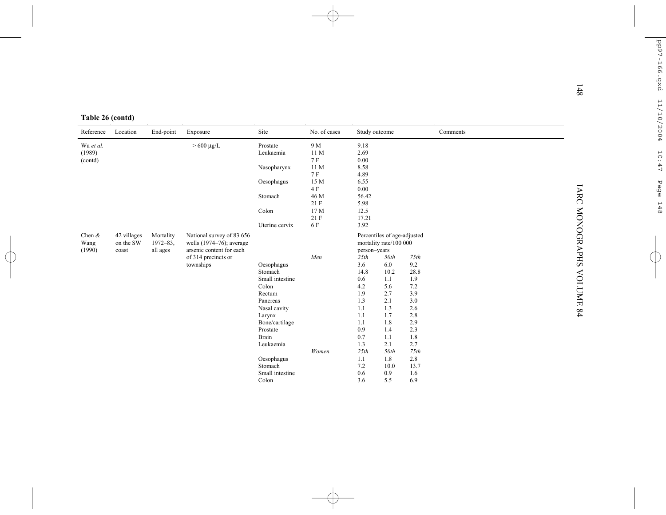| Table 26 (contd) |
|------------------|
|------------------|

| Table 26 (contd) |             |               |                                                      |                          |                 |                      |                             |            |          |  |
|------------------|-------------|---------------|------------------------------------------------------|--------------------------|-----------------|----------------------|-----------------------------|------------|----------|--|
| Reference        | Location    | End-point     | Exposure                                             | Site                     | No. of cases    | Study outcome        |                             |            | Comments |  |
| Wu et al.        |             |               | $>600 \mu g/L$                                       | Prostate                 | 9 M             | 9.18                 |                             |            |          |  |
| (1989)           |             |               |                                                      | Leukaemia                | 11M<br>7 F      | 2.69                 |                             |            |          |  |
| (contd)          |             |               |                                                      | Nasopharynx              | 11 <sub>M</sub> | 0.00<br>8.58         |                             |            |          |  |
|                  |             |               |                                                      |                          | <b>7F</b>       | 4.89                 |                             |            |          |  |
|                  |             |               |                                                      | Oesophagus               | 15 M            | 6.55                 |                             |            |          |  |
|                  |             |               |                                                      |                          | 4 F             | 0.00                 |                             |            |          |  |
|                  |             |               |                                                      | Stomach                  | 46 M<br>21F     | 56.42<br>5.98        |                             |            |          |  |
|                  |             |               |                                                      | Colon                    | 17 M            | 12.5                 |                             |            |          |  |
|                  |             |               |                                                      |                          | 21F             | 17.21                |                             |            |          |  |
|                  |             |               |                                                      | Uterine cervix           | 6 F             | 3.92                 |                             |            |          |  |
| Chen $\&$        | 42 villages | Mortality     | National survey of 83 656                            |                          |                 |                      | Percentiles of age-adjusted |            |          |  |
| Wang             | on the SW   | $1972 - 83$ , | wells (1974-76); average<br>arsenic content for each |                          |                 |                      | mortality rate/100 000      |            |          |  |
| (1990)           | coast       | all ages      | of 314 precincts or                                  |                          | Men             | person-years<br>25th | 50th                        | 75th       |          |  |
|                  |             |               | townships                                            | Oesophagus               |                 | 3.6                  | 6.0                         | 9.2        |          |  |
|                  |             |               |                                                      | Stomach                  |                 | 14.8                 | 10.2                        | 28.8       |          |  |
|                  |             |               |                                                      | Small intestine          |                 | 0.6                  | 1.1                         | 1.9        |          |  |
|                  |             |               |                                                      | Colon                    |                 | 4.2                  | 5.6                         | 7.2        |          |  |
|                  |             |               |                                                      | Rectum                   |                 | 1.9                  | 2.7                         | 3.9        |          |  |
|                  |             |               |                                                      | Pancreas                 |                 | 1.3                  | 2.1                         | 3.0        |          |  |
|                  |             |               |                                                      | Nasal cavity<br>Larynx   |                 | 1.1<br>1.1           | 1.3<br>1.7                  | 2.6<br>2.8 |          |  |
|                  |             |               |                                                      | Bone/cartilage           |                 | 1.1                  | 1.8                         | 2.9        |          |  |
|                  |             |               |                                                      | Prostate                 |                 | 0.9                  | 1.4                         | 2.3        |          |  |
|                  |             |               |                                                      | Brain                    |                 | 0.7                  | 1.1                         | 1.8        |          |  |
|                  |             |               |                                                      | Leukaemia                |                 | 1.3                  | 2.1                         | 2.7        |          |  |
|                  |             |               |                                                      |                          | Women           | 25th                 | 50th                        | 75th       |          |  |
|                  |             |               |                                                      | Oesophagus               |                 | 1.1                  | 1.8                         | 2.8        |          |  |
|                  |             |               |                                                      | Stomach                  |                 | 7.2                  | 10.0                        | 13.7       |          |  |
|                  |             |               |                                                      | Small intestine<br>Colon |                 | 0.6<br>3.6           | 0.9<br>5.5                  | 1.6<br>6.9 |          |  |
|                  |             |               |                                                      |                          |                 |                      |                             |            |          |  |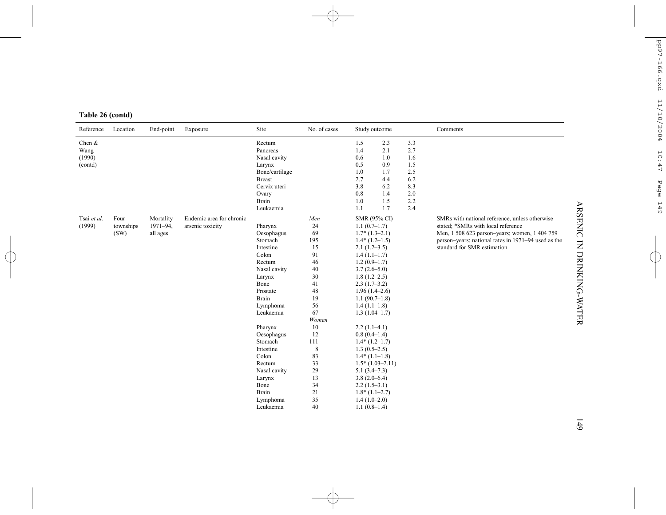|  | Table 26 (contd) |
|--|------------------|
|  |                  |

| Reference                              | Location                  | End-point                            | Exposure                                     | Site                                                                                                                                                                                              | No. of cases                                                                                                        | Study outcome                                                                                                                                                                                                                                                                                                               |                                                                    |                                                                    | Comments                                                                                                                                                                                                                    |
|----------------------------------------|---------------------------|--------------------------------------|----------------------------------------------|---------------------------------------------------------------------------------------------------------------------------------------------------------------------------------------------------|---------------------------------------------------------------------------------------------------------------------|-----------------------------------------------------------------------------------------------------------------------------------------------------------------------------------------------------------------------------------------------------------------------------------------------------------------------------|--------------------------------------------------------------------|--------------------------------------------------------------------|-----------------------------------------------------------------------------------------------------------------------------------------------------------------------------------------------------------------------------|
| Chen $\&$<br>Wang<br>(1990)<br>(contd) |                           |                                      |                                              | Rectum<br>Pancreas<br>Nasal cavity<br>Larynx<br>Bone/cartilage<br><b>Breast</b><br>Cervix uteri<br>Ovary<br>Brain<br>Leukaemia                                                                    |                                                                                                                     | 1.5<br>1.4<br>0.6<br>0.5<br>1.0<br>2.7<br>3.8<br>0.8<br>1.0<br>1.1                                                                                                                                                                                                                                                          | 2.3<br>2.1<br>1.0<br>0.9<br>1.7<br>4.4<br>6.2<br>1.4<br>1.5<br>1.7 | 3.3<br>2.7<br>1.6<br>1.5<br>2.5<br>6.2<br>8.3<br>2.0<br>2.2<br>2.4 |                                                                                                                                                                                                                             |
| Tsai et al.<br>(1999)                  | Four<br>townships<br>(SW) | Mortality<br>$1971 - 94$<br>all ages | Endemic area for chronic<br>arsenic toxicity | Pharynx<br>Oesophagus<br>Stomach<br>Intestine<br>Colon<br>Rectum<br>Nasal cavity<br>Larynx<br>Bone<br>Prostate<br>Brain<br>Lymphoma<br>Leukaemia<br>Pharynx<br>Oesophagus<br>Stomach<br>Intestine | Men<br>24<br>69<br>195<br>15<br>91<br>46<br>40<br>30<br>41<br>48<br>19<br>56<br>67<br>Women<br>10<br>12<br>111<br>8 | <b>SMR (95% CI)</b><br>$1.1(0.7-1.7)$<br>$1.7*(1.3-2.1)$<br>$1.4*(1.2-1.5)$<br>$2.1(1.2-3.5)$<br>$1.4(1.1-1.7)$<br>$1.2(0.9-1.7)$<br>$3.7(2.6-5.0)$<br>$1.8(1.2 - 2.5)$<br>$2.3(1.7-3.2)$<br>$1.96(1.4-2.6)$<br>$1.1(90.7-1.8)$<br>$1.4(1.1-1.8)$<br>$1.3(1.04-1.7)$<br>$2.2(1.1-4.1)$<br>$0.8(0.4-1.4)$<br>$1.4*(1.2-1.7)$ |                                                                    |                                                                    | SMRs with national reference, unless otherwise<br>stated; *SMRs with local reference<br>Men, 1 508 623 person-years; women, 1 404 759<br>person-years; national rates in 1971-94 used as the<br>standard for SMR estimation |
|                                        |                           |                                      |                                              | Colon<br>Rectum<br>Nasal cavity<br>Larynx<br>Bone<br>Brain<br>Lymphoma<br>Leukaemia                                                                                                               | 83<br>33<br>29<br>13<br>34<br>21<br>35<br>40                                                                        | $1.3(0.5-2.5)$<br>$1.4*(1.1-1.8)$<br>$1.5*(1.03-2.11)$<br>$5.1(3.4 - 7.3)$<br>$3.8(2.0-6.4)$<br>$2.2(1.5-3.1)$<br>$1.8*(1.1-2.7)$<br>$1.4(1.0-2.0)$<br>$1.1(0.8-1.4)$                                                                                                                                                       |                                                                    |                                                                    |                                                                                                                                                                                                                             |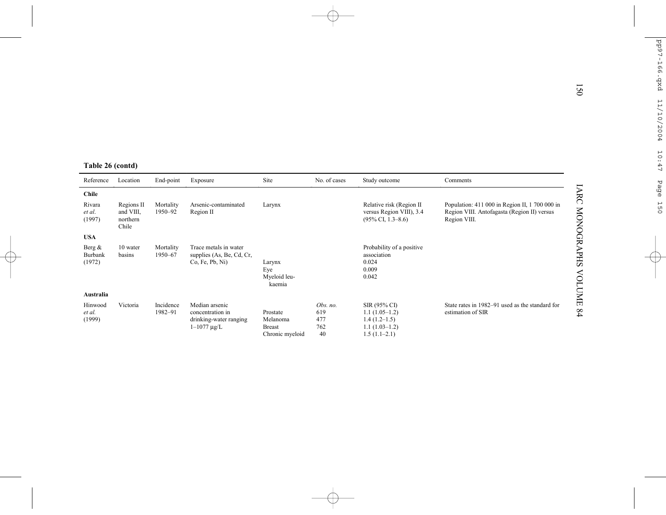| Table 26 (contd)               |                                              |                      |                                                                                    |                                                          |                                     |                                                                                        |                                                                                                               |
|--------------------------------|----------------------------------------------|----------------------|------------------------------------------------------------------------------------|----------------------------------------------------------|-------------------------------------|----------------------------------------------------------------------------------------|---------------------------------------------------------------------------------------------------------------|
| Reference                      | Location                                     | End-point            | Exposure                                                                           | Site                                                     | No. of cases                        | Study outcome                                                                          | Comments                                                                                                      |
| <b>Chile</b>                   |                                              |                      |                                                                                    |                                                          |                                     |                                                                                        |                                                                                                               |
| Rivara<br>et al.<br>(1997)     | Regions II<br>and VIII.<br>northern<br>Chile | Mortality<br>1950-92 | Arsenic-contaminated<br>Region II                                                  | Larynx                                                   |                                     | Relative risk (Region II<br>versus Region VIII), 3.4<br>$(95\% \text{ CI}, 1.3-8.6)$   | Population: 411 000 in Region II, 1 700 000 in<br>Region VIII. Antofagasta (Region II) versus<br>Region VIII. |
| <b>USA</b>                     |                                              |                      |                                                                                    |                                                          |                                     |                                                                                        |                                                                                                               |
| Berg $\&$<br>Burbank<br>(1972) | 10 water<br>basins                           | Mortality<br>1950-67 | Trace metals in water<br>supplies (As, Be, Cd, Cr,<br>Co, Fe, Pb, Ni)              | Larynx<br>Eve<br>Myeloid leu-<br>kaemia                  |                                     | Probability of a positive<br>association<br>0.024<br>0.009<br>0.042                    |                                                                                                               |
| Australia                      |                                              |                      |                                                                                    |                                                          |                                     |                                                                                        |                                                                                                               |
| Hinwood<br>et al.<br>(1999)    | Victoria                                     | Incidence<br>1982-91 | Median arsenic<br>concentration in<br>drinking-water ranging<br>$1 - 1077 \mu g/L$ | Prostate<br>Melanoma<br><b>Breast</b><br>Chronic myeloid | Obs. no.<br>619<br>477<br>762<br>40 | SIR (95% CI)<br>$1.1(1.05-1.2)$<br>$1.4(1.2-1.5)$<br>$1.1(1.03-1.2)$<br>$1.5(1.1-2.1)$ | State rates in 1982–91 used as the standard for<br>estimation of SIR                                          |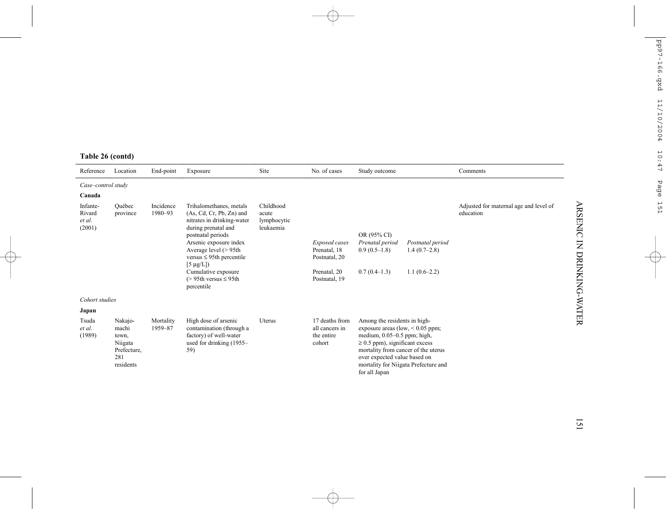# **Table 26 (contd)**

| Reference                              | Location                                                                | End-point            | Exposure                                                                                                                                                                                                                                                                                                      | Site                                           | No. of cases                                                                    | Study outcome                                                                                                                                                                                                                                                              |                                                      | Comments                                            |
|----------------------------------------|-------------------------------------------------------------------------|----------------------|---------------------------------------------------------------------------------------------------------------------------------------------------------------------------------------------------------------------------------------------------------------------------------------------------------------|------------------------------------------------|---------------------------------------------------------------------------------|----------------------------------------------------------------------------------------------------------------------------------------------------------------------------------------------------------------------------------------------------------------------------|------------------------------------------------------|-----------------------------------------------------|
| Case-control study<br>Canada           |                                                                         |                      |                                                                                                                                                                                                                                                                                                               |                                                |                                                                                 |                                                                                                                                                                                                                                                                            |                                                      |                                                     |
| Infante-<br>Rivard<br>et al.<br>(2001) | Ouébec<br>province                                                      | Incidence<br>1980-93 | Trihalomethanes, metals<br>$(As, Cd, Cr, Pb, Zn)$ and<br>nitrates in drinking-water<br>during prenatal and<br>postnatal periods<br>Arsenic exposure index<br>Average level $(> 95th$<br>versus $\leq$ 95th percentile<br>$[5 \mu g/L]$<br>Cumulative exposure<br>$(> 95$ th versus $\leq 95$ th<br>percentile | Childhood<br>acute<br>lymphocytic<br>leukaemia | Exposed cases<br>Prenatal, 18<br>Postnatal, 20<br>Prenatal, 20<br>Postnatal, 19 | OR (95% CI)<br>Prenatal period<br>$0.9(0.5-1.8)$<br>$0.7(0.4-1.3)$                                                                                                                                                                                                         | Postnatal period<br>$1.4(0.7-2.8)$<br>$1.1(0.6-2.2)$ | Adjusted for maternal age and level of<br>education |
| Cohort studies                         |                                                                         |                      |                                                                                                                                                                                                                                                                                                               |                                                |                                                                                 |                                                                                                                                                                                                                                                                            |                                                      |                                                     |
| Japan                                  |                                                                         |                      |                                                                                                                                                                                                                                                                                                               |                                                |                                                                                 |                                                                                                                                                                                                                                                                            |                                                      |                                                     |
| Tsuda<br>et al.<br>(1989)              | Nakajo-<br>machi<br>town,<br>Niigata<br>Prefecture.<br>281<br>residents | Mortality<br>1959-87 | High dose of arsenic<br>contamination (through a<br>factory) of well-water<br>used for drinking (1955–<br>59)                                                                                                                                                                                                 | Uterus                                         | 17 deaths from<br>all cancers in<br>the entire<br>cohort                        | Among the residents in high-<br>exposure areas (low, $< 0.05$ ppm;<br>medium, $0.05-0.5$ ppm; high,<br>$\geq$ 0.5 ppm), significant excess<br>mortality from cancer of the uterus<br>over expected value based on<br>mortality for Niigata Prefecture and<br>for all Japan |                                                      |                                                     |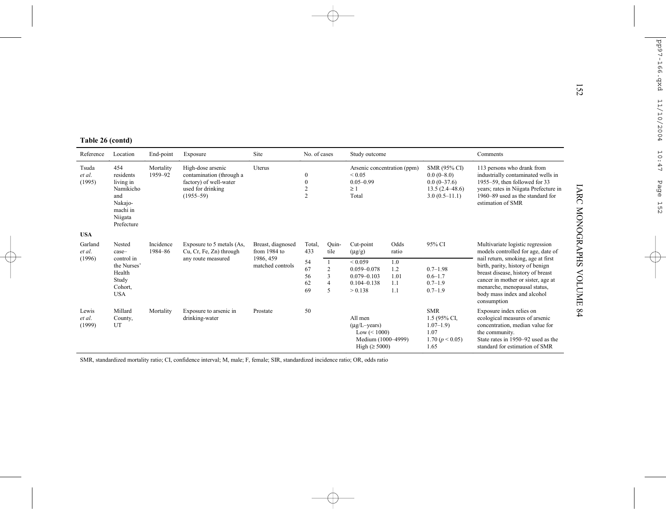|                                 |                                                                                                   |                      |                                                                                                               |                                   |                                                                          |                                                 |                                                                                                     |                                  |                                                                                        |                                                                                                                                                                                                                                 | 152               |
|---------------------------------|---------------------------------------------------------------------------------------------------|----------------------|---------------------------------------------------------------------------------------------------------------|-----------------------------------|--------------------------------------------------------------------------|-------------------------------------------------|-----------------------------------------------------------------------------------------------------|----------------------------------|----------------------------------------------------------------------------------------|---------------------------------------------------------------------------------------------------------------------------------------------------------------------------------------------------------------------------------|-------------------|
| Table 26 (contd)                |                                                                                                   |                      |                                                                                                               |                                   |                                                                          |                                                 |                                                                                                     |                                  |                                                                                        |                                                                                                                                                                                                                                 |                   |
| Reference                       | Location                                                                                          | End-point            | Exposure                                                                                                      | Site                              | No. of cases                                                             |                                                 | Study outcome                                                                                       |                                  |                                                                                        | Comments                                                                                                                                                                                                                        |                   |
| Tsuda<br>et al.<br>(1995)       | 454<br>residents<br>living in<br>Namikicho<br>and<br>Nakajo-<br>machi in<br>Niigata<br>Prefecture | Mortality<br>1959-92 | High-dose arsenic<br>contamination (through a<br>factory) of well-water<br>used for drinking<br>$(1955 - 59)$ | Uterus                            | $\boldsymbol{0}$<br>$\boldsymbol{0}$<br>$\overline{c}$<br>$\overline{c}$ |                                                 | Arsenic concentration (ppm)<br>${}_{0.05}$<br>$0.05 - 0.99$<br>>1<br>Total                          |                                  | SMR (95% CI)<br>$0.0(0-8.0)$<br>$0.0(0-37.6)$<br>$13.5(2.4 - 48.6)$<br>$3.0(0.5-11.1)$ | 113 persons who drank from<br>industrially contaminated wells in<br>1955–59, then followed for 33<br>years; rates in Niigata Prefecture in<br>1960–89 used as the standard for<br>estimation of SMR                             | IARC              |
| <b>USA</b><br>Garland<br>et al. | Nested<br>case-                                                                                   | Incidence<br>1984-86 | Exposure to 5 metals (As,<br>Cu, Cr, Fe, Zn) through                                                          | Breast, diagnosed<br>from 1984 to | Total,<br>433                                                            | Quin-<br>tile                                   | Cut-point<br>$(\mu g/g)$                                                                            | Odds<br>ratio                    | 95% CI                                                                                 | Multivariate logistic regression<br>models controlled for age, date of                                                                                                                                                          | <b>MONOGRAPHS</b> |
| (1996)                          | control in<br>the Nurses'<br>Health<br>Study<br>Cohort,<br><b>USA</b>                             |                      | any route measured                                                                                            | 1986, 459<br>matched controls     | 54<br>67<br>56<br>62<br>69                                               | 1<br>$\overline{2}$<br>3<br>$\overline{4}$<br>5 | ${}_{0.059}$<br>$0.059 - 0.078$<br>$0.079 - 0.103$<br>$0.104 - 0.138$<br>> 0.138                    | 1.0<br>1.2<br>1.01<br>1.1<br>1.1 | $0.7 - 1.98$<br>$0.6 - 1.7$<br>$0.7 - 1.9$<br>$0.7 - 1.9$                              | nail return, smoking, age at first<br>birth, parity, history of benign<br>breast disease, history of breast<br>cancer in mother or sister, age at<br>menarche, menopausal status,<br>body mass index and alcohol<br>consumption | <b>VOLUME</b>     |
| Lewis<br>et al.<br>(1999)       | Millard<br>County,<br>UT                                                                          | Mortality            | Exposure to arsenic in<br>drinking-water                                                                      | Prostate                          | 50                                                                       |                                                 | All men<br>$(\mu g/L - \text{years})$<br>$Low \le 1000$<br>Medium (1000-4999)<br>High $(\geq 5000)$ |                                  | <b>SMR</b><br>1.5 (95% CI,<br>$1.07 - 1.9$<br>1.07<br>1.70 $(p < 0.05)$<br>1.65        | Exposure index relies on<br>ecological measures of arsenic<br>concentration, median value for<br>the community.<br>State rates in 1950-92 used as the<br>standard for estimation of SMR                                         | 64                |

SMR, standardized mortality ratio; CI, confidence interval; M, male; F, female; SIR, standardized incidence ratio; OR, odds ratio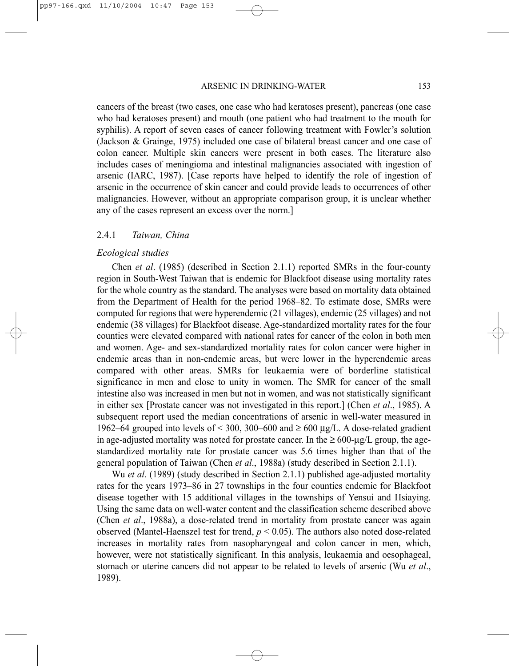#### ARSENIC IN DRINKING-WATER 153

cancers of the breast (two cases, one case who had keratoses present), pancreas (one case who had keratoses present) and mouth (one patient who had treatment to the mouth for syphilis). A report of seven cases of cancer following treatment with Fowler's solution (Jackson & Grainge, 1975) included one case of bilateral breast cancer and one case of colon cancer. Multiple skin cancers were present in both cases. The literature also includes cases of meningioma and intestinal malignancies associated with ingestion of arsenic (IARC, 1987). [Case reports have helped to identify the role of ingestion of arsenic in the occurrence of skin cancer and could provide leads to occurrences of other malignancies. However, without an appropriate comparison group, it is unclear whether any of the cases represent an excess over the norm.]

#### 2.4.1 *Taiwan, China*

#### *Ecological studies*

Chen *et al*. (1985) (described in Section 2.1.1) reported SMRs in the four-county region in South-West Taiwan that is endemic for Blackfoot disease using mortality rates for the whole country as the standard. The analyses were based on mortality data obtained from the Department of Health for the period 1968–82. To estimate dose, SMRs were computed for regions that were hyperendemic (21 villages), endemic (25 villages) and not endemic (38 villages) for Blackfoot disease. Age-standardized mortality rates for the four counties were elevated compared with national rates for cancer of the colon in both men and women. Age- and sex-standardized mortality rates for colon cancer were higher in endemic areas than in non-endemic areas, but were lower in the hyperendemic areas compared with other areas. SMRs for leukaemia were of borderline statistical significance in men and close to unity in women. The SMR for cancer of the small intestine also was increased in men but not in women, and was not statistically significant in either sex [Prostate cancer was not investigated in this report.] (Chen *et al*., 1985). A subsequent report used the median concentrations of arsenic in well-water measured in 1962–64 grouped into levels of < 300, 300–600 and ≥ 600 µg/L. A dose-related gradient in age-adjusted mortality was noted for prostate cancer. In the  $\geq 600\text{-}\mu\text{g/L}$  group, the agestandardized mortality rate for prostate cancer was 5.6 times higher than that of the general population of Taiwan (Chen *et al*., 1988a) (study described in Section 2.1.1).

Wu *et al*. (1989) (study described in Section 2.1.1) published age-adjusted mortality rates for the years 1973–86 in 27 townships in the four counties endemic for Blackfoot disease together with 15 additional villages in the townships of Yensui and Hsiaying. Using the same data on well-water content and the classification scheme described above (Chen *et al*., 1988a), a dose-related trend in mortality from prostate cancer was again observed (Mantel-Haenszel test for trend,  $p < 0.05$ ). The authors also noted dose-related increases in mortality rates from nasopharyngeal and colon cancer in men, which, however, were not statistically significant. In this analysis, leukaemia and oesophageal, stomach or uterine cancers did not appear to be related to levels of arsenic (Wu *et al*., 1989).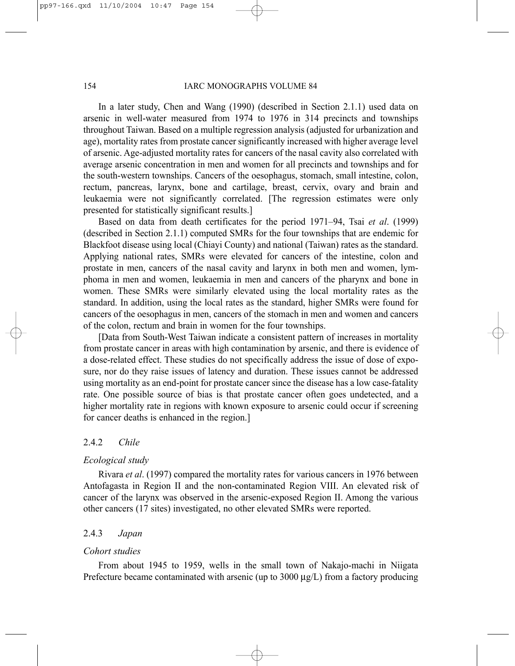In a later study, Chen and Wang (1990) (described in Section 2.1.1) used data on arsenic in well-water measured from 1974 to 1976 in 314 precincts and townships throughout Taiwan. Based on a multiple regression analysis (adjusted for urbanization and age), mortality rates from prostate cancer significantly increased with higher average level of arsenic. Age-adjusted mortality rates for cancers of the nasal cavity also correlated with average arsenic concentration in men and women for all precincts and townships and for the south-western townships. Cancers of the oesophagus, stomach, small intestine, colon, rectum, pancreas, larynx, bone and cartilage, breast, cervix, ovary and brain and leukaemia were not significantly correlated. [The regression estimates were only presented for statistically significant results.]

Based on data from death certificates for the period 1971–94, Tsai *et al*. (1999) (described in Section 2.1.1) computed SMRs for the four townships that are endemic for Blackfoot disease using local (Chiayi County) and national (Taiwan) rates as the standard. Applying national rates, SMRs were elevated for cancers of the intestine, colon and prostate in men, cancers of the nasal cavity and larynx in both men and women, lymphoma in men and women, leukaemia in men and cancers of the pharynx and bone in women. These SMRs were similarly elevated using the local mortality rates as the standard. In addition, using the local rates as the standard, higher SMRs were found for cancers of the oesophagus in men, cancers of the stomach in men and women and cancers of the colon, rectum and brain in women for the four townships.

[Data from South-West Taiwan indicate a consistent pattern of increases in mortality from prostate cancer in areas with high contamination by arsenic, and there is evidence of a dose-related effect. These studies do not specifically address the issue of dose of exposure, nor do they raise issues of latency and duration. These issues cannot be addressed using mortality as an end-point for prostate cancer since the disease has a low case-fatality rate. One possible source of bias is that prostate cancer often goes undetected, and a higher mortality rate in regions with known exposure to arsenic could occur if screening for cancer deaths is enhanced in the region.]

#### 2.4.2 *Chile*

#### *Ecological study*

Rivara *et al*. (1997) compared the mortality rates for various cancers in 1976 between Antofagasta in Region II and the non-contaminated Region VIII. An elevated risk of cancer of the larynx was observed in the arsenic-exposed Region II. Among the various other cancers (17 sites) investigated, no other elevated SMRs were reported.

### 2.4.3 *Japan*

#### *Cohort studies*

From about 1945 to 1959, wells in the small town of Nakajo-machi in Niigata Prefecture became contaminated with arsenic (up to  $3000 \mu g/L$ ) from a factory producing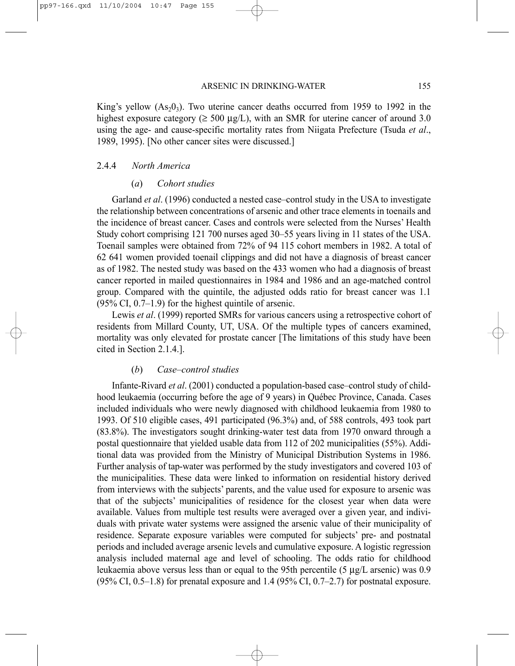King's yellow  $(As<sub>2</sub>, 0<sub>3</sub>)$ . Two uterine cancer deaths occurred from 1959 to 1992 in the highest exposure category ( $\geq 500 \mu g/L$ ), with an SMR for uterine cancer of around 3.0 using the age- and cause-specific mortality rates from Niigata Prefecture (Tsuda *et al*., 1989, 1995). [No other cancer sites were discussed.]

#### 2.4.4 *North America*

#### (*a*) *Cohort studies*

Garland *et al*. (1996) conducted a nested case–control study in the USA to investigate the relationship between concentrations of arsenic and other trace elements in toenails and the incidence of breast cancer. Cases and controls were selected from the Nurses' Health Study cohort comprising 121 700 nurses aged 30–55 years living in 11 states of the USA. Toenail samples were obtained from 72% of 94 115 cohort members in 1982. A total of 62 641 women provided toenail clippings and did not have a diagnosis of breast cancer as of 1982. The nested study was based on the 433 women who had a diagnosis of breast cancer reported in mailed questionnaires in 1984 and 1986 and an age-matched control group. Compared with the quintile, the adjusted odds ratio for breast cancer was 1.1  $(95\% \text{ CI}, 0.7-1.9)$  for the highest quintile of arsenic.

Lewis *et al*. (1999) reported SMRs for various cancers using a retrospective cohort of residents from Millard County, UT, USA. Of the multiple types of cancers examined, mortality was only elevated for prostate cancer [The limitations of this study have been cited in Section 2.1.4.].

#### (*b*) *Case–control studies*

Infante-Rivard *et al*. (2001) conducted a population-based case–control study of childhood leukaemia (occurring before the age of 9 years) in Québec Province, Canada. Cases included individuals who were newly diagnosed with childhood leukaemia from 1980 to 1993. Of 510 eligible cases, 491 participated (96.3%) and, of 588 controls, 493 took part (83.8%). The investigators sought drinking-water test data from 1970 onward through a postal questionnaire that yielded usable data from 112 of 202 municipalities (55%). Additional data was provided from the Ministry of Municipal Distribution Systems in 1986. Further analysis of tap-water was performed by the study investigators and covered 103 of the municipalities. These data were linked to information on residential history derived from interviews with the subjects' parents, and the value used for exposure to arsenic was that of the subjects' municipalities of residence for the closest year when data were available. Values from multiple test results were averaged over a given year, and individuals with private water systems were assigned the arsenic value of their municipality of residence. Separate exposure variables were computed for subjects' pre- and postnatal periods and included average arsenic levels and cumulative exposure. A logistic regression analysis included maternal age and level of schooling. The odds ratio for childhood leukaemia above versus less than or equal to the 95th percentile (5 µg/L arsenic) was 0.9 (95% CI, 0.5–1.8) for prenatal exposure and  $1.4$  (95% CI, 0.7–2.7) for postnatal exposure.